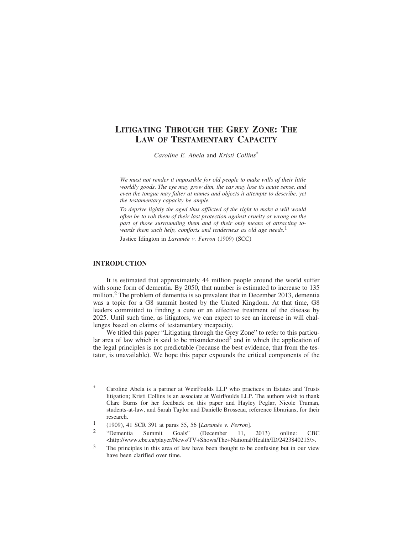# **LITIGATING THROUGH THE GREY ZONE: THE LAW OF TESTAMENTARY CAPACITY**

*Caroline E. Abela* and *Kristi Collins*\*

*We must not render it impossible for old people to make wills of their little worldly goods. The eye may grow dim, the ear may lose its acute sense, and even the tongue may falter at names and objects it attempts to describe, yet the testamentary capacity be ample.*

*To deprive lightly the aged thus afflicted of the right to make a will would often be to rob them of their last protection against cruelty or wrong on the part of those surrounding them and of their only means of attracting towards them such help, comforts and tenderness as old age needs.*<sup>1</sup>

Justice Idington in *Laramée v. Ferron* (1909) (SCC)

## **INTRODUCTION**

It is estimated that approximately 44 million people around the world suffer with some form of dementia. By 2050, that number is estimated to increase to 135 million.<sup>2</sup> The problem of dementia is so prevalent that in December 2013, dementia was a topic for a G8 summit hosted by the United Kingdom. At that time, G8 leaders committed to finding a cure or an effective treatment of the disease by 2025. Until such time, as litigators, we can expect to see an increase in will challenges based on claims of testamentary incapacity.

We titled this paper "Litigating through the Grey Zone" to refer to this particular area of law which is said to be misunderstood<sup>3</sup> and in which the application of the legal principles is not predictable (because the best evidence, that from the testator, is unavailable). We hope this paper expounds the critical components of the

Caroline Abela is a partner at WeirFoulds LLP who practices in Estates and Trusts litigation; Kristi Collins is an associate at WeirFoulds LLP. The authors wish to thank Clare Burns for her feedback on this paper and Hayley Peglar, Nicole Truman, students-at-law, and Sarah Taylor and Danielle Brosseau, reference librarians, for their research.

<sup>1</sup> (1909), 41 SCR 391 at paras 55, 56 [*Laram´ee v. Ferron*].

<sup>2</sup> "Dementia Summit Goals" (December 11, 2013) online: CBC <http://www.cbc.ca/player/News/TV+Shows/The+National/Health/ID/2423840215/>.

<sup>&</sup>lt;sup>3</sup> The principles in this area of law have been thought to be confusing but in our view have been clarified over time.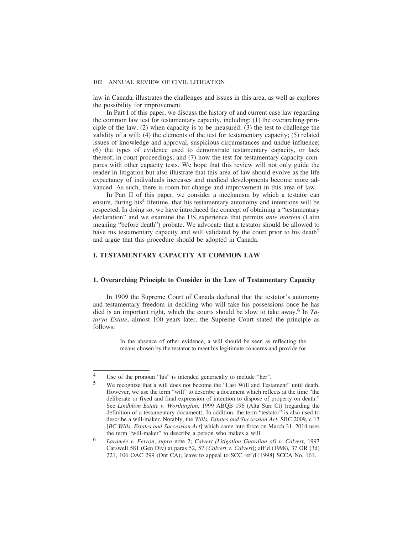law in Canada, illustrates the challenges and issues in this area, as well as explores the possibility for improvement.

In Part I of this paper, we discuss the history of and current case law regarding the common law test for testamentary capacity, including: (1) the overarching principle of the law;  $(2)$  when capacity is to be measured;  $(3)$  the test to challenge the validity of a will; (4) the elements of the test for testamentary capacity; (5) related issues of knowledge and approval, suspicious circumstances and undue influence; (6) the types of evidence used to demonstrate testamentary capacity, or lack thereof, in court proceedings; and (7) how the test for testamentary capacity compares with other capacity tests. We hope that this review will not only guide the reader in litigation but also illustrate that this area of law should evolve as the life expectancy of individuals increases and medical developments become more advanced. As such, there is room for change and improvement in this area of law.

In Part II of this paper, we consider a mechanism by which a testator can ensure, during his<sup>4</sup> lifetime, that his testamentary autonomy and intentions will be respected. In doing so, we have introduced the concept of obtaining a "testamentary declaration" and we examine the US experience that permits *ante mortem* (Latin meaning "before death") probate. We advocate that a testator should be allowed to have his testamentary capacity and will validated by the court prior to his death<sup>5</sup> and argue that this procedure should be adopted in Canada.

# **I. TESTAMENTARY CAPACITY AT COMMON LAW**

## **1. Overarching Principle to Consider in the Law of Testamentary Capacity**

In 1909 the Supreme Court of Canada declared that the testator's autonomy and testamentary freedom in deciding who will take his possessions once he has died is an important right, which the courts should be slow to take away.6 In *Tataryn Estate*, almost 100 years later, the Supreme Court stated the principle as follows:

> In the absence of other evidence, a will should be seen as reflecting the means chosen by the testator to meet his legitimate concerns and provide for

<sup>&</sup>lt;sup>4</sup> Use of the pronoun "his" is intended generically to include "her".

<sup>5</sup> We recognize that a will does not become the "Last Will and Testament" until death. However, we use the term "will" to describe a document which reflects at the time "the deliberate or fixed and final expression of intention to dispose of property on death." See *Lindblom Estate v. Worthington*, 1999 ABQB 196 (Alta Surr Ct) (regarding the definition of a testamentary document). In addition, the term "testator" is also used to describe a will-maker. Notably, the *Wills, Estates and Succession Act*, SBC 2009, c 13 [*BC Wills, Estates and Succession Act*] which came into force on March 31, 2014 uses the term "will-maker" to describe a person who makes a will.

<sup>6</sup> *Laram´ee v. Ferron*, *supra* note 2; *Calvert (Litigation Guardian of) v. Calvert*, 1997 Carswell 581 (Gen Div) at paras 52, 57 [*Calvert v. Calvert*]; aff'd (1998), 37 OR (3d) 221, 106 OAC 299 (Ont CA); leave to appeal to SCC ref'd [1998] SCCA No. 161.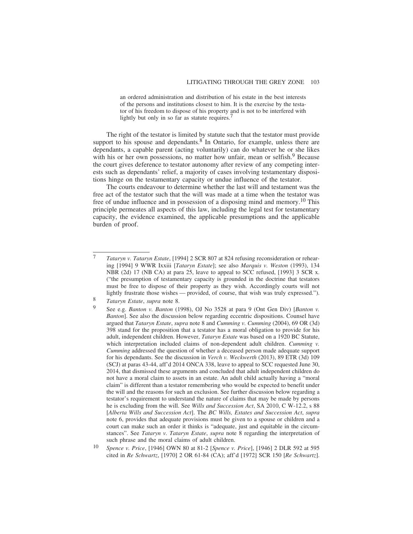an ordered administration and distribution of his estate in the best interests of the persons and institutions closest to him. It is the exercise by the testator of his freedom to dispose of his property and is not to be interfered with lightly but only in so far as statute requires.<sup>7</sup>

The right of the testator is limited by statute such that the testator must provide support to his spouse and dependants. $8^{\circ}$  In Ontario, for example, unless there are dependants, a capable parent (acting voluntarily) can do whatever he or she likes with his or her own possessions, no matter how unfair, mean or selfish.<sup>9</sup> Because the court gives deference to testator autonomy after review of any competing interests such as dependants' relief, a majority of cases involving testamentary dispositions hinge on the testamentary capacity or undue influence of the testator.

The courts endeavour to determine whether the last will and testament was the free act of the testator such that the will was made at a time when the testator was free of undue influence and in possession of a disposing mind and memory.<sup>10</sup> This principle permeates all aspects of this law, including the legal test for testamentary capacity, the evidence examined, the applicable presumptions and the applicable burden of proof.

<sup>7</sup> *Tataryn v. Tataryn Estate*, [1994] 2 SCR 807 at 824 refusing reconsideration or rehearing [1994] 9 WWR Ixxiii [*Tataryn Estate*]; see also *Marquis v. Weston* (1993), 134 NBR (2d) 17 (NB CA) at para 25, leave to appeal to SCC refused, [1993] 3 SCR x. ("the presumption of testamentary capacity is grounded in the doctrine that testators must be free to dispose of their property as they wish. Accordingly courts will not lightly frustrate those wishes — provided, of course, that wish was truly expressed.").

<sup>8</sup> *Tataryn Estate*, *supra* note 8.

<sup>9</sup> See e.g. *Banton v. Banton* (1998), OJ No 3528 at para 9 (Ont Gen Div) [*Banton v. Banton*]. See also the discussion below regarding eccentric dispositions. Counsel have argued that *Tataryn Estate*, *supra* note 8 and *Cumming v. Cumming* (2004), 69 OR (3d) 398 stand for the proposition that a testator has a moral obligation to provide for his adult, independent children. However, *Tataryn Estate* was based on a 1920 BC Statute, which interpretation included claims of non-dependent adult children. *Cumming v. Cumming* addressed the question of whether a deceased person made adequate support for his dependants. See the discussion in *Verch v. Weckwerth* (2013), 89 ETR (3d) 109 (SCJ) at paras 43-44, aff'd 2014 ONCA 338, leave to appeal to SCC requested June 30, 2014, that dismissed these arguments and concluded that adult independent children do not have a moral claim to assets in an estate. An adult child actually having a "moral claim" is different than a testator remembering who would be expected to benefit under the will and the reasons for such an exclusion. See further discussion below regarding a testator's requirement to understand the nature of claims that may be made by persons he is excluding from the will. See *Wills and Succession Act*, SA 2010, C W-12.2, s 88 [*Alberta Wills and Succession Act*]. The *BC Wills, Estates and Succession Act*, *supra* note 6, provides that adequate provisions must be given to a spouse or children and a court can make such an order it thinks is "adequate, just and equitable in the circumstances". See *Tataryn v. Tataryn Estate*, *supra* note 8 regarding the interpretation of such phrase and the moral claims of adult children.

<sup>10</sup> *Spence v. Price*, [1946] OWN 80 at 81-2 [*Spence v. Price*], [1946] 2 DLR 592 at 595 cited in *Re Schwartz*, [1970] 2 OR 61-84 (CA); aff'd [1972] SCR 150 [*Re Schwartz*].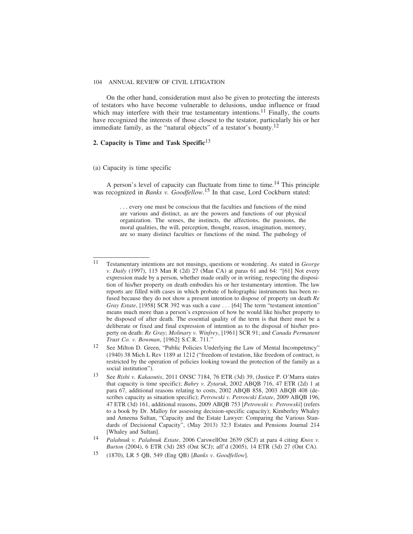On the other hand, consideration must also be given to protecting the interests of testators who have become vulnerable to delusions, undue influence or fraud which may interfere with their true testamentary intentions.<sup>11</sup> Finally, the courts have recognized the interests of those closest to the testator, particularly his or her immediate family, as the "natural objects" of a testator's bounty.<sup>12</sup>

# **2. Capacity is Time and Task Specific**<sup>13</sup>

## (a) Capacity is time specific

A person's level of capacity can fluctuate from time to time.<sup>14</sup> This principle was recognized in *Banks v. Goodfellow*. 15 In that case, Lord Cockburn stated:

> . . . every one must be conscious that the faculties and functions of the mind are various and distinct, as are the powers and functions of our physical organization. The senses, the instincts, the affections, the passions, the moral qualities, the will, perception, thought, reason, imagination, memory, are so many distinct faculties or functions of the mind. The pathology of

<sup>11</sup> Testamentary intentions are not musings, questions or wondering. As stated in *George v. Daily* (1997), 115 Man R (2d) 27 (Man CA) at paras 61 and 64: "[61] Not every expression made by a person, whether made orally or in writing, respecting the disposition of his/her property on death embodies his or her testamentary intention. The law reports are filled with cases in which probate of holographic instruments has been refused because they do not show a present intention to dispose of property on death *Re Gray Estate*, [1958] SCR 392 was such a case . . . [64] The term "testament intention" means much more than a person's expression of how he would like his/her property to be disposed of after death. The essential quality of the term is that there must be a deliberate or fixed and final expression of intention as to the disposal of his/her property on death: *Re Gray*; *Molinary v. Winfrey*, [1961] SCR 91; and *Canada Permanent Trust Co. v. Bowman*, [1962] S.C.R. 711."

<sup>12</sup> See Milton D. Green, "Public Policies Underlying the Law of Mental Incompetency" (1940) 38 Mich L Rev 1189 at 1212 ("freedom of testation, like freedom of contract, is restricted by the operation of policies looking toward the protection of the family as a social institution").

<sup>13</sup> See *Rishi v. Kakaoutis*, 2011 ONSC 7184, 76 ETR (3d) 39, (Justice P. O'Marra states that capacity is time specific); *Bahry v. Zytaruk*, 2002 ABQB 716, 47 ETR (2d) 1 at para 67, additional reasons relating to costs, 2002 ABQB 858, 2003 ABQB 408 (describes capacity as situation specific); *Petrowski v. Petrowski Estate*, 2009 ABQB 196, 47 ETR (3d) 161, additional reasons, 2009 ABQB 753 [*Petrowski v. Petrowski*] (refers to a book by Dr. Malloy for assessing decision-specific capacity); Kimberley Whaley and Ameena Sultan, "Capacity and the Estate Lawyer: Comparing the Various Standards of Decisional Capacity", (May 2013) 32:3 Estates and Pensions Journal 214 [Whaley and Sultan].

<sup>14</sup> *Palahnuk v. Palahnuk Estate*, 2006 CarswellOnt 2639 (SCJ) at para 4 citing *Knox v. Burton* (2004), 6 ETR (3d) 285 (Ont SCJ); aff'd (2005), 14 ETR (3d) 27 (Ont CA).

<sup>15</sup> (1870), LR 5 QB, 549 (Eng QB) [*Banks v. Goodfellow*].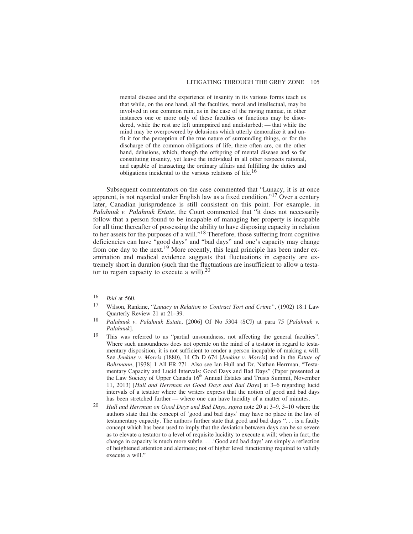mental disease and the experience of insanity in its various forms teach us that while, on the one hand, all the faculties, moral and intellectual, may be involved in one common ruin, as in the case of the raving maniac, in other instances one or more only of these faculties or functions may be disordered, while the rest are left unimpaired and undisturbed; — that while the mind may be overpowered by delusions which utterly demoralize it and unfit it for the perception of the true nature of surrounding things, or for the discharge of the common obligations of life, there often are, on the other hand, delusions, which, though the offspring of mental disease and so far constituting insanity, yet leave the individual in all other respects rational, and capable of transacting the ordinary affairs and fulfilling the duties and obligations incidental to the various relations of life.16

Subsequent commentators on the case commented that "Lunacy, it is at once apparent, is not regarded under English law as a fixed condition."17 Over a century later, Canadian jurisprudence is still consistent on this point. For example, in *Palahnuk v. Palahnuk Estate*, the Court commented that "it does not necessarily follow that a person found to be incapable of managing her property is incapable for all time thereafter of possessing the ability to have disposing capacity in relation to her assets for the purposes of a will."18 Therefore, those suffering from cognitive deficiencies can have "good days" and "bad days" and one's capacity may change from one day to the next.<sup>19</sup> More recently, this legal principle has been under examination and medical evidence suggests that fluctuations in capacity are extremely short in duration (such that the fluctuations are insufficient to allow a testator to regain capacity to execute a will). $^{20}$ 

 $\frac{16}{17}$  *Ibid* at 560.

<sup>17</sup> Wilson, Rankine, "*Lunacy in Relation to Contract Tort and Crime"*, (1902) 18:1 Law Quarterly Review 21 at 21–39.

<sup>18</sup> *Palahnuk v. Palahnuk Estate*, [2006] OJ No 5304 (SCJ) at para 75 [*Palahnuk v. Palahnuk*].

<sup>19</sup> This was referred to as "partial unsoundness, not affecting the general faculties". Where such unsoundness does not operate on the mind of a testator in regard to testamentary disposition, it is not sufficient to render a person incapable of making a will. See *Jenkins v. Morris* (1880), 14 Ch D 674 [*Jenkins v. Morris*] and in the *Estate of Bohrmann*, [1938] 1 All ER 271. Also see Ian Hull and Dr. Nathan Herrman, "Testamentary Capacity and Lucid Intervals: Good Days and Bad Days" (Paper presented at the Law Society of Upper Canada 16<sup>th</sup> Annual Estates and Trusts Summit, November 11, 2013) [*Hull and Herrman on Good Days and Bad Days*] at 3–6 regarding lucid intervals of a testator where the writers express that the notion of good and bad days has been stretched further — where one can have lucidity of a matter of minutes.

<sup>20</sup> *Hull and Herrman on Good Days and Bad Days*, *supra* note 20 at 3–9, 3–10 where the authors state that the concept of 'good and bad days' may have no place in the law of testamentary capacity. The authors further state that good and bad days ". . . is a faulty concept which has been used to imply that the deviation between days can be so severe as to elevate a testator to a level of requisite lucidity to execute a will; when in fact, the change in capacity is much more subtle. . . .'Good and bad days' are simply a reflection of heightened attention and alertness; not of higher level functioning required to validly execute a will."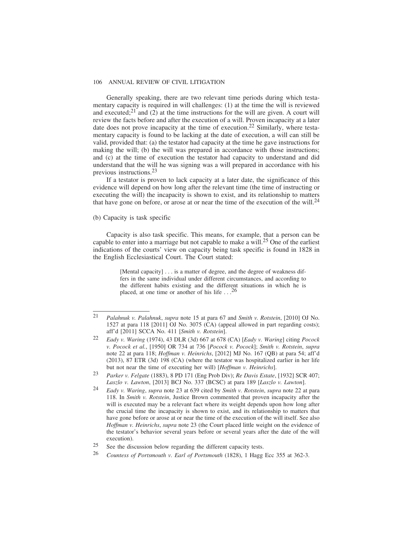Generally speaking, there are two relevant time periods during which testamentary capacity is required in will challenges: (1) at the time the will is reviewed and executed; $2^{21}$  and (2) at the time instructions for the will are given. A court will review the facts before and after the execution of a will. Proven incapacity at a later date does not prove incapacity at the time of execution.<sup>22</sup> Similarly, where testamentary capacity is found to be lacking at the date of execution, a will can still be valid, provided that: (a) the testator had capacity at the time he gave instructions for making the will; (b) the will was prepared in accordance with those instructions; and (c) at the time of execution the testator had capacity to understand and did understand that the will he was signing was a will prepared in accordance with his previous instructions.23

If a testator is proven to lack capacity at a later date, the significance of this evidence will depend on how long after the relevant time (the time of instructing or executing the will) the incapacity is shown to exist, and its relationship to matters that have gone on before, or arose at or near the time of the execution of the will.<sup>24</sup>

(b) Capacity is task specific

Capacity is also task specific. This means, for example, that a person can be capable to enter into a marriage but not capable to make a will.25 One of the earliest indications of the courts' view on capacity being task specific is found in 1828 in the English Ecclesiastical Court. The Court stated:

> [Mental capacity] . . . is a matter of degree, and the degree of weakness differs in the same individual under different circumstances, and according to the different habits existing and the different situations in which he is placed, at one time or another of his life  $\ldots^{26}$

<sup>21</sup> *Palahnuk v. Palahnuk*, *supra* note 15 at para 67 and *Smith v. Rotstein*, [2010] OJ No. 1527 at para 118 [2011] OJ No. 3075 (CA) (appeal allowed in part regarding costs); aff'd [2011] SCCA No. 411 [*Smith v. Rotstein*].

<sup>22</sup> *Eady v. Waring* (1974), 43 DLR (3d) 667 at 678 (CA) [*Eady v. Waring*] citing *Pocock v. Pocock et al.*, [1950] OR 734 at 736 [*Pocock v. Pocock*]; *Smith v. Rotstein*, *supra* note 22 at para 118; *Hoffman v. Heinrichs*, [2012] MJ No. 167 (QB) at para 54; aff'd (2013), 87 ETR (3d) 198 (CA) (where the testator was hospitalized earlier in her life but not near the time of executing her will) [*Hoffman v. Heinrichs*].

<sup>23</sup> *Parker v. Felgate* (1883), 8 PD 171 (Eng Prob Div); *Re Davis Estate*, [1932] SCR 407; *Laszlo v. Lawton*, [2013] BCJ No. 337 (BCSC) at para 189 [*Laszlo v. Lawton*].

<sup>24</sup> *Eady v. Waring*, *supra* note 23 at 639 cited by *Smith v. Rotstein*, *supra* note 22 at para 118. In *Smith v. Rotstein*, Justice Brown commented that proven incapacity after the will is executed may be a relevant fact where its weight depends upon how long after the crucial time the incapacity is shown to exist, and its relationship to matters that have gone before or arose at or near the time of the execution of the will itself. See also *Hoffman v. Heinrichs*, *supra* note 23 (the Court placed little weight on the evidence of the testator's behavior several years before or several years after the date of the will execution).

<sup>25</sup> See the discussion below regarding the different capacity tests.

<sup>26</sup> *Countess of Portsmouth v. Earl of Portsmouth* (1828), 1 Hagg Ecc 355 at 362-3.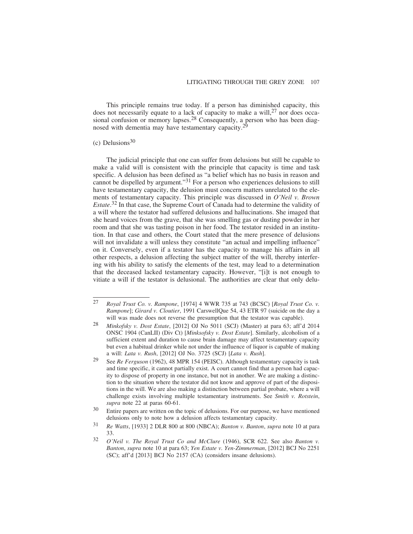This principle remains true today. If a person has diminished capacity, this does not necessarily equate to a lack of capacity to make a will,  $27$  nor does occasional confusion or memory lapses.<sup>28</sup> Consequently, a person who has been diagnosed with dementia may have testamentary capacity.<sup>20</sup>

## $(c)$  Delusions<sup>30</sup>

The judicial principle that one can suffer from delusions but still be capable to make a valid will is consistent with the principle that capacity is time and task specific. A delusion has been defined as "a belief which has no basis in reason and cannot be dispelled by argument."31 For a person who experiences delusions to still have testamentary capacity, the delusion must concern matters unrelated to the elements of testamentary capacity. This principle was discussed in *O'Neil v. Brown Estate*. 32 In that case, the Supreme Court of Canada had to determine the validity of a will where the testator had suffered delusions and hallucinations. She imaged that she heard voices from the grave, that she was smelling gas or dusting powder in her room and that she was tasting poison in her food. The testator resided in an institution. In that case and others, the Court stated that the mere presence of delusions will not invalidate a will unless they constitute "an actual and impelling influence" on it. Conversely, even if a testator has the capacity to manage his affairs in all other respects, a delusion affecting the subject matter of the will, thereby interfering with his ability to satisfy the elements of the test, may lead to a determination that the deceased lacked testamentary capacity. However, "[i]t is not enough to vitiate a will if the testator is delusional. The authorities are clear that only delu-

<sup>27</sup> *Royal Trust Co. v. Rampone*, [1974] 4 WWR 735 at 743 (BCSC) [*Royal Trust Co. v. Rampone*]; *Girard v. Cloutier*, 1991 CarswellQue 54, 43 ETR 97 (suicide on the day a will was made does not reverse the presumption that the testator was capable).

<sup>28</sup> *Minkofsky v. Dost Estate*, [2012] OJ No 5011 (SCJ) (Master) at para 63; aff'd 2014 ONSC 1904 (CanLII) (Div Ct) [*Minksofsky v. Dost Estate*]. Similarly, alcoholism of a sufficient extent and duration to cause brain damage may affect testamentary capacity but even a habitual drinker while not under the influence of liquor is capable of making a will: *Lata v. Rush*, [2012] OJ No. 3725 (SCJ) [*Lata v. Rush*].

<sup>29</sup> See *Re Ferguson* (1962), 48 MPR 154 (PEISC). Although testamentary capacity is task and time specific, it cannot partially exist. A court cannot find that a person had capacity to dispose of property in one instance, but not in another. We are making a distinction to the situation where the testator did not know and approve of part of the dispositions in the will. We are also making a distinction between partial probate, where a will challenge exists involving multiple testamentary instruments. See *Smith v. Rotstein*, *supra* note 22 at paras 60-61.

<sup>30</sup> Entire papers are written on the topic of delusions. For our purpose, we have mentioned delusions only to note how a delusion affects testamentary capacity.

<sup>31</sup> *Re Watts*, [1933] 2 DLR 800 at 800 (NBCA); *Banton v. Banton*, *supra* note 10 at para 33.

<sup>32</sup> *O'Neil v. The Royal Trust Co and McClure* (1946), SCR 622. See also *Banton v. Banton*, *supra* note 10 at para 63; *Yen Estate v. Yen-Zimmerman*, [2012] BCJ No 2251 (SC); aff'd [2013] BCJ No 2157 (CA) (considers insane delusions).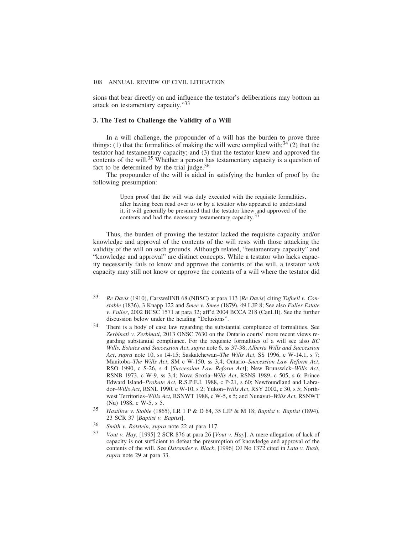sions that bear directly on and influence the testator's deliberations may bottom an attack on testamentary capacity."33

## **3. The Test to Challenge the Validity of a Will**

In a will challenge, the propounder of a will has the burden to prove three things: (1) that the formalities of making the will were complied with;  $34$  (2) that the testator had testamentary capacity; and (3) that the testator knew and approved the contents of the will.<sup>35</sup> Whether a person has testamentary capacity is a question of fact to be determined by the trial judge.36

The propounder of the will is aided in satisfying the burden of proof by the following presumption:

> Upon proof that the will was duly executed with the requisite formalities, after having been read over to or by a testator who appeared to understand it, it will generally be presumed that the testator knew and approved of the contents and had the necessary testamentary capacity.<sup>3</sup>

Thus, the burden of proving the testator lacked the requisite capacity and/or knowledge and approval of the contents of the will rests with those attacking the validity of the will on such grounds. Although related, "testamentary capacity" and "knowledge and approval" are distinct concepts. While a testator who lacks capacity necessarily fails to know and approve the contents of the will, a testator *with* capacity may still not know or approve the contents of a will where the testator did

<sup>33</sup> *Re Davis* (1910), CarswellNB 68 (NBSC) at para 113 [*Re Davis*] citing *Tufnell v. Constable* (1836), 3 Knapp 122 and *Smee v. Smee* (1879), 49 LJP 8; See also *Fuller Estate v. Fuller*, 2002 BCSC 1571 at para 32; aff'd 2004 BCCA 218 (CanLII). See the further discussion below under the heading "Delusions".

<sup>34</sup> There is a body of case law regarding the substantial compliance of formalities. See *Zerbinati v. Zerbinati*, 2013 ONSC 7630 on the Ontario courts' more recent views regarding substantial compliance. For the requisite formalities of a will see also *BC Wills, Estates and Succession Act*, *supra* note 6, ss 37-38; *Alberta Wills and Succession Act*, *supra* note 10, ss 14-15; Saskatchewan–*The Wills Act*, SS 1996, c W-14.1, s 7; Manitoba–*The Wills Act*, SM c W-150, ss 3,4; Ontario–*Succession Law Reform Act*, RSO 1990, c S-26, s 4 [*Succession Law Reform Act*]; New Brunswick–*Wills Act*, RSNB 1973, c W-9, ss 3,4; Nova Scotia–*Wills Act*, RSNS 1989, c 505, s 6; Prince Edward Island–*Probate Act*, R.S.P.E.I. 1988, c P-21, s 60; Newfoundland and Labrador–*Wills Act*, RSNL 1990, c W-10, s 2; Yukon–*Wills Act*, RSY 2002, c 30, s 5; Northwest Territories–*Wills Act*, RSNWT 1988, c W-5, s 5; and Nunavut–*Wills Act*, RSNWT (Nu) 1988, c W-5, s 5.

<sup>35</sup> *Hastilow v. Stobie* (1865), LR 1 P & D 64, 35 LJP & M 18; *Baptist v. Baptist* (1894), 23 SCR 37 [*Baptist v. Baptist*].

<sup>36</sup> *Smith v. Rotstein*, *supra* note 22 at para 117.

<sup>37</sup> *Vout v. Hay*, [1995] 2 SCR 876 at para 26 [*Vout v. Hay*]. A mere allegation of lack of capacity is not sufficient to defeat the presumption of knowledge and approval of the contents of the will. See *Ostrander v. Black*, [1996] OJ No 1372 cited in *Lata v. Rush*, *supra* note 29 at para 33.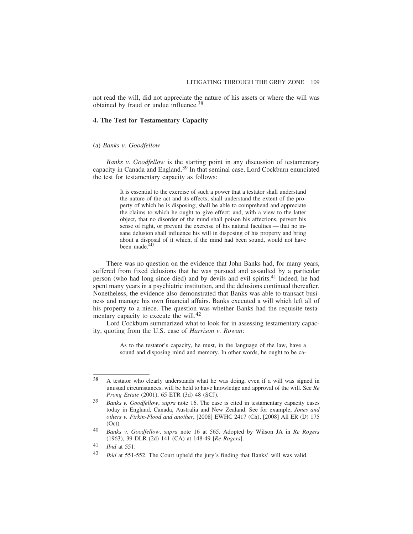not read the will, did not appreciate the nature of his assets or where the will was obtained by fraud or undue influence.<sup>38</sup>

#### **4. The Test for Testamentary Capacity**

#### (a) *Banks v. Goodfellow*

*Banks v. Goodfellow* is the starting point in any discussion of testamentary capacity in Canada and England.39 In that seminal case, Lord Cockburn enunciated the test for testamentary capacity as follows:

> It is essential to the exercise of such a power that a testator shall understand the nature of the act and its effects; shall understand the extent of the property of which he is disposing; shall be able to comprehend and appreciate the claims to which he ought to give effect; and, with a view to the latter object, that no disorder of the mind shall poison his affections, pervert his sense of right, or prevent the exercise of his natural faculties — that no insane delusion shall influence his will in disposing of his property and bring about a disposal of it which, if the mind had been sound, would not have been made.<sup>40</sup>

There was no question on the evidence that John Banks had, for many years, suffered from fixed delusions that he was pursued and assaulted by a particular person (who had long since died) and by devils and evil spirits.41 Indeed, he had spent many years in a psychiatric institution, and the delusions continued thereafter. Nonetheless, the evidence also demonstrated that Banks was able to transact business and manage his own financial affairs. Banks executed a will which left all of his property to a niece. The question was whether Banks had the requisite testamentary capacity to execute the will.<sup>42</sup>

Lord Cockburn summarized what to look for in assessing testamentary capacity, quoting from the U.S. case of *Harrison v. Rowan*:

> As to the testator's capacity, he must, in the language of the law, have a sound and disposing mind and memory. In other words, he ought to be ca-

<sup>38</sup> A testator who clearly understands what he was doing, even if a will was signed in unusual circumstances, will be held to have knowledge and approval of the will. See *Re Prong Estate* (2001), 65 ETR (3d) 48 (SCJ).

<sup>39</sup> *Banks v. Goodfellow*, *supra* note 16. The case is cited in testamentary capacity cases today in England, Canada, Australia and New Zealand. See for example, *Jones and others v. Firkin-Flood and another*, [2008] EWHC 2417 (Ch), [2008] All ER (D) 175 (Oct).

<sup>40</sup> *Banks v. Goodfellow*, *supra* note 16 at 565. Adopted by Wilson JA in *Re Rogers* (1963), 39 DLR (2d) 141 (CA) at 148-49 [*Re Rogers*].

<sup>41</sup> *Ibid* at 551.

<sup>42</sup> *Ibid* at 551-552. The Court upheld the jury's finding that Banks' will was valid.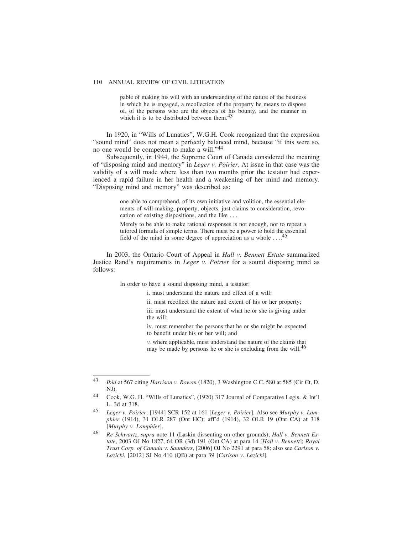pable of making his will with an understanding of the nature of the business in which he is engaged, a recollection of the property he means to dispose of, of the persons who are the objects of his bounty, and the manner in which it is to be distributed between them. $43$ 

In 1920, in "Wills of Lunatics", W.G.H. Cook recognized that the expression "sound mind" does not mean a perfectly balanced mind, because "if this were so, no one would be competent to make a will."44

Subsequently, in 1944, the Supreme Court of Canada considered the meaning of "disposing mind and memory" in *Leger v. Poirier*. At issue in that case was the validity of a will made where less than two months prior the testator had experienced a rapid failure in her health and a weakening of her mind and memory. "Disposing mind and memory" was described as:

> one able to comprehend, of its own initiative and volition, the essential elements of will-making, property, objects, just claims to consideration, revocation of existing dispositions, and the like . . .

> Merely to be able to make rational responses is not enough, nor to repeat a tutored formula of simple terms. There must be a power to hold the essential field of the mind in some degree of appreciation as a whole . . ..45

In 2003, the Ontario Court of Appeal in *Hall v. Bennett Estate* summarized Justice Rand's requirements in *Leger v. Poirier* for a sound disposing mind as follows:

In order to have a sound disposing mind, a testator:

i. must understand the nature and effect of a will;

ii. must recollect the nature and extent of his or her property;

iii. must understand the extent of what he or she is giving under the will;

iv. must remember the persons that he or she might be expected to benefit under his or her will; and

*v.* where applicable, must understand the nature of the claims that may be made by persons he or she is excluding from the will.<sup>46</sup>

<sup>43</sup> *Ibid* at 567 citing *Harrison v. Rowan* (1820), 3 Washington C.C. 580 at 585 (Cir Ct, D. NJ).

<sup>44</sup> Cook, W.G. H. "Wills of Lunatics", (1920) 317 Journal of Comparative Legis. & Int'l L. 3d at 318.

<sup>45</sup> *Leger v. Poirier*, [1944] SCR 152 at 161 [*Leger v. Poirier*]. Also see *Murphy v. Lamphier* (1914), 31 OLR 287 (Ont HC); aff'd (1914), 32 OLR 19 (Ont CA) at 318 [*Murphy v. Lamphier*].

<sup>46</sup> *Re Schwartz*, *supra* note 11 (Laskin dissenting on other grounds); *Hall v. Bennett Estate*, 2003 OJ No 1827, 64 OR (3d) 191 (Ont CA) at para 14 [*Hall v. Bennett*]; *Royal Trust Corp. of Canada v. Saunders*, [2006] OJ No 2291 at para 58; also see *Carlson v. Lazicki*, [2012] SJ No 410 (QB) at para 39 [*Carlson v. Lazicki*].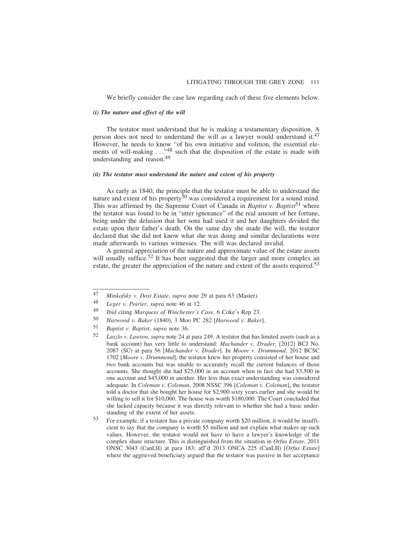We briefly consider the case law regarding each of these five elements below.

#### *(i) The nature and effect of the will*

The testator must understand that he is making a testamentary disposition. A person does not need to understand the will as a lawyer would understand it.<sup>47</sup> However, he needs to know "of his own initiative and volition, the essential elements of will-making . . .<sup>48</sup> such that the disposition of the estate is made with understanding and reason.49

## *(ii) The testator must understand the nature and extent of his property*

As early as 1840, the principle that the testator must be able to understand the nature and extent of his property<sup>50</sup> was considered a requirement for a sound mind. This was affirmed by the Supreme Court of Canada in *Baptist v. Baptist*<sup>51</sup> where the testator was found to be in "utter ignorance" of the real amount of her fortune, being under the delusion that her sons had used it and her daughters divided the estate upon their father's death. On the same day she made the will, the testator declared that she did not know what she was doing and similar declarations were made afterwards to various witnesses. The will was declared invalid.

A general appreciation of the nature and approximate value of the estate assets will usually suffice.<sup>52</sup> It has been suggested that the larger and more complex an estate, the greater the appreciation of the nature and extent of the assets required.<sup>53</sup>

<sup>47</sup> *Minkofsky v. Dost Estate*, *supra* note 29 at para 63 (Master).

<sup>48</sup> *Leger v. Poirier*, *supra* note 46 at 12.

<sup>49</sup> *Ibid* citing *Marquess of Winchester's Case*, 6 Coke's Rep 23.

<sup>50</sup> *Harwood v. Baker* (1840), 3 Moo PC 282 [*Harwood v. Baker*].

<sup>51</sup> *Baptist v. Baptist*, *supra* note 36.

<sup>52</sup> *Laszlo v. Lawton*, *supra* note 24 at para 249. A testator that has limited assets (such as a bank account) has very little to understand: *Machander v. Drader*, [2012] BCJ No. 2087 (SC) at para 56 [*Machander v. Drader*]. In *Moore v. Drummond*, 2012 BCSC 1702 [*Moore v. Drummond*], the testator knew her property consisted of her house and two bank accounts but was unable to accurately recall the current balances of those accounts. She thought she had \$25,000 in an account when in fact she had \$3,500 in one account and \$45,000 in another. Her less than exact understanding was considered adequate. In *Coleman v. Coleman*, 2008 NSSC 396 [*Coleman v. Coleman*], the testator told a doctor that she bought her house for \$2,900 sixty years earlier and she would be willing to sell it for \$10,000. The house was worth \$180,000. The Court concluded that she lacked capacity because it was directly relevant to whether she had a basic understanding of the extent of her assets.

<sup>53</sup> For example, if a testator has a private company worth \$20 million, it would be insufficient to say that the company is worth \$5 million and not explain what makes up such values. However, the testator would not have to have a lawyer's knowledge of the complex share structure. This is distinguished from the situation in *Orfus Estate*, 2011 ONSC 3043 (CanLII) at para 183; aff'd 2013 ONCA 225 (CanLII) [*Orfus Estate*] where the aggrieved beneficiary argued that the testator was passive in her acceptance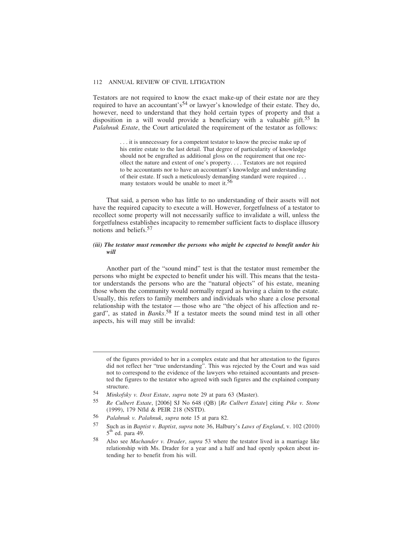Testators are not required to know the exact make-up of their estate nor are they required to have an accountant's<sup>54</sup> or lawyer's knowledge of their estate. They do, however, need to understand that they hold certain types of property and that a disposition in a will would provide a beneficiary with a valuable gift.<sup>55</sup> In *Palahnuk Estate*, the Court articulated the requirement of the testator as follows:

> . . . it is unnecessary for a competent testator to know the precise make up of his entire estate to the last detail. That degree of particularity of knowledge should not be engrafted as additional gloss on the requirement that one recollect the nature and extent of one's property. . . . Testators are not required to be accountants nor to have an accountant's knowledge and understanding of their estate. If such a meticulously demanding standard were required . . . many testators would be unable to meet it.<sup>56</sup>

That said, a person who has little to no understanding of their assets will not have the required capacity to execute a will. However, forgetfulness of a testator to recollect some property will not necessarily suffice to invalidate a will, unless the forgetfulness establishes incapacity to remember sufficient facts to displace illusory notions and beliefs.57

#### *(iii) The testator must remember the persons who might be expected to benefit under his will*

Another part of the "sound mind" test is that the testator must remember the persons who might be expected to benefit under his will. This means that the testator understands the persons who are the "natural objects" of his estate, meaning those whom the community would normally regard as having a claim to the estate. Usually, this refers to family members and individuals who share a close personal relationship with the testator — those who are "the object of his affection and regard", as stated in *Banks*. 58 If a testator meets the sound mind test in all other aspects, his will may still be invalid:

of the figures provided to her in a complex estate and that her attestation to the figures did not reflect her "true understanding". This was rejected by the Court and was said not to correspond to the evidence of the lawyers who retained accountants and presented the figures to the testator who agreed with such figures and the explained company structure.

<sup>54</sup> *Minkofsky v. Dost Estate*, *supra* note 29 at para 63 (Master).

<sup>55</sup> *Re Culbert Estate*, [2006] SJ No 648 (QB) [*Re Culbert Estate*] citing *Pike v. Stone* (1999), 179 Nfld & PEIR 218 (NSTD).

<sup>56</sup> *Palahnuk v. Palahnuk*, *supra* note 15 at para 82.

<sup>57</sup> Such as in *Baptist v. Baptist*, *supra* note 36, Halbury's *Laws of England*, v. 102 (2010)  $5<sup>th</sup>$  ed. para 49.

<sup>58</sup> Also see *Machander v. Drader*, *supra* 53 where the testator lived in a marriage like relationship with Ms. Drader for a year and a half and had openly spoken about intending her to benefit from his will.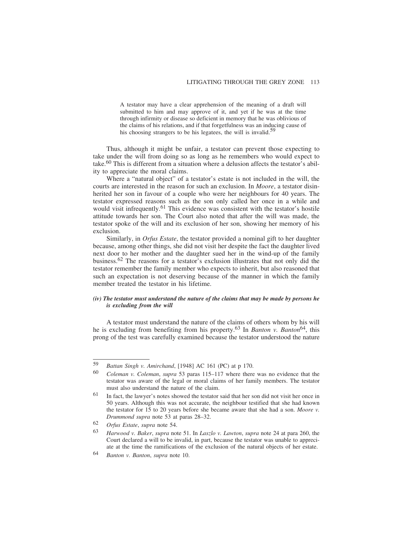A testator may have a clear apprehension of the meaning of a draft will submitted to him and may approve of it, and yet if he was at the time through infirmity or disease so deficient in memory that he was oblivious of the claims of his relations, and if that forgetfulness was an inducing cause of his choosing strangers to be his legatees, the will is invalid.<sup>5</sup>

Thus, although it might be unfair, a testator can prevent those expecting to take under the will from doing so as long as he remembers who would expect to take.<sup>60</sup> This is different from a situation where a delusion affects the testator's ability to appreciate the moral claims.

Where a "natural object" of a testator's estate is not included in the will, the courts are interested in the reason for such an exclusion. In *Moore*, a testator disinherited her son in favour of a couple who were her neighbours for 40 years. The testator expressed reasons such as the son only called her once in a while and would visit infrequently.<sup>61</sup> This evidence was consistent with the testator's hostile attitude towards her son. The Court also noted that after the will was made, the testator spoke of the will and its exclusion of her son, showing her memory of his exclusion.

Similarly, in *Orfus Estate*, the testator provided a nominal gift to her daughter because, among other things, she did not visit her despite the fact the daughter lived next door to her mother and the daughter sued her in the wind-up of the family business.62 The reasons for a testator's exclusion illustrates that not only did the testator remember the family member who expects to inherit, but also reasoned that such an expectation is not deserving because of the manner in which the family member treated the testator in his lifetime.

#### *(iv) The testator must understand the nature of the claims that may be made by persons he is excluding from the will*

A testator must understand the nature of the claims of others whom by his will he is excluding from benefiting from his property.<sup>63</sup> In *Banton v. Banton*<sup>64</sup>, this prong of the test was carefully examined because the testator understood the nature

<sup>59</sup> *Battan Singh v. Amirchand*, [1948] AC 161 (PC) at p 170.

<sup>60</sup> *Coleman v. Coleman*, *supra* 53 paras 115–117 where there was no evidence that the testator was aware of the legal or moral claims of her family members. The testator must also understand the nature of the claim.

 $61$  In fact, the lawyer's notes showed the testator said that her son did not visit her once in 50 years. Although this was not accurate, the neighbour testified that she had known the testator for 15 to 20 years before she became aware that she had a son. *Moore v. Drummond supra* note 53 at paras 28–32.

<sup>62</sup> *Orfus Estate*, *supra* note 54.

<sup>63</sup> *Harwood v. Baker*, *supra* note 51. In *Laszlo v. Lawton*, *supra* note 24 at para 260, the Court declared a will to be invalid, in part, because the testator was unable to appreciate at the time the ramifications of the exclusion of the natural objects of her estate.

<sup>64</sup> *Banton v. Banton*, *supra* note 10.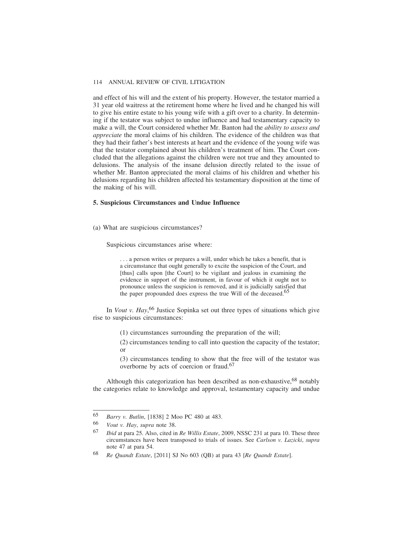and effect of his will and the extent of his property. However, the testator married a 31 year old waitress at the retirement home where he lived and he changed his will to give his entire estate to his young wife with a gift over to a charity. In determining if the testator was subject to undue influence and had testamentary capacity to make a will, the Court considered whether Mr. Banton had the *ability to assess and appreciate* the moral claims of his children. The evidence of the children was that they had their father's best interests at heart and the evidence of the young wife was that the testator complained about his children's treatment of him. The Court concluded that the allegations against the children were not true and they amounted to delusions. The analysis of the insane delusion directly related to the issue of whether Mr. Banton appreciated the moral claims of his children and whether his delusions regarding his children affected his testamentary disposition at the time of the making of his will.

#### **5. Suspicious Circumstances and Undue Influence**

(a) What are suspicious circumstances?

Suspicious circumstances arise where:

. . . a person writes or prepares a will, under which he takes a benefit, that is a circumstance that ought generally to excite the suspicion of the Court, and [thus] calls upon [the Court] to be vigilant and jealous in examining the evidence in support of the instrument, in favour of which it ought not to pronounce unless the suspicion is removed, and it is judicially satisfied that the paper propounded does express the true Will of the deceased.<sup>65</sup>

In *Vout v. Hay*, <sup>66</sup> Justice Sopinka set out three types of situations which give rise to suspicious circumstances:

(1) circumstances surrounding the preparation of the will;

(2) circumstances tending to call into question the capacity of the testator; or

(3) circumstances tending to show that the free will of the testator was overborne by acts of coercion or fraud.67

Although this categorization has been described as non-exhaustive,  $68$  notably the categories relate to knowledge and approval, testamentary capacity and undue

<sup>65</sup> *Barry v. Butlin*, [1838] 2 Moo PC 480 at 483.

<sup>66</sup> *Vout v. Hay*, *supra* note 38.

<sup>67</sup> *Ibid* at para 25. Also, cited in *Re Willis Estate*, 2009, NSSC 231 at para 10. These three circumstances have been transposed to trials of issues. See *Carlson v. Lazicki*, *supra* note 47 at para 54.

<sup>68</sup> *Re Quandt Estate*, [2011] SJ No 603 (QB) at para 43 [*Re Quandt Estate*].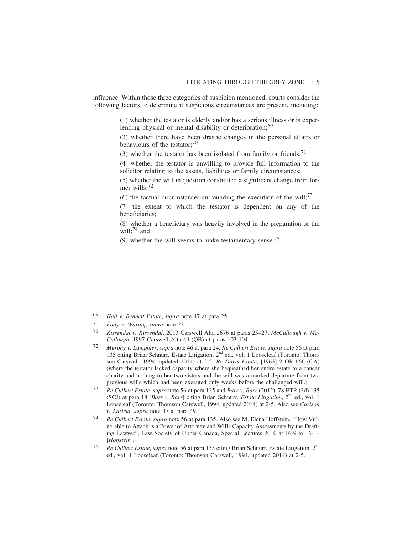influence. Within those three categories of suspicion mentioned, courts consider the following factors to determine if suspicious circumstances are present, including:

> (1) whether the testator is elderly and/or has a serious illness or is experiencing physical or mental disability or deterioration;<sup>69</sup>

> (2) whether there have been drastic changes in the personal affairs or behaviours of the testator;<sup>70</sup>

(3) whether the testator has been isolated from family or friends;<sup>71</sup>

(4) whether the testator is unwilling to provide full information to the solicitor relating to the assets, liabilities or family circumstances;

(5) whether the will in question constituted a significant change from former wills;72

(6) the factual circumstances surrounding the execution of the will;  $73$ 

(7) the extent to which the testator is dependent on any of the beneficiaries;

(8) whether a beneficiary was heavily involved in the preparation of the will; $^{74}$  and

(9) whether the will seems to make testamentary sense.<sup>75</sup>

73 *Re Culbert Estate*, *supra* note 56 at para 135 and *Barr v. Barr* (2012), 78 ETR (3d) 135 (SCJ) at para 18 [*Barr v. Barr*] citing Brian Schnurr, *Estate Litigation*, 2<sup>nd</sup> ed., vol. 1 Looseleaf (Toronto: Thomson Carswell, 1994, updated 2014) at 2-5. Also see *Carlson v. Lazicki*, *supra* note 47 at para 49.

74 *Re Culbert Estate*, *supra* note 56 at para 135. Also see M. Elena Hoffstein, "How Vulnerable to Attack is a Power of Attorney and Will? Capacity Assessments by the Drafting Lawyer", Law Society of Upper Canada, Special Lectures 2010 at 16-9 to 16-11 [*Hoffstein*].

<sup>69</sup> *Hall v. Bennett Estate*, *supra* note 47 at para 25.

<sup>70</sup> *Eady v. Waring*, *supra* note 23.

<sup>71</sup> *Kissendal v. Kissendal*, 2013 Carswell Alta 2676 at paras 25–27; *McCullough v. Mc-Cullough*, 1997 Carswell Alta 49 (QB) at paras 103-104.

<sup>72</sup> *Murphy v. Lamphier*, *supra* note 46 at para 24; *Re Culbert Estate*, *supra* note 56 at para 135 citing Brian Schnurr, Estate Litigation,  $2<sup>nd</sup>$  ed., vol. 1 Looseleaf (Toronto: Thomson Carswell, 1994, updated 2014) at 2-5; *Re Davis Estate*, [1963] 2 OR 666 (CA) (where the testator lacked capacity where she bequeathed her entire estate to a cancer charity and nothing to her two sisters and the will was a marked departure from two previous wills which had been executed only weeks before the challenged will.)

<sup>75</sup> *Re Culbert Estate*, *supra* note 56 at para 135 citing Brian Schnurr, Estate Litigation, 2nd ed., vol. 1 Looseleaf (Toronto: Thomson Carswell, 1994, updated 2014) at 2-5.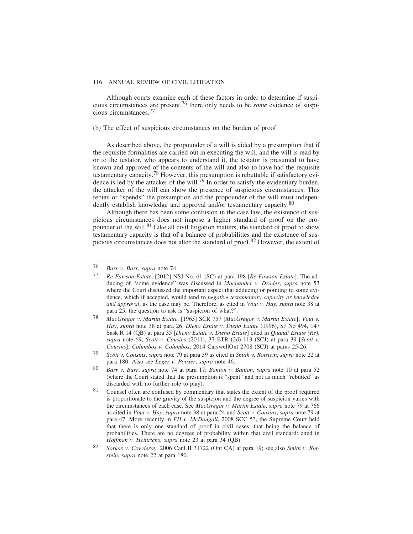Although courts examine each of these factors in order to determine if suspicious circumstances are present,76 there only needs to be *some* evidence of suspicious circumstances.77

#### (b) The effect of suspicious circumstances on the burden of proof

As described above, the propounder of a will is aided by a presumption that if the requisite formalities are carried out in executing the will, and the will is read by or to the testator, who appears to understand it, the testator is presumed to have known and approved of the contents of the will and also to have had the requisite testamentary capacity.78 However, this presumption is rebuttable if satisfactory evidence is led by the attacker of the will.<sup>79</sup> In order to satisfy the evidentiary burden, the attacker of the will can show the presence of suspicious circumstances. This rebuts or "spends" the presumption and the propounder of the will must independently establish knowledge and approval and/or testamentary capacity.<sup>80</sup>

Although there has been some confusion in the case law, the existence of suspicious circumstances does not impose a higher standard of proof on the propounder of the will.<sup>81</sup> Like all civil litigation matters, the standard of proof to show testamentary capacity is that of a balance of probabilities and the existence of suspicious circumstances does not alter the standard of proof.82 However, the extent of

<sup>76</sup> *Barr v. Barr*, *supra* note 74.

<sup>77</sup> *Re Fawson Estate*, [2012] NSJ No. 61 (SC) at para 198 [*Re Fawson Estate*]. The adducing of "some evidence" was discussed in *Machander v. Drader*, *supra* note 53 where the Court discussed the important aspect that adducing or pointing to some evidence, which if accepted, would tend to *negative testamentary capacity or knowledge and approval*, as the case may be. Therefore, as cited in *Vout v. Hay*, *supra* note 38 at para 25, the question to ask is "suspicion of what?".

<sup>78</sup> *MacGregor v. Martin Estate*, [1965] SCR 757 [*MacGregor v. Martin Estate*]; *Vout v. Hay*, *supra* note 38 at para 26. *Dieno Estate v. Dieno Estate* (1996), SJ No 494, 147 Sask R 14 (QB) at para 35 [*Dieno Estate v. Dieno Estate*] cited in *Quandt Estate (Re)*, *supra* note 69; *Scott v. Cousins* (2011), 37 ETR (2d) 113 (SCJ) at para 39 [*Scott v. Cousins*]; *Columbos v. Columbos*, 2014 CarswellOnt 2708 (SCJ) at paras 25-26.

<sup>79</sup> *Scott v. Cousins*, *supra* note 79 at para 39 as cited in *Smith v. Rotstein*, *supra* note 22 at para 180. Also see *Leger v. Poirier*, *supra* note 46.

<sup>80</sup> *Barr v. Barr*, *supra* note 74 at para 17; *Banton v. Banton*, *supra* note 10 at para 52 (where the Court stated that the presumption is "spent" and not as much "rebutted" as discarded with no further role to play).

<sup>81</sup> Counsel often are confused by commentary that states the extent of the proof required is proportionate to the gravity of the suspicion and the degree of suspicion varies with the circumstances of each case. See *MacGregor v. Martin Estate*, *supra* note 79 at 766 as cited in *Vout v. Hay*, *supra* note 38 at para 24 and *Scott v. Cousins*, *supra* note 79 at para 47. More recently in *FH v. McDougall*, 2008 SCC 53, the Supreme Court held that there is only one standard of proof in civil cases, that being the balance of probabilities. There are no degrees of probability within that civil standard: cited in *Hoffman v. Heinrichs*, *supra* note 23 at para 34 (QB).

<sup>82</sup> *Sorkos v. Cowderoy*, 2006 CanLII 31722 (Ont CA) at para 19; see also *Smith v. Rotstein*, *supra* note 22 at para 180.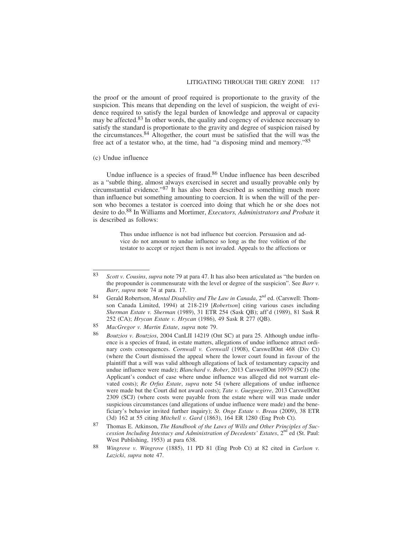the proof or the amount of proof required is proportionate to the gravity of the suspicion. This means that depending on the level of suspicion, the weight of evidence required to satisfy the legal burden of knowledge and approval or capacity may be affected.83 In other words, the quality and cogency of evidence necessary to satisfy the standard is proportionate to the gravity and degree of suspicion raised by the circumstances.84 Altogether, the court must be satisfied that the will was the free act of a testator who, at the time, had "a disposing mind and memory."<sup>85</sup>

#### (c) Undue influence

Undue influence is a species of fraud.<sup>86</sup> Undue influence has been described as a "subtle thing, almost always exercised in secret and usually provable only by circumstantial evidence."87 It has also been described as something much more than influence but something amounting to coercion. It is when the will of the person who becomes a testator is coerced into doing that which he or she does not desire to do.88 In Williams and Mortimer, *Executors, Administrators and Probate* it is described as follows:

> Thus undue influence is not bad influence but coercion. Persuasion and advice do not amount to undue influence so long as the free volition of the testator to accept or reject them is not invaded. Appeals to the affections or

<sup>83</sup> *Scott v. Cousins*, *supra* note 79 at para 47. It has also been articulated as "the burden on the propounder is commensurate with the level or degree of the suspicion". See *Barr v. Barr*, *supra* note 74 at para. 17.

<sup>84</sup> Gerald Robertson, *Mental Disability and The Law in Canada*, 2<sup>nd</sup> ed. (Carswell: Thomson Canada Limited, 1994) at 218-219 [*Robertson*] citing various cases including *Sherman Estate v. Sherman* (1989), 31 ETR 254 (Sask QB); aff'd (1989), 81 Sask R 252 (CA); *Hrycan Estate v. Hrycan* (1986), 49 Sask R 277 (QB).

<sup>85</sup> *MacGregor v. Martin Estate*, *supra* note 79.

<sup>86</sup> *Boutzios v. Boutzios*, 2004 CanLII 14219 (Ont SC) at para 25. Although undue influence is a species of fraud, in estate matters, allegations of undue influence attract ordinary costs consequences. *Cornwall v. Cornwall* (1908), CarswellOnt 468 (Div Ct) (where the Court dismissed the appeal where the lower court found in favour of the plaintiff that a will was valid although allegations of lack of testamentary capacity and undue influence were made); *Blanchard v. Bober*, 2013 CarswellOnt 10979 (SCJ) (the Applicant's conduct of case where undue influence was alleged did not warrant elevated costs); *Re Orfus Estate*, *supra* note 54 (where allegations of undue influence were made but the Court did not award costs); *Tate v. Gueguegirre*, 2013 CarswellOnt 2309 (SCJ) (where costs were payable from the estate where will was made under suspicious circumstances (and allegations of undue influence were made) and the beneficiary's behavior invited further inquiry); *St. Onge Estate v. Breau* (2009), 38 ETR (3d) 162 at 55 citing *Mitchell v. Gard* (1863), 164 ER 1280 (Eng Prob Ct).

<sup>87</sup> Thomas E. Atkinson, *The Handbook of the Laws of Wills and Other Principles of Succession Including Intestacy and Administration of Decedents' Estates*, 2<sup>nd</sup> ed (St. Paul: West Publishing, 1953) at para 638.

<sup>88</sup> *Wingrove v. Wingrove* (1885), 11 PD 81 (Eng Prob Ct) at 82 cited in *Carlson v. Lazicki*, *supra* note 47.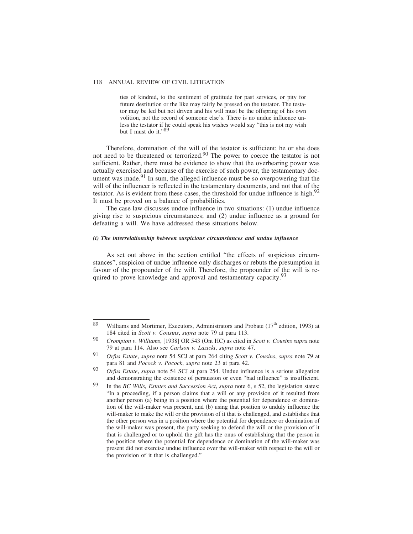ties of kindred, to the sentiment of gratitude for past services, or pity for future destitution or the like may fairly be pressed on the testator. The testator may be led but not driven and his will must be the offspring of his own volition, not the record of someone else's. There is no undue influence unless the testator if he could speak his wishes would say "this is not my wish but I must do it."89

Therefore, domination of the will of the testator is sufficient; he or she does not need to be threatened or terrorized.<sup>90</sup> The power to coerce the testator is not sufficient. Rather, there must be evidence to show that the overbearing power was actually exercised and because of the exercise of such power, the testamentary document was made.<sup>91</sup> In sum, the alleged influence must be so overpowering that the will of the influencer is reflected in the testamentary documents, and not that of the testator. As is evident from these cases, the threshold for undue influence is high. $92$ It must be proved on a balance of probabilities.

The case law discusses undue influence in two situations: (1) undue influence giving rise to suspicious circumstances; and (2) undue influence as a ground for defeating a will. We have addressed these situations below.

## *(i) The interrelationship between suspicious circumstances and undue influence*

As set out above in the section entitled "the effects of suspicious circumstances", suspicion of undue influence only discharges or rebuts the presumption in favour of the propounder of the will. Therefore, the propounder of the will is required to prove knowledge and approval and testamentary capacity.<sup>93</sup>

<sup>89</sup> Williams and Mortimer, Executors, Administrators and Probate  $(17<sup>th</sup>$  edition, 1993) at 184 cited in *Scott v. Cousins*, *supra* note 79 at para 113.

<sup>90</sup> *Crompton v. Williams*, [1938] OR 543 (Ont HC) as cited in *Scott v. Cousins supra* note 79 at para 114. Also see *Carlson v. Lazicki*, *supra* note 47.

<sup>91</sup> *Orfus Estate*, *supra* note 54 SCJ at para 264 citing *Scott v. Cousins*, *supra* note 79 at para 81 and *Pocock v. Pocock*, *supra* note 23 at para 42.

<sup>92</sup> *Orfus Estate*, *supra* note 54 SCJ at para 254. Undue influence is a serious allegation and demonstrating the existence of persuasion or even "bad influence" is insufficient.

<sup>93</sup> In the *BC Wills, Estates and Succession Act*, *supra* note 6, s 52, the legislation states: "In a proceeding, if a person claims that a will or any provision of it resulted from another person (a) being in a position where the potential for dependence or domination of the will-maker was present, and (b) using that position to unduly influence the will-maker to make the will or the provision of it that is challenged, and establishes that the other person was in a position where the potential for dependence or domination of the will-maker was present, the party seeking to defend the will or the provision of it that is challenged or to uphold the gift has the onus of establishing that the person in the position where the potential for dependence or domination of the will-maker was present did not exercise undue influence over the will-maker with respect to the will or the provision of it that is challenged."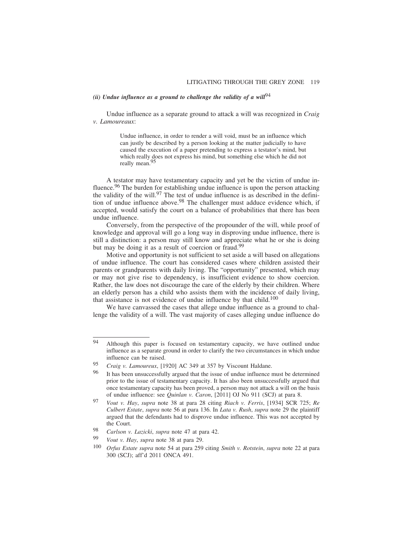# *(ii) Undue influence as a ground to challenge the validity of a will*<sup>94</sup>

Undue influence as a separate ground to attack a will was recognized in *Craig v. Lamoureaux*:

> Undue influence, in order to render a will void, must be an influence which can justly be described by a person looking at the matter judicially to have caused the execution of a paper pretending to express a testator's mind, but which really does not express his mind, but something else which he did not really mean.95

A testator may have testamentary capacity and yet be the victim of undue influence.<sup>96</sup> The burden for establishing undue influence is upon the person attacking the validity of the will.<sup>97</sup> The test of undue influence is as described in the definition of undue influence above.98 The challenger must adduce evidence which, if accepted, would satisfy the court on a balance of probabilities that there has been undue influence.

Conversely, from the perspective of the propounder of the will, while proof of knowledge and approval will go a long way in disproving undue influence, there is still a distinction: a person may still know and appreciate what he or she is doing but may be doing it as a result of coercion or fraud.<sup>99</sup>

Motive and opportunity is not sufficient to set aside a will based on allegations of undue influence. The court has considered cases where children assisted their parents or grandparents with daily living. The "opportunity" presented, which may or may not give rise to dependency, is insufficient evidence to show coercion. Rather, the law does not discourage the care of the elderly by their children. Where an elderly person has a child who assists them with the incidence of daily living, that assistance is not evidence of undue influence by that child.<sup>100</sup>

We have canvassed the cases that allege undue influence as a ground to challenge the validity of a will. The vast majority of cases alleging undue influence do

<sup>94</sup> Although this paper is focused on testamentary capacity, we have outlined undue influence as a separate ground in order to clarify the two circumstances in which undue influence can be raised.

<sup>95</sup> *Craig v. Lamoureux*, [1920] AC 349 at 357 by Viscount Haldane.

<sup>&</sup>lt;sup>96</sup> It has been unsuccessfully argued that the issue of undue influence must be determined prior to the issue of testamentary capacity. It has also been unsuccessfully argued that once testamentary capacity has been proved, a person may not attack a will on the basis of undue influence: see *Quinlan v. Caron*, [2011] OJ No 911 (SCJ) at para 8.

<sup>97</sup> *Vout v. Hay*, *supra* note 38 at para 28 citing *Riach v. Ferris*, [1934] SCR 725; *Re Culbert Estate*, *supra* note 56 at para 136. In *Lata v. Rush*, *supra* note 29 the plaintiff argued that the defendants had to disprove undue influence. This was not accepted by the Court.

<sup>98</sup> *Carlson v. Lazicki*, *supra* note 47 at para 42.

*Vout v. Hay, supra* note 38 at para 29.

<sup>100</sup> *Orfus Estate supra* note 54 at para 259 citing *Smith v. Rotstein*, *supra* note 22 at para 300 (SCJ); aff'd 2011 ONCA 491.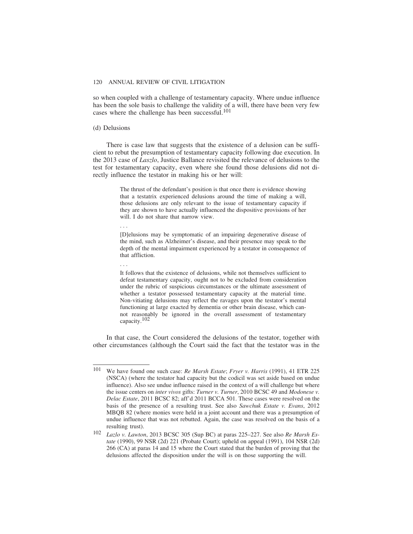so when coupled with a challenge of testamentary capacity. Where undue influence has been the sole basis to challenge the validity of a will, there have been very few cases where the challenge has been successful.<sup>101</sup>

#### (d) Delusions

There is case law that suggests that the existence of a delusion can be sufficient to rebut the presumption of testamentary capacity following due execution. In the 2013 case of *Laszlo*, Justice Ballance revisited the relevance of delusions to the test for testamentary capacity, even where she found those delusions did not directly influence the testator in making his or her will:

> The thrust of the defendant's position is that once there is evidence showing that a testatrix experienced delusions around the time of making a will, those delusions are only relevant to the issue of testamentary capacity if they are shown to have actually influenced the dispositive provisions of her will. I do not share that narrow view.

...

[D]elusions may be symptomatic of an impairing degenerative disease of the mind, such as Alzheimer's disease, and their presence may speak to the depth of the mental impairment experienced by a testator in consequence of that affliction.

...

It follows that the existence of delusions, while not themselves sufficient to defeat testamentary capacity, ought not to be excluded from consideration under the rubric of suspicious circumstances or the ultimate assessment of whether a testator possessed testamentary capacity at the material time. Non-vitiating delusions may reflect the ravages upon the testator's mental functioning at large exacted by dementia or other brain disease, which cannot reasonably be ignored in the overall assessment of testamentary capacity.<sup>102</sup>

In that case, the Court considered the delusions of the testator, together with other circumstances (although the Court said the fact that the testator was in the

<sup>101</sup> We have found one such case: *Re Marsh Estate*; *Fryer v. Harris* (1991), 41 ETR 225 (NSCA) (where the testator had capacity but the codicil was set aside based on undue influence). Also see undue influence raised in the context of a will challenge but where the issue centers on *inter vivos* gifts: *Turner v. Turner*, 2010 BCSC 49 and *Modonese v. Delac Estate*, 2011 BCSC 82; aff'd 2011 BCCA 501. These cases were resolved on the basis of the presence of a resulting trust. See also *Sawchuk Estate v. Evans*, 2012 MBQB 82 (where monies were held in a joint account and there was a presumption of undue influence that was not rebutted. Again, the case was resolved on the basis of a resulting trust).

<sup>102</sup> *Lazlo v. Lawton*, 2013 BCSC 305 (Sup BC) at paras 225–227. See also *Re Marsh Estate* (1990), 99 NSR (2d) 221 (Probate Court); upheld on appeal (1991), 104 NSR (2d) 266 (CA) at paras 14 and 15 where the Court stated that the burden of proving that the delusions affected the disposition under the will is on those supporting the will.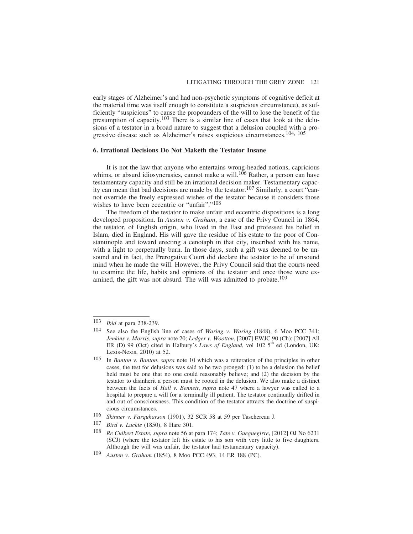early stages of Alzheimer's and had non-psychotic symptoms of cognitive deficit at the material time was itself enough to constitute a suspicious circumstance), as sufficiently "suspicious" to cause the propounders of the will to lose the benefit of the presumption of capacity.103 There is a similar line of cases that look at the delusions of a testator in a broad nature to suggest that a delusion coupled with a progressive disease such as Alzheimer's raises suspicious circumstances.104, 105

#### **6. Irrational Decisions Do Not Maketh the Testator Insane**

It is not the law that anyone who entertains wrong-headed notions, capricious whims, or absurd idiosyncrasies, cannot make a will.<sup>106</sup> Rather, a person can have testamentary capacity and still be an irrational decision maker. Testamentary capacity can mean that bad decisions are made by the testator.107 Similarly, a court "cannot override the freely expressed wishes of the testator because it considers those wishes to have been eccentric or "unfair"."<sup>108</sup>

The freedom of the testator to make unfair and eccentric dispositions is a long developed proposition. In *Austen v. Graham*, a case of the Privy Council in 1864, the testator, of English origin, who lived in the East and professed his belief in Islam, died in England. His will gave the residue of his estate to the poor of Constantinople and toward erecting a cenotaph in that city, inscribed with his name, with a light to perpetually burn. In those days, such a gift was deemed to be unsound and in fact, the Prerogative Court did declare the testator to be of unsound mind when he made the will. However, the Privy Council said that the courts need to examine the life, habits and opinions of the testator and once those were examined, the gift was not absurd. The will was admitted to probate.<sup>109</sup>

107 *Bird v. Luckie* (1850), 8 Hare 301.

<sup>103</sup> *Ibid* at para 238-239.

<sup>104</sup> See also the English line of cases of *Waring v. Waring* (1848), 6 Moo PCC 341; *Jenkins v. Morris*, *supra* note 20; *Ledger v. Wootton*, [2007] EWJC 90 (Ch); [2007] All ER (D) 99 (Oct) cited in Halbury's *Laws of England*, vol 102 5<sup>th</sup> ed (London, UK: Lexis-Nexis, 2010) at 52.

<sup>105</sup> In *Banton v. Banton*, *supra* note 10 which was a reiteration of the principles in other cases, the test for delusions was said to be two pronged: (1) to be a delusion the belief held must be one that no one could reasonably believe; and (2) the decision by the testator to disinherit a person must be rooted in the delusion. We also make a distinct between the facts of *Hall v. Bennett*, *supra* note 47 where a lawyer was called to a hospital to prepare a will for a terminally ill patient. The testator continually drifted in and out of consciousness. This condition of the testator attracts the doctrine of suspicious circumstances.

<sup>106</sup> *Skinner v. Farquharson* (1901), 32 SCR 58 at 59 per Taschereau J.

<sup>108</sup> *Re Culbert Estate*, *supra* note 56 at para 174; *Tate v. Gueguegirre*, [2012] OJ No 6231 (SCJ) (where the testator left his estate to his son with very little to five daughters. Although the will was unfair, the testator had testamentary capacity).

<sup>109</sup> *Austen v. Graham* (1854), 8 Moo PCC 493, 14 ER 188 (PC).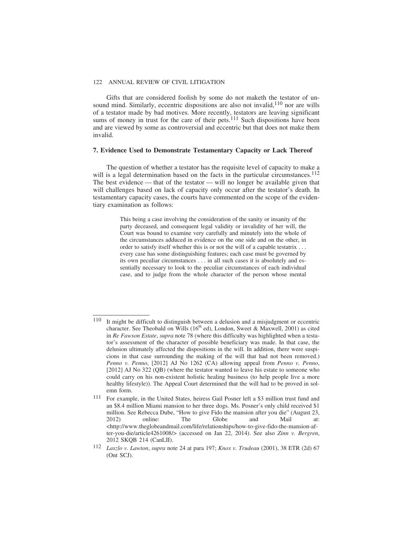Gifts that are considered foolish by some do not maketh the testator of unsound mind. Similarly, eccentric dispositions are also not invalid,  $110$  nor are wills of a testator made by bad motives. More recently, testators are leaving significant sums of money in trust for the care of their pets.<sup>111</sup> Such dispositions have been and are viewed by some as controversial and eccentric but that does not make them invalid.

#### **7. Evidence Used to Demonstrate Testamentary Capacity or Lack Thereof**

The question of whether a testator has the requisite level of capacity to make a will is a legal determination based on the facts in the particular circumstances.<sup>112</sup> The best evidence — that of the testator — will no longer be available given that will challenges based on lack of capacity only occur after the testator's death. In testamentary capacity cases, the courts have commented on the scope of the evidentiary examination as follows:

> This being a case involving the consideration of the sanity or insanity of the party deceased, and consequent legal validity or invalidity of her will, the Court was bound to examine very carefully and minutely into the whole of the circumstances adduced in evidence on the one side and on the other, in order to satisfy itself whether this is or not the will of a capable testatrix . . . every case has some distinguishing features; each case must be governed by its own peculiar circumstances . . . in all such cases it is absolutely and essentially necessary to look to the peculiar circumstances of each individual case, and to judge from the whole character of the person whose mental

<sup>110</sup> It might be difficult to distinguish between a delusion and a misjudgment or eccentric character. See Theobald on Wills  $(16<sup>th</sup>$  ed), London, Sweet & Maxwell, 2001) as cited in *Re Fawson Estate*, *supra* note 78 (where this difficulty was highlighted when a testator's assessment of the character of possible beneficiary was made. In that case, the delusion ultimately affected the dispositions in the will. In addition, there were suspicions in that case surrounding the making of the will that had not been removed.) *Penno v. Penno*, [2012] AJ No 1262 (CA) allowing appeal from *Penno v. Penno*, [2012] AJ No 322 (QB) (where the testator wanted to leave his estate to someone who could carry on his non-existent holistic healing business (to help people live a more healthy lifestyle)). The Appeal Court determined that the will had to be proved in solemn form.

<sup>111</sup> For example, in the United States, heiress Gail Posner left a \$3 million trust fund and an \$8.4 million Miami mansion to her three dogs. Ms. Posner's only child received \$1 million. See Rebecca Dube, "How to give Fido the mansion after you die" (August 23, 2012) online: The Globe and Mail at: <http://www.theglobeandmail.com/life/relationships/how-to-give-fido-the-mansion-after-you-die/article4261008/> (accessed on Jan 22, 2014). See also *Zinn v. Bergren*, 2012 SKQB 214 (CanLII).

<sup>112</sup> *Laszlo v. Lawton*, *supra* note 24 at para 197; *Knox v. Trudeau* (2001), 38 ETR (2d) 67 (Ont SCJ).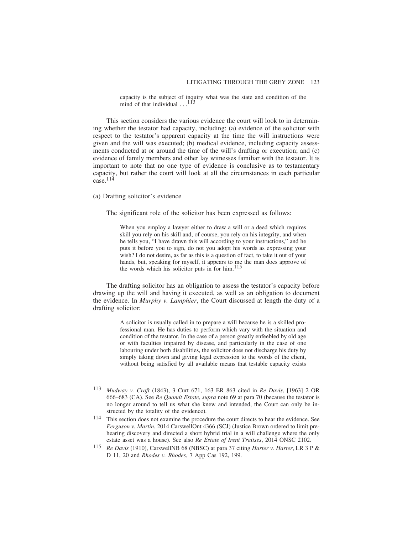capacity is the subject of inquiry what was the state and condition of the mind of that individual  $\dots$ <sup>113</sup>

This section considers the various evidence the court will look to in determining whether the testator had capacity, including: (a) evidence of the solicitor with respect to the testator's apparent capacity at the time the will instructions were given and the will was executed; (b) medical evidence, including capacity assessments conducted at or around the time of the will's drafting or execution; and (c) evidence of family members and other lay witnesses familiar with the testator. It is important to note that no one type of evidence is conclusive as to testamentary capacity, but rather the court will look at all the circumstances in each particular case. $114$ 

(a) Drafting solicitor's evidence

The significant role of the solicitor has been expressed as follows:

When you employ a lawyer either to draw a will or a deed which requires skill you rely on his skill and, of course, you rely on his integrity, and when he tells you, "I have drawn this will according to your instructions," and he puts it before you to sign, do not you adopt his words as expressing your wish? I do not desire, as far as this is a question of fact, to take it out of your hands, but, speaking for myself, it appears to me the man does approve of the words which his solicitor puts in for him.<sup>115</sup>

The drafting solicitor has an obligation to assess the testator's capacity before drawing up the will and having it executed, as well as an obligation to document the evidence. In *Murphy v. Lamphier*, the Court discussed at length the duty of a drafting solicitor:

> A solicitor is usually called in to prepare a will because he is a skilled professional man. He has duties to perform which vary with the situation and condition of the testator. In the case of a person greatly enfeebled by old age or with faculties impaired by disease, and particularly in the case of one labouring under both disabilities, the solicitor does not discharge his duty by simply taking down and giving legal expression to the words of the client, without being satisfied by all available means that testable capacity exists

<sup>113</sup> *Mudway v. Croft* (1843), 3 Curt 671, 163 ER 863 cited in *Re Davis*, [1963] 2 OR 666–683 (CA). See *Re Quandt Estate*, *supra* note 69 at para 70 (because the testator is no longer around to tell us what she knew and intended, the Court can only be instructed by the totality of the evidence).

<sup>114</sup> This section does not examine the procedure the court directs to hear the evidence. See *Ferguson v. Martin*, 2014 CarswellOnt 4366 (SCJ) (Justice Brown ordered to limit prehearing discovery and directed a short hybrid trial in a will challenge where the only estate asset was a house). See also *Re Estate of Ireni Traitses*, 2014 ONSC 2102.

<sup>115</sup> *Re Davis* (1910), CarswellNB 68 (NBSC) at para 37 citing *Harter v. Harter*, LR 3 P & D 11, 20 and *Rhodes v. Rhodes*, 7 App Cas 192, 199.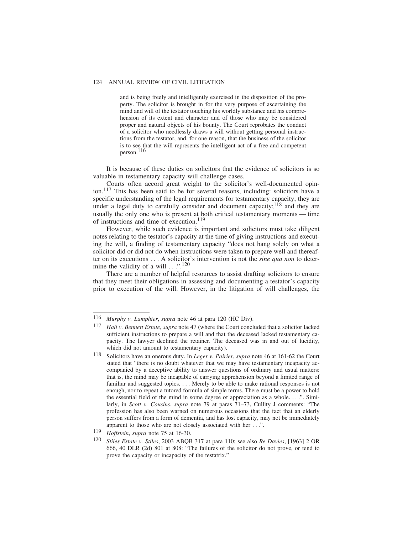and is being freely and intelligently exercised in the disposition of the property. The solicitor is brought in for the very purpose of ascertaining the mind and will of the testator touching his worldly substance and his comprehension of its extent and character and of those who may be considered proper and natural objects of his bounty. The Court reprobates the conduct of a solicitor who needlessly draws a will without getting personal instructions from the testator, and, for one reason, that the business of the solicitor is to see that the will represents the intelligent act of a free and competent person.<sup>116</sup>

It is because of these duties on solicitors that the evidence of solicitors is so valuable in testamentary capacity will challenge cases.

Courts often accord great weight to the solicitor's well-documented opinion.117 This has been said to be for several reasons, including: solicitors have a specific understanding of the legal requirements for testamentary capacity; they are under a legal duty to carefully consider and document capacity;<sup>118</sup> and they are usually the only one who is present at both critical testamentary moments — time of instructions and time of execution.<sup>119</sup>

However, while such evidence is important and solicitors must take diligent notes relating to the testator's capacity at the time of giving instructions and executing the will, a finding of testamentary capacity "does not hang solely on what a solicitor did or did not do when instructions were taken to prepare well and thereafter on its executions . . . A solicitor's intervention is not the *sine qua non* to determine the validity of a will  $\dots$ ".<sup>120</sup>

There are a number of helpful resources to assist drafting solicitors to ensure that they meet their obligations in assessing and documenting a testator's capacity prior to execution of the will. However, in the litigation of will challenges, the

<sup>116</sup> *Murphy v. Lamphier*, *supra* note 46 at para 120 (HC Div).<br>117 *Hall v. Bannett Estate, supra* note 47 (where the Court concl

Hall v. Bennett Estate, *supra* note 47 (where the Court concluded that a solicitor lacked sufficient instructions to prepare a will and that the deceased lacked testamentary capacity. The lawyer declined the retainer. The deceased was in and out of lucidity, which did not amount to testamentary capacity).

<sup>118</sup> Solicitors have an onerous duty. In *Leger v. Poirier*, *supra* note 46 at 161-62 the Court stated that "there is no doubt whatever that we may have testamentary incapacity accompanied by a deceptive ability to answer questions of ordinary and usual matters: that is, the mind may be incapable of carrying apprehension beyond a limited range of familiar and suggested topics. . . . Merely to be able to make rational responses is not enough, nor to repeat a tutored formula of simple terms. There must be a power to hold the essential field of the mind in some degree of appreciation as a whole. . . .". Similarly, in *Scott v. Cousins*, *supra* note 79 at paras 71–73, Cullity J comments: "The profession has also been warned on numerous occasions that the fact that an elderly person suffers from a form of dementia, and has lost capacity, may not be immediately apparent to those who are not closely associated with her . . .".

<sup>119</sup> *Hoffstein*, *supra* note 75 at 16-30.

<sup>120</sup> *Stiles Estate v. Stiles*, 2003 ABQB 317 at para 110; see also *Re Davies*, [1963] 2 OR 666, 40 DLR (2d) 801 at 808: "The failures of the solicitor do not prove, or tend to prove the capacity or incapacity of the testatrix."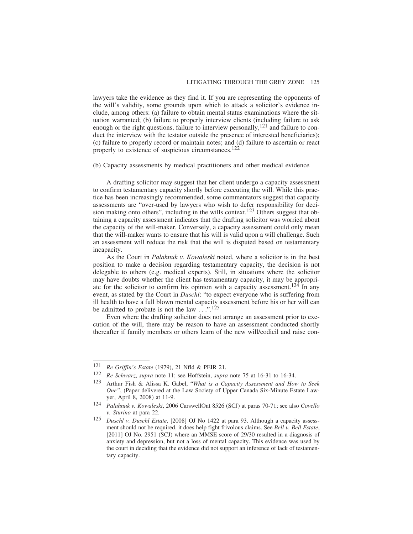lawyers take the evidence as they find it. If you are representing the opponents of the will's validity, some grounds upon which to attack a solicitor's evidence include, among others: (a) failure to obtain mental status examinations where the situation warranted; (b) failure to properly interview clients (including failure to ask enough or the right questions, failure to interview personally,<sup>121</sup> and failure to conduct the interview with the testator outside the presence of interested beneficiaries); (c) failure to properly record or maintain notes; and (d) failure to ascertain or react properly to existence of suspicious circumstances.122

(b) Capacity assessments by medical practitioners and other medical evidence

A drafting solicitor may suggest that her client undergo a capacity assessment to confirm testamentary capacity shortly before executing the will. While this practice has been increasingly recommended, some commentators suggest that capacity assessments are "over-used by lawyers who wish to defer responsibility for decision making onto others", including in the wills context.<sup>123</sup> Others suggest that obtaining a capacity assessment indicates that the drafting solicitor was worried about the capacity of the will-maker. Conversely, a capacity assessment could only mean that the will-maker wants to ensure that his will is valid upon a will challenge. Such an assessment will reduce the risk that the will is disputed based on testamentary incapacity.

As the Court in *Palahnuk v. Kowaleski* noted, where a solicitor is in the best position to make a decision regarding testamentary capacity, the decision is not delegable to others (e.g. medical experts). Still, in situations where the solicitor may have doubts whether the client has testamentary capacity, it may be appropriate for the solicitor to confirm his opinion with a capacity assessment.124 In any event, as stated by the Court in *Duschl*: "to expect everyone who is suffering from ill health to have a full blown mental capacity assessment before his or her will can be admitted to probate is not the law  $\ldots$  ...<sup>125</sup>

Even where the drafting solicitor does not arrange an assessment prior to execution of the will, there may be reason to have an assessment conducted shortly thereafter if family members or others learn of the new will/codicil and raise con-

<sup>121</sup> *Re Griffin's Estate* (1979), 21 Nfld & PEIR 21.

<sup>122</sup> *Re Schwarz*, *supra* note 11; see Hoffstein, *supra* note 75 at 16-31 to 16-34.

<sup>123</sup> Arthur Fish & Alissa K. Gabel, "*What is a Capacity Assessment and How to Seek One"*, (Paper delivered at the Law Society of Upper Canada Six-Minute Estate Lawyer, April 8, 2008) at 11-9.

<sup>124</sup> *Palahnuk v. Kowaleski*, 2006 CarswellOnt 8526 (SCJ) at paras 70-71; see also *Covello v. Sturino* at para 22.

<sup>125</sup> *Duschl v. Duschl Estate*, [2008] OJ No 1422 at para 93. Although a capacity assessment should not be required, it does help fight frivolous claims. See *Bell v. Bell Estate*, [2011] OJ No. 2951 (SCJ) where an MMSE score of 29/30 resulted in a diagnosis of anxiety and depression, but not a loss of mental capacity. This evidence was used by the court in deciding that the evidence did not support an inference of lack of testamentary capacity.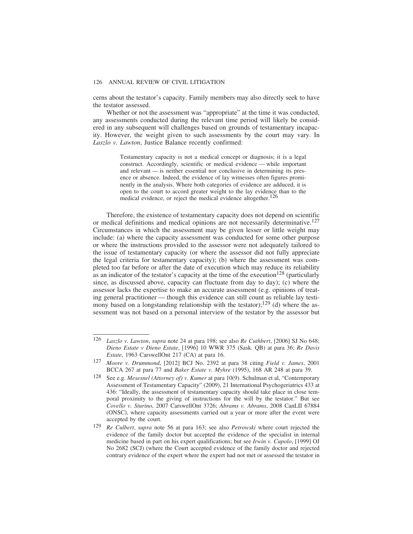cerns about the testator's capacity. Family members may also directly seek to have the testator assessed.

Whether or not the assessment was "appropriate" at the time it was conducted, any assessments conducted during the relevant time period will likely be considered in any subsequent will challenges based on grounds of testamentary incapacity. However, the weight given to such assessments by the court may vary. In *Laszlo v. Lawton*, Justice Balance recently confirmed:

> Testamentary capacity is not a medical concept or diagnosis; it is a legal construct. Accordingly, scientific or medical evidence — while important and relevant — is neither essential nor conclusive in determining its presence or absence. Indeed, the evidence of lay witnesses often figures prominently in the analysis. Where both categories of evidence are adduced, it is open to the court to accord greater weight to the lay evidence than to the medical evidence, or reject the medical evidence altogether.<sup>126</sup>

Therefore, the existence of testamentary capacity does not depend on scientific or medical definitions and medical opinions are not necessarily determinative.<sup>127</sup> Circumstances in which the assessment may be given lesser or little weight may include: (a) where the capacity assessment was conducted for some other purpose or where the instructions provided to the assessor were not adequately tailored to the issue of testamentary capacity (or where the assessor did not fully appreciate the legal criteria for testamentary capacity); (b) where the assessment was completed too far before or after the date of execution which may reduce its reliability as an indicator of the testator's capacity at the time of the execution<sup>128</sup> (particularly since, as discussed above, capacity can fluctuate from day to day); (c) where the assessor lacks the expertise to make an accurate assessment (e.g. opinions of treating general practitioner — though this evidence can still count as reliable lay testimony based on a longstanding relationship with the testator);<sup>129</sup> (d) where the assessment was not based on a personal interview of the testator by the assessor but

<sup>126</sup> *Laszlo v. Lawton*, *supra* note 24 at para 198; see also *Re Cuthbert*, [2006] SJ No 648; *Dieno Estate v Dieno Estate*, [1996] 10 WWR 375 (Sask. QB) at para 36; *Re Davis Estate*, 1963 CarswellOnt 217 (CA) at para 16.

<sup>127</sup> *Moore v. Drummond*, [2012] BCJ No. 2392 at para 38 citing *Field v. James*, 2001 BCCA 267 at para 77 and *Baker Estate v. Myhre* (1995), 168 AR 248 at para 39.

<sup>128</sup> See e.g. *Mesesnel (Attorney of) v. Kumer* at para 10(9). Schulman et al, "Contemporary Assessment of Testamentary Capacity" (2009), 21 International Psychogeriatrics 433 at 436: "Ideally, the assessment of testamentary capacity should take place in close temporal proximity to the giving of instructions for the will by the testator." But see *Covello v. Sturino*, 2007 CarswellOnt 3726; *Abrams v. Abrams*, 2008 CanLII 67884 (ONSC), where capacity assessments carried out a year or more after the event were accepted by the court.

<sup>129</sup> *Re Culbert*, *supra* note 56 at para 163; see also *Petrowski* where court rejected the evidence of the family doctor but accepted the evidence of the specialist in internal medicine based in part on his expert qualifications; but see *Irwin v. Cupolo*, [1999] OJ No 2682 (SCJ) (where the Court accepted evidence of the family doctor and rejected contrary evidence of the expert where the expert had not met or assessed the testator in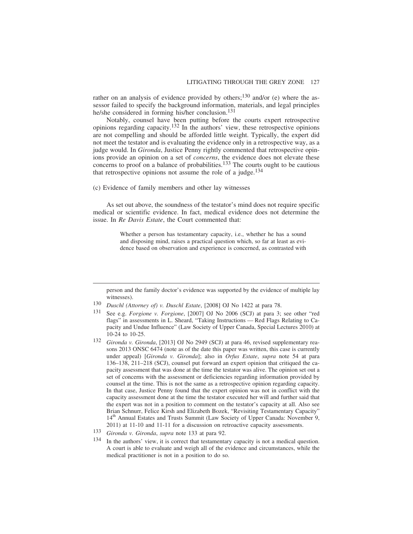rather on an analysis of evidence provided by others;<sup>130</sup> and/or (e) where the assessor failed to specify the background information, materials, and legal principles he/she considered in forming his/her conclusion.<sup>131</sup>

Notably, counsel have been putting before the courts expert retrospective opinions regarding capacity.132 In the authors' view, these retrospective opinions are not compelling and should be afforded little weight. Typically, the expert did not meet the testator and is evaluating the evidence only in a retrospective way, as a judge would. In *Gironda*, Justice Penny rightly commented that retrospective opinions provide an opinion on a set of *concerns*, the evidence does not elevate these concerns to proof on a balance of probabilities.133 The courts ought to be cautious that retrospective opinions not assume the role of a judge.<sup>134</sup>

(c) Evidence of family members and other lay witnesses

As set out above, the soundness of the testator's mind does not require specific medical or scientific evidence. In fact, medical evidence does not determine the issue. In *Re Davis Estate*, the Court commented that:

> Whether a person has testamentary capacity, i.e., whether he has a sound and disposing mind, raises a practical question which, so far at least as evidence based on observation and experience is concerned, as contrasted with

person and the family doctor's evidence was supported by the evidence of multiple lay witnesses).

<sup>130</sup> *Duschl (Attorney of) v. Duschl Estate*, [2008] OJ No 1422 at para 78.

<sup>131</sup> See e.g. *Forgione v. Forgione*, [2007] OJ No 2006 (SCJ) at para 3; see other "red flags" in assessments in L. Sheard, "Taking Instructions — Red Flags Relating to Capacity and Undue Influence" (Law Society of Upper Canada, Special Lectures 2010) at 10-24 to 10-25.

<sup>132</sup> *Gironda v. Gironda*, [2013] OJ No 2949 (SCJ) at para 46, revised supplementary reasons 2013 ONSC 6474 (note as of the date this paper was written, this case is currently under appeal) [*Gironda v. Gironda*]; also in *Orfus Estate*, *supra* note 54 at para 136–138, 211–218 (SCJ), counsel put forward an expert opinion that critiqued the capacity assessment that was done at the time the testator was alive. The opinion set out a set of concerns with the assessment or deficiencies regarding information provided by counsel at the time. This is not the same as a retrospective opinion regarding capacity. In that case, Justice Penny found that the expert opinion was not in conflict with the capacity assessment done at the time the testator executed her will and further said that the expert was not in a position to comment on the testator's capacity at all. Also see Brian Schnurr, Felice Kirsh and Elizabeth Bozek, "Revisiting Testamentary Capacity" 14<sup>th</sup> Annual Estates and Trusts Summit (Law Society of Upper Canada: November 9, 2011) at 11-10 and 11-11 for a discussion on retroactive capacity assessments.

<sup>133</sup> *Gironda v. Gironda, supra* note 133 at para 92.<br><sup>134</sup> In the outbors' view it is correct that testamenta

In the authors' view, it is correct that testamentary capacity is not a medical question. A court is able to evaluate and weigh all of the evidence and circumstances, while the medical practitioner is not in a position to do so.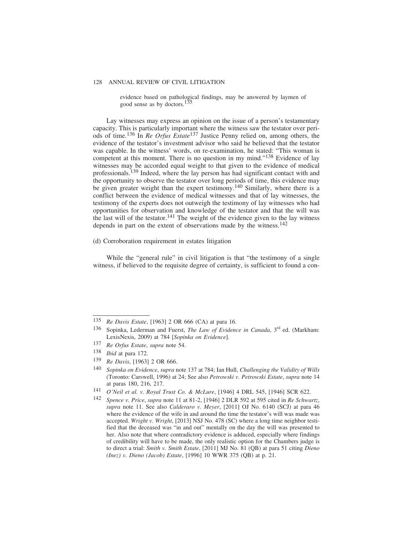evidence based on pathological findings, may be answered by laymen of good sense as by doctors.135

Lay witnesses may express an opinion on the issue of a person's testamentary capacity. This is particularly important where the witness saw the testator over periods of time.136 In *Re Orfus Estate*137 Justice Penny relied on, among others, the evidence of the testator's investment advisor who said he believed that the testator was capable. In the witness' words, on re-examination, he stated: "This woman is competent at this moment. There is no question in my mind."138 Evidence of lay witnesses may be accorded equal weight to that given to the evidence of medical professionals.<sup>139</sup> Indeed, where the lay person has had significant contact with and the opportunity to observe the testator over long periods of time, this evidence may be given greater weight than the expert testimony.<sup>140</sup> Similarly, where there is a conflict between the evidence of medical witnesses and that of lay witnesses, the testimony of the experts does not outweigh the testimony of lay witnesses who had opportunities for observation and knowledge of the testator and that the will was the last will of the testator.<sup>141</sup> The weight of the evidence given to the lay witness depends in part on the extent of observations made by the witness.<sup>142</sup>

(d) Corroboration requirement in estates litigation

While the "general rule" in civil litigation is that "the testimony of a single witness, if believed to the requisite degree of certainty, is sufficient to found a con-

<sup>135</sup> *Re Davis Estate*, [1963] 2 OR 666 (CA) at para 16.

<sup>136</sup> Sopinka, Lederman and Fuerst, *The Law of Evidence in Canada*, 3rd ed. (Markham: LexisNexis, 2009) at 784 [*Sopinka on Evidence*].

<sup>137</sup> *Re Orfus Estate*, *supra* note 54.

<sup>138</sup> *Ibid* at para 172.

<sup>139</sup> *Re Davis*, [1963] 2 OR 666.

<sup>140</sup> *Sopinka on Evidence*, *supra* note 137 at 784; Ian Hull, *Challenging the Validity of Wills* (Toronto: Carswell, 1996) at 24; See also *Petrowski v. Petrowski Estate*, *supra* note 14 at paras 180, 216, 217.

<sup>141</sup> *O'Neil et al. v. Royal Trust Co. & McLure*, [1946] 4 DRL 545, [1946] SCR 622.

<sup>142</sup> *Spence v. Price*, *supra* note 11 at 81-2, [1946] 2 DLR 592 at 595 cited in *Re Schwartz*, *supra* note 11. See also *Calderaro v. Meyer*, [2011] OJ No. 6140 (SCJ) at para 46 where the evidence of the wife in and around the time the testator's will was made was accepted. *Wright v. Wright*, [2013] NSJ No. 478 (SC) where a long time neighbor testified that the deceased was "in and out" mentally on the day the will was presented to her. Also note that where contradictory evidence is adduced, especially where findings of credibility will have to be made, the only realistic option for the Chambers judge is to direct a trial: *Smith v. Smith Estate*, [2011] MJ No. 81 (QB) at para 51 citing *Dieno (Inez) v. Dieno (Jacob) Estate*, [1996] 10 WWR 375 (QB) at p. 21.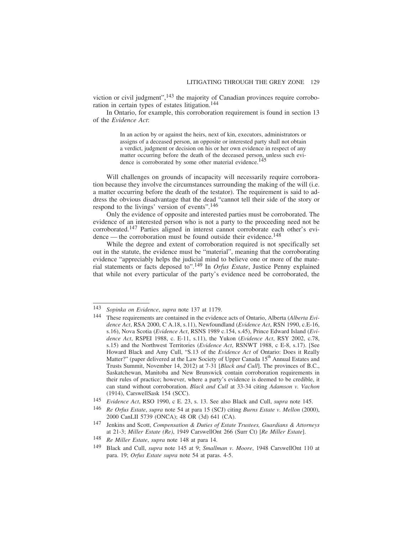viction or civil judgment",  $^{143}$  the majority of Canadian provinces require corroboration in certain types of estates litigation.144

In Ontario, for example, this corroboration requirement is found in section 13 of the *Evidence Act*:

> In an action by or against the heirs, next of kin, executors, administrators or assigns of a deceased person, an opposite or interested party shall not obtain a verdict, judgment or decision on his or her own evidence in respect of any matter occurring before the death of the deceased person, unless such evidence is corroborated by some other material evidence.<sup>145</sup>

Will challenges on grounds of incapacity will necessarily require corroboration because they involve the circumstances surrounding the making of the will (i.e. a matter occurring before the death of the testator). The requirement is said to address the obvious disadvantage that the dead "cannot tell their side of the story or respond to the livings' version of events".146

Only the evidence of opposite and interested parties must be corroborated. The evidence of an interested person who is not a party to the proceeding need not be corroborated.147 Parties aligned in interest cannot corroborate each other's evidence — the corroboration must be found outside their evidence.<sup>148</sup>

While the degree and extent of corroboration required is not specifically set out in the statute, the evidence must be "material", meaning that the corroborating evidence "appreciably helps the judicial mind to believe one or more of the material statements or facts deposed to".149 In *Orfus Estate*, Justice Penny explained that while not every particular of the party's evidence need be corroborated, the

<sup>143</sup> *Sopinka on Evidence*, *supra* note 137 at 1179.

<sup>144</sup> These requirements are contained in the evidence acts of Ontario, Alberta (*Alberta Evidence Act*, RSA 2000, C A.18, s.11), Newfoundland (*Evidence Act*, RSN 1990, c.E-16, s.16), Nova Scotia (*Evidence Act*, RSNS 1989 c.154, s.45), Prince Edward Island (*Evidence Act*, RSPEI 1988, c. E-11, s.11), the Yukon (*Evidence Act*, RSY 2002, c.78, s.15) and the Northwest Territories (*Evidence Act*, RSNWT 1988, c E-8, s.17). [See Howard Black and Amy Cull, "S.13 of the *Evidence Act* of Ontario: Does it Really Matter?" (paper delivered at the Law Society of Upper Canada 15<sup>th</sup> Annual Estates and Trusts Summit, November 14, 2012) at 7-31 [*Black and Cull*]. The provinces of B.C., Saskatchewan, Manitoba and New Brunswick contain corroboration requirements in their rules of practice; however, where a party's evidence is deemed to be credible, it can stand without corroboration. *Black and Cull* at 33-34 citing *Adamson v. Vachon* (1914), CarswellSask 154 (SCC).

<sup>145</sup> *Evidence Act*, RSO 1990, c E. 23, s. 13. See also Black and Cull, *supra* note 145.

<sup>146</sup> *Re Orfus Estate*, *supra* note 54 at para 15 (SCJ) citing *Burns Estate v. Mellon* (2000), 2000 CanLII 5739 (ONCA); 48 OR (3d) 641 (CA).

<sup>147</sup> Jenkins and Scott, *Compensation & Duties of Estate Trustees, Guardians & Attorneys* at 21-3; *Miller Estate (Re)*, 1949 CarswellOnt 266 (Surr Ct) [*Re Miller Estate*].

<sup>148</sup> *Re Miller Estate*, *supra* note 148 at para 14.

<sup>149</sup> Black and Cull, *supra* note 145 at 9; *Smallman v. Moore*, 1948 CarswellOnt 110 at para. 19; *Orfus Estate supra* note 54 at paras. 4-5.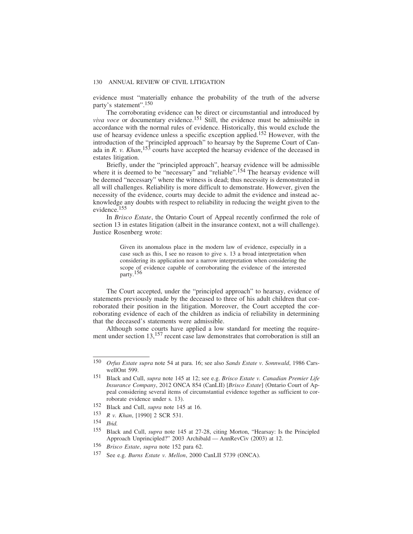evidence must "materially enhance the probability of the truth of the adverse party's statement".150

The corroborating evidence can be direct or circumstantial and introduced by *viva voce* or documentary evidence.<sup>151</sup> Still, the evidence must be admissible in accordance with the normal rules of evidence. Historically, this would exclude the use of hearsay evidence unless a specific exception applied.<sup>152</sup> However, with the introduction of the "principled approach" to hearsay by the Supreme Court of Canada in *R. v. Khan*, 153 courts have accepted the hearsay evidence of the deceased in estates litigation.

Briefly, under the "principled approach", hearsay evidence will be admissible where it is deemed to be "necessary" and "reliable".<sup>154</sup> The hearsay evidence will be deemed "necessary" where the witness is dead; thus necessity is demonstrated in all will challenges. Reliability is more difficult to demonstrate. However, given the necessity of the evidence, courts may decide to admit the evidence and instead acknowledge any doubts with respect to reliability in reducing the weight given to the evidence.<sup>155</sup>

In *Brisco Estate*, the Ontario Court of Appeal recently confirmed the role of section 13 in estates litigation (albeit in the insurance context, not a will challenge). Justice Rosenberg wrote:

> Given its anomalous place in the modern law of evidence, especially in a case such as this, I see no reason to give s. 13 a broad interpretation when considering its application nor a narrow interpretation when considering the scope of evidence capable of corroborating the evidence of the interested party.156

The Court accepted, under the "principled approach" to hearsay, evidence of statements previously made by the deceased to three of his adult children that corroborated their position in the litigation. Moreover, the Court accepted the corroborating evidence of each of the children as indicia of reliability in determining that the deceased's statements were admissible.

Although some courts have applied a low standard for meeting the requirement under section 13,<sup>157</sup> recent case law demonstrates that corroboration is still an

156 *Brisco Estate*, *supra* note 152 para 62.

<sup>150</sup> *Orfus Estate supra* note 54 at para. 16; see also *Sands Estate v. Sonnwald*, 1986 CarswellOnt 599.

<sup>151</sup> Black and Cull, *supra* note 145 at 12; see e.g. *Brisco Estate v. Canadian Premier Life Insurance Company*, 2012 ONCA 854 (CanLII) [*Brisco Estate*] (Ontario Court of Appeal considering several items of circumstantial evidence together as sufficient to corroborate evidence under s. 13).

<sup>152</sup> Black and Cull, *supra* note 145 at 16.

<sup>153</sup> *R v. Khan*, [1990] 2 SCR 531.

<sup>154</sup> *Ibid.*

<sup>155</sup> Black and Cull, *supra* note 145 at 27-28, citing Morton, "Hearsay: Is the Principled Approach Unprincipled?" 2003 Archibald — AnnRevCiv (2003) at 12.

<sup>157</sup> See e.g. *Burns Estate v. Mellon*, 2000 CanLII 5739 (ONCA).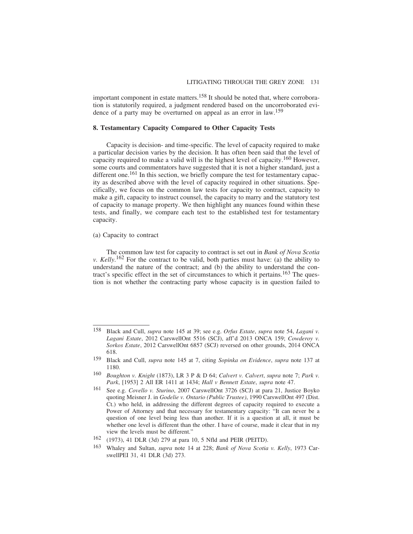important component in estate matters.<sup>158</sup> It should be noted that, where corroboration is statutorily required, a judgment rendered based on the uncorroborated evidence of a party may be overturned on appeal as an error in law.<sup>159</sup>

# **8. Testamentary Capacity Compared to Other Capacity Tests**

Capacity is decision- and time-specific. The level of capacity required to make a particular decision varies by the decision. It has often been said that the level of capacity required to make a valid will is the highest level of capacity.160 However, some courts and commentators have suggested that it is not a higher standard, just a different one.<sup>161</sup> In this section, we briefly compare the test for testamentary capacity as described above with the level of capacity required in other situations. Specifically, we focus on the common law tests for capacity to contract, capacity to make a gift, capacity to instruct counsel, the capacity to marry and the statutory test of capacity to manage property. We then highlight any nuances found within these tests, and finally, we compare each test to the established test for testamentary capacity.

#### (a) Capacity to contract

The common law test for capacity to contract is set out in *Bank of Nova Scotia v. Kelly*. 162 For the contract to be valid, both parties must have: (a) the ability to understand the nature of the contract; and  $(b)$  the ability to understand the contract's specific effect in the set of circumstances to which it pertains.163 The question is not whether the contracting party whose capacity is in question failed to

<sup>158</sup> Black and Cull, *supra* note 145 at 39; see e.g. *Orfus Estate*, *supra* note 54, *Lagani v. Lagani Estate*, 2012 CarswellOnt 5516 (SCJ), aff'd 2013 ONCA 159; *Cowderoy v. Sorkos Estate*, 2012 CarswellOnt 6857 (SCJ) reversed on other grounds, 2014 ONCA 618.

<sup>159</sup> Black and Cull, *supra* note 145 at 7, citing *Sopinka on Evidence*, *supra* note 137 at 1180.

<sup>160</sup> *Boughton v. Knight* (1873), LR 3 P & D 64; *Calvert v. Calvert*, *supra* note 7; *Park v. Park*, [1953] 2 All ER 1411 at 1434; *Hall v Bennett Estate*, *supra* note 47.

<sup>161</sup> See e.g. *Covello v. Sturino*, 2007 CarswellOnt 3726 (SCJ) at para 21, Justice Boyko quoting Meisner J. in *Godelie v. Ontario (Public Trustee)*, 1990 CarswellOnt 497 (Dist. Ct.) who held, in addressing the different degrees of capacity required to execute a Power of Attorney and that necessary for testamentary capacity: "It can never be a question of one level being less than another. If it is a question at all, it must be whether one level is different than the other. I have of course, made it clear that in my view the levels must be different."

<sup>162</sup> (1973), 41 DLR (3d) 279 at para 10, 5 Nfld and PEIR (PEITD).

<sup>163</sup> Whaley and Sultan, *supra* note 14 at 228; *Bank of Nova Scotia v. Kelly*, 1973 CarswellPEI 31, 41 DLR (3d) 273.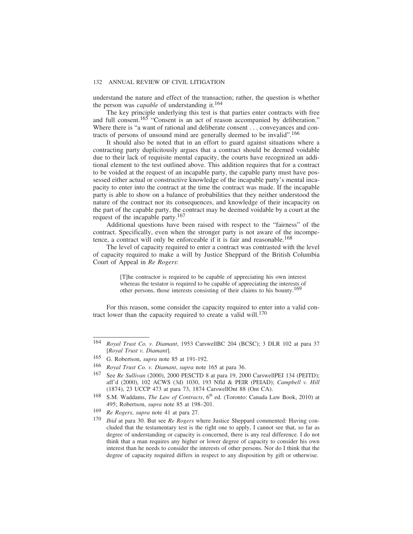understand the nature and effect of the transaction; rather, the question is whether the person was *capable* of understanding it.164

The key principle underlying this test is that parties enter contracts with free and full consent.<sup>165</sup> "Consent is an act of reason accompanied by deliberation." Where there is "a want of rational and deliberate consent . . . conveyances and contracts of persons of unsound mind are generally deemed to be invalid".166

It should also be noted that in an effort to guard against situations where a contracting party duplicitously argues that a contract should be deemed voidable due to their lack of requisite mental capacity, the courts have recognized an additional element to the test outlined above. This addition requires that for a contract to be voided at the request of an incapable party, the capable party must have possessed either actual or constructive knowledge of the incapable party's mental incapacity to enter into the contract at the time the contract was made. If the incapable party is able to show on a balance of probabilities that they neither understood the nature of the contract nor its consequences, and knowledge of their incapacity on the part of the capable party, the contract may be deemed voidable by a court at the request of the incapable party.167

Additional questions have been raised with respect to the "fairness" of the contract. Specifically, even when the stronger party is not aware of the incompetence, a contract will only be enforceable if it is fair and reasonable.<sup>168</sup>

The level of capacity required to enter a contract was contrasted with the level of capacity required to make a will by Justice Sheppard of the British Columbia Court of Appeal in *Re Rogers*:

> [T]he contractor is required to be capable of appreciating his own interest whereas the testator is required to be capable of appreciating the interests of other persons, those interests consisting of their claims to his bounty.169

For this reason, some consider the capacity required to enter into a valid contract lower than the capacity required to create a valid will.<sup>170</sup>

<sup>164</sup> *Royal Trust Co. v. Diamant*, 1953 CarswellBC 204 (BCSC); 3 DLR 102 at para 37 [*Royal Trust v. Diamant*].

<sup>165</sup> G. Robertson, *supra* note 85 at 191-192.

<sup>166</sup> *Royal Trust Co. v. Diamant*, *supra* note 165 at para 36.

<sup>167</sup> See *Re Sullivan* (2000), 2000 PESCTD 8 at para 19, 2000 CarswellPEI 134 (PEITD); aff'd (2000), 102 ACWS (3d) 1030, 193 Nfld & PEIR (PEIAD); *Campbell v. Hill* (1874), 23 UCCP 473 at para 73, 1874 CarswellOnt 88 (Ont CA).

<sup>&</sup>lt;sup>168</sup> S.M. Waddams, *The Law of Contracts*, 6<sup>th</sup> ed. (Toronto: Canada Law Book, 2010) at 495; Robertson, *supra* note 85 at 198–201.

<sup>169</sup> *Re Rogers*, *supra* note 41 at para 27.

<sup>170</sup> *Ibid* at para 30. But see *Re Rogers* where Justice Sheppard commented: Having concluded that the testamentary test is the right one to apply, I cannot see that, so far as degree of understanding or capacity is concerned, there is any real difference. I do not think that a man requires any higher or lower degree of capacity to consider his own interest than he needs to consider the interests of other persons. Nor do I think that the degree of capacity required differs in respect to any disposition by gift or otherwise.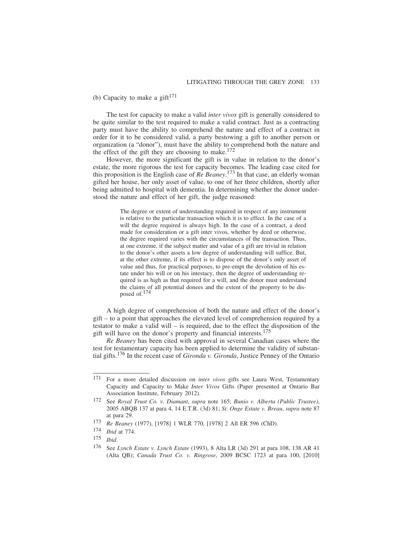(b) Capacity to make a gift $171$ 

The test for capacity to make a valid *inter vivos* gift is generally considered to be quite similar to the test required to make a valid contract. Just as a contracting party must have the ability to comprehend the nature and effect of a contract in order for it to be considered valid, a party bestowing a gift to another person or organization (a "donor"), must have the ability to comprehend both the nature and the effect of the gift they are choosing to make.<sup>172</sup>

However, the more significant the gift is in value in relation to the donor's estate, the more rigorous the test for capacity becomes. The leading case cited for this proposition is the English case of *Re Beaney*. 173 In that case, an elderly woman gifted her house, her only asset of value, to one of her three children, shortly after being admitted to hospital with dementia. In determining whether the donor understood the nature and effect of her gift, the judge reasoned:

> The degree or extent of understanding required in respect of any instrument is relative to the particular transaction which it is to effect. In the case of a will the degree required is always high. In the case of a contract, a deed made for consideration or a gift inter vivos, whether by deed or otherwise, the degree required varies with the circumstances of the transaction. Thus, at one extreme, if the subject matter and value of a gift are trivial in relation to the donor's other assets a low degree of understanding will suffice. But, at the other extreme, if its effect is to dispose of the donor's only asset of value and thus, for practical purposes, to pre-empt the devolution of his estate under his will or on his intestacy, then the degree of understanding required is as high as that required for a will, and the donor must understand the claims of all potential donees and the extent of the property to be disposed of.174

A high degree of comprehension of both the nature and effect of the donor's gift – to a point that approaches the elevated level of comprehension required by a testator to make a valid will – is required, due to the effect the disposition of the gift will have on the donor's property and financial interests.175

*Re Beaney* has been cited with approval in several Canadian cases where the test for testamentary capacity has been applied to determine the validity of substantial gifts.176 In the recent case of *Gironda v. Gironda*, Justice Penney of the Ontario

<sup>171</sup> For a more detailed discussion on *inter vivos* gifts see Laura West, Testamentary Capacity and Capacity to Make *Inter Vivos* Gifts (Paper presented at Ontario Bar Association Institute, February 2012).

<sup>172</sup> See *Royal Trust Co. v. Diamant*, *supra* note 165; *Bunio v. Alberta (Public Trustee)*, 2005 ABQB 137 at para 4, 14 E.T.R. (3d) 81; *St. Onge Estate v. Breau*, *supra* note 87 at para 29.

<sup>173</sup> *Re Beaney* (1977), [1978] 1 WLR 770, [1978] 2 All ER 596 (ChD).

<sup>174</sup> *Ibid* at 774.

<sup>175</sup> *Ibid*.

<sup>176</sup> See *Lynch Estate v. Lynch Estate* (1993), 8 Alta LR (3d) 291 at para 108, 138 AR 41 (Alta QB); *Canada Trust Co. v. Ringrose*, 2009 BCSC 1723 at para 100, [2010]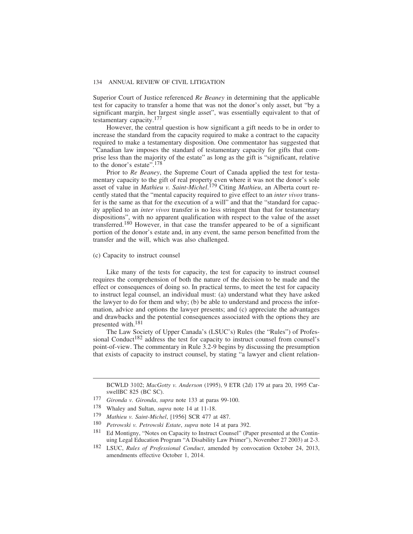Superior Court of Justice referenced *Re Beaney* in determining that the applicable test for capacity to transfer a home that was not the donor's only asset, but "by a significant margin, her largest single asset", was essentially equivalent to that of testamentary capacity.177

However, the central question is how significant a gift needs to be in order to increase the standard from the capacity required to make a contract to the capacity required to make a testamentary disposition. One commentator has suggested that "Canadian law imposes the standard of testamentary capacity for gifts that comprise less than the majority of the estate" as long as the gift is "significant, relative to the donor's estate".178

Prior to *Re Beaney*, the Supreme Court of Canada applied the test for testamentary capacity to the gift of real property even where it was not the donor's sole asset of value in *Mathieu v. Saint-Michel*. 179 Citing *Mathieu*, an Alberta court recently stated that the "mental capacity required to give effect to an *inter vivos* transfer is the same as that for the execution of a will" and that the "standard for capacity applied to an *inter vivos* transfer is no less stringent than that for testamentary dispositions", with no apparent qualification with respect to the value of the asset transferred.180 However, in that case the transfer appeared to be of a significant portion of the donor's estate and, in any event, the same person benefitted from the transfer and the will, which was also challenged.

#### (c) Capacity to instruct counsel

Like many of the tests for capacity, the test for capacity to instruct counsel requires the comprehension of both the nature of the decision to be made and the effect or consequences of doing so. In practical terms, to meet the test for capacity to instruct legal counsel, an individual must: (a) understand what they have asked the lawyer to do for them and why; (b) be able to understand and process the information, advice and options the lawyer presents; and (c) appreciate the advantages and drawbacks and the potential consequences associated with the options they are presented with.181

The Law Society of Upper Canada's (LSUC's) Rules (the "Rules") of Professional Conduct<sup>182</sup> address the test for capacity to instruct counsel from counsel's point-of-view. The commentary in Rule 3.2-9 begins by discussing the presumption that exists of capacity to instruct counsel, by stating "a lawyer and client relation-

BCWLD 3102; *MacGotty v. Anderson* (1995), 9 ETR (2d) 179 at para 20, 1995 CarswellBC 825 (BC SC).

<sup>177</sup> *Gironda v. Gironda*, *supra* note 133 at paras 99-100.

<sup>178</sup> Whaley and Sultan, *supra* note 14 at 11-18.

<sup>179</sup> *Mathieu v. Saint-Michel*, [1956] SCR 477 at 487.

<sup>180</sup> *Petrowski v. Petrowski Estate*, *supra* note 14 at para 392.

Ed Montigny, "Notes on Capacity to Instruct Counsel" (Paper presented at the Continuing Legal Education Program "A Disability Law Primer"), November 27 2003) at 2-3.

<sup>182</sup> LSUC, *Rules of Professional Conduct*, amended by convocation October 24, 2013, amendments effective October 1, 2014.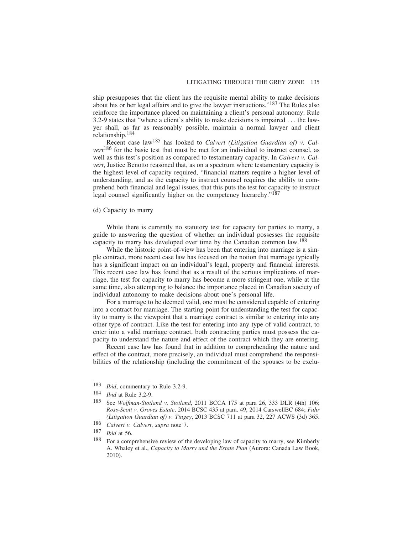ship presupposes that the client has the requisite mental ability to make decisions about his or her legal affairs and to give the lawyer instructions."183 The Rules also reinforce the importance placed on maintaining a client's personal autonomy. Rule 3.2-9 states that "where a client's ability to make decisions is impaired . . . the lawyer shall, as far as reasonably possible, maintain a normal lawyer and client relationship.184

Recent case law185 has looked to *Calvert (Litigation Guardian of) v. Calvert*186 for the basic test that must be met for an individual to instruct counsel, as well as this test's position as compared to testamentary capacity. In *Calvert v. Calvert*, Justice Benotto reasoned that, as on a spectrum where testamentary capacity is the highest level of capacity required, "financial matters require a higher level of understanding, and as the capacity to instruct counsel requires the ability to comprehend both financial and legal issues, that this puts the test for capacity to instruct legal counsel significantly higher on the competency hierarchy."187

## (d) Capacity to marry

While there is currently no statutory test for capacity for parties to marry, a guide to answering the question of whether an individual possesses the requisite capacity to marry has developed over time by the Canadian common law.188

While the historic point-of-view has been that entering into marriage is a simple contract, more recent case law has focused on the notion that marriage typically has a significant impact on an individual's legal, property and financial interests. This recent case law has found that as a result of the serious implications of marriage, the test for capacity to marry has become a more stringent one, while at the same time, also attempting to balance the importance placed in Canadian society of individual autonomy to make decisions about one's personal life.

For a marriage to be deemed valid, one must be considered capable of entering into a contract for marriage. The starting point for understanding the test for capacity to marry is the viewpoint that a marriage contract is similar to entering into any other type of contract. Like the test for entering into any type of valid contract, to enter into a valid marriage contract, both contracting parties must possess the capacity to understand the nature and effect of the contract which they are entering.

Recent case law has found that in addition to comprehending the nature and effect of the contract, more precisely, an individual must comprehend the responsibilities of the relationship (including the commitment of the spouses to be exclu-

<sup>183</sup> *Ibid*, commentary to Rule 3.2-9.

<sup>184</sup> *Ibid* at Rule 3.2-9.

<sup>185</sup> See *Wolfman-Stotland v. Stotland*, 2011 BCCA 175 at para 26, 333 DLR (4th) 106; *Ross-Scott v. Groves Estate*, 2014 BCSC 435 at para. 49, 2014 CarswellBC 684; *Fuhr (Litigation Guardian of) v. Tingey*, 2013 BCSC 711 at para 32, 227 ACWS (3d) 365.

<sup>186</sup> *Calvert v. Calvert*, *supra* note 7.

<sup>187</sup> *Ibid* at 56.<br>188 For a comp

For a comprehensive review of the developing law of capacity to marry, see Kimberly A. Whaley et al., *Capacity to Marry and the Estate Plan* (Aurora: Canada Law Book, 2010).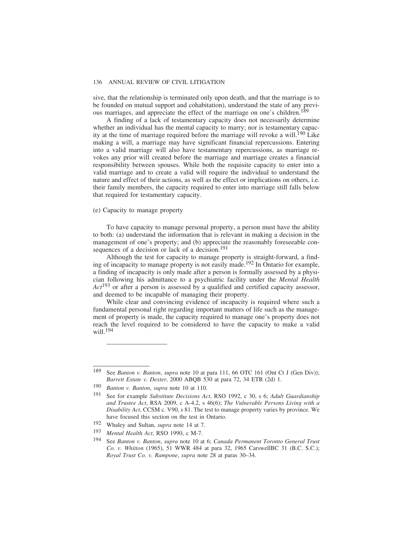sive, that the relationship is terminated only upon death, and that the marriage is to be founded on mutual support and cohabitation), understand the state of any previous marriages, and appreciate the effect of the marriage on one's children.<sup>189</sup>

A finding of a lack of testamentary capacity does not necessarily determine whether an individual has the mental capacity to marry; nor is testamentary capacity at the time of marriage required before the marriage will revoke a will.190 Like making a will, a marriage may have significant financial repercussions. Entering into a valid marriage will also have testamentary repercussions, as marriage revokes any prior will created before the marriage and marriage creates a financial responsibility between spouses. While both the requisite capacity to enter into a valid marriage and to create a valid will require the individual to understand the nature and effect of their actions, as well as the effect or implications on others, i.e. their family members, the capacity required to enter into marriage still falls below that required for testamentary capacity.

# (e) Capacity to manage property

To have capacity to manage personal property, a person must have the ability to both: (a) understand the information that is relevant in making a decision in the management of one's property; and (b) appreciate the reasonably foreseeable consequences of a decision or lack of a decision.<sup>191</sup>

Although the test for capacity to manage property is straight-forward, a finding of incapacity to manage property is not easily made.192 In Ontario for example, a finding of incapacity is only made after a person is formally assessed by a physician following his admittance to a psychiatric facility under the *Mental Health Act*193 or after a person is assessed by a qualified and certified capacity assessor, and deemed to be incapable of managing their property.

While clear and convincing evidence of incapacity is required where such a fundamental personal right regarding important matters of life such as the management of property is made, the capacity required to manage one's property does not reach the level required to be considered to have the capacity to make a valid will.<sup>194</sup>

*\_\_\_\_\_\_\_\_\_\_\_\_\_\_\_\_\_\_*

<sup>189</sup> See *Banton v. Banton*, *supra* note 10 at para 111, 66 OTC 161 (Ont Ct J (Gen Div)); *Barrett Estate v. Dexter*, 2000 ABQB 530 at para 72, 34 ETR (2d) 1.

<sup>190</sup> *Banton v. Banton*, *supra* note 10 at 110.

<sup>191</sup> See for example *Substitute Decisions Act*, RSO 1992, c 30, s 6; *Adult Guardianship and Trustee Act*, RSA 2009, c A-4.2, s 46(6); *The Vulnerable Persons Living with a Disability Act*, CCSM c. V90, s 81. The test to manage property varies by province. We have focused this section on the test in Ontario.

<sup>192</sup> Whaley and Sultan, *supra* note 14 at 7.

<sup>193</sup> *Mental Health Act*, RSO 1990, c M-7.

<sup>194</sup> See *Banton v. Banton*, *supra* note 10 at 6; *Canada Permanent Toronto General Trust Co. v. Whitton* (1965), 51 WWR 484 at para 32, 1965 CarswellBC 31 (B.C. S.C.); *Royal Trust Co. v. Rampone*, *supra* note 28 at paras 30–34.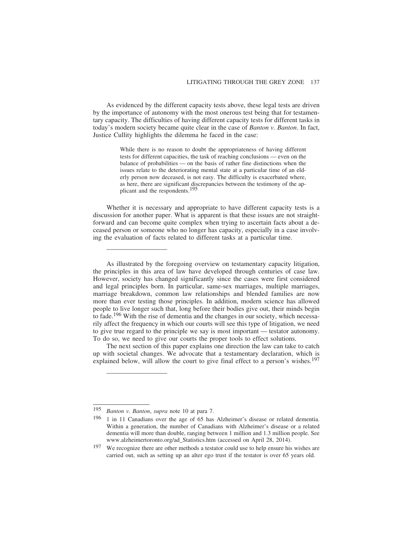As evidenced by the different capacity tests above, these legal tests are driven by the importance of autonomy with the most onerous test being that for testamentary capacity. The difficulties of having different capacity tests for different tasks in today's modern society became quite clear in the case of *Banton v. Banton*. In fact, Justice Cullity highlights the dilemma he faced in the case:

> While there is no reason to doubt the appropriateness of having different tests for different capacities, the task of reaching conclusions — even on the balance of probabilities — on the basis of rather fine distinctions when the issues relate to the deteriorating mental state at a particular time of an elderly person now deceased, is not easy. The difficulty is exacerbated where, as here, there are significant discrepancies between the testimony of the applicant and the respondents.195

Whether it is necessary and appropriate to have different capacity tests is a discussion for another paper. What is apparent is that these issues are not straightforward and can become quite complex when trying to ascertain facts about a deceased person or someone who no longer has capacity, especially in a case involving the evaluation of facts related to different tasks at a particular time.

As illustrated by the foregoing overview on testamentary capacity litigation, the principles in this area of law have developed through centuries of case law. However, society has changed significantly since the cases were first considered and legal principles born. In particular, same-sex marriages, multiple marriages, marriage breakdown, common law relationships and blended families are now more than ever testing those principles. In addition, modern science has allowed people to live longer such that, long before their bodies give out, their minds begin to fade.196 With the rise of dementia and the changes in our society, which necessarily affect the frequency in which our courts will see this type of litigation, we need to give true regard to the principle we say is most important — testator autonomy. To do so, we need to give our courts the proper tools to effect solutions.

The next section of this paper explains one direction the law can take to catch up with societal changes. We advocate that a testamentary declaration, which is explained below, will allow the court to give final effect to a person's wishes.<sup>197</sup>

*\_\_\_\_\_\_\_\_\_\_\_\_\_\_\_\_\_\_*

*\_\_\_\_\_\_\_\_\_\_\_\_\_\_\_\_\_\_*

<sup>195</sup> *Banton v. Banton*, *supra* note 10 at para 7.

<sup>196</sup> 1 in 11 Canadians over the age of 65 has Alzheimer's disease or related dementia. Within a generation, the number of Canadians with Alzheimer's disease or a related dementia will more than double, ranging between 1 million and 1.3 million people. See www.alzheimertoronto.org/ad\_Statistics.htm (accessed on April 28, 2014).

<sup>197</sup> We recognize there are other methods a testator could use to help ensure his wishes are carried out, such as setting up an alter ego trust if the testator is over 65 years old.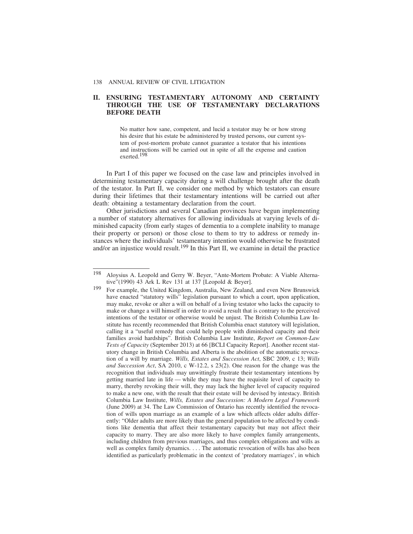# **II. ENSURING TESTAMENTARY AUTONOMY AND CERTAINTY THROUGH THE USE OF TESTAMENTARY DECLARATIONS BEFORE DEATH**

No matter how sane, competent, and lucid a testator may be or how strong his desire that his estate be administered by trusted persons, our current system of post-mortem probate cannot guarantee a testator that his intentions and instructions will be carried out in spite of all the expense and caution exerted.198

In Part I of this paper we focused on the case law and principles involved in determining testamentary capacity during a will challenge brought after the death of the testator. In Part II, we consider one method by which testators can ensure during their lifetimes that their testamentary intentions will be carried out after death: obtaining a testamentary declaration from the court.

Other jurisdictions and several Canadian provinces have begun implementing a number of statutory alternatives for allowing individuals at varying levels of diminished capacity (from early stages of dementia to a complete inability to manage their property or person) or those close to them to try to address or remedy instances where the individuals' testamentary intention would otherwise be frustrated and/or an injustice would result.<sup>199</sup> In this Part II, we examine in detail the practice

<sup>198</sup> Aloysius A. Leopold and Gerry W. Beyer, "Ante-Mortem Probate: A Viable Alternative"(1990) 43 Ark L Rev 131 at 137 [Leopold & Beyer].

<sup>&</sup>lt;sup>199</sup> For example, the United Kingdom, Australia, New Zealand, and even New Brunswick have enacted "statutory wills" legislation pursuant to which a court, upon application, may make, revoke or alter a will on behalf of a living testator who lacks the capacity to make or change a will himself in order to avoid a result that is contrary to the perceived intentions of the testator or otherwise would be unjust. The British Columbia Law Institute has recently recommended that British Columbia enact statutory will legislation, calling it a "useful remedy that could help people with diminished capacity and their families avoid hardships". British Columbia Law Institute, *Report on Common-Law Tests of Capacity* (September 2013) at 66 [BCLI Capacity Report]. Another recent statutory change in British Columbia and Alberta is the abolition of the automatic revocation of a will by marriage. *Wills, Estates and Succession Act*, SBC 2009, c 13; *Wills and Succession Act*, SA 2010, c W-12.2, s 23(2). One reason for the change was the recognition that individuals may unwittingly frustrate their testamentary intentions by getting married late in life — while they may have the requisite level of capacity to marry, thereby revoking their will, they may lack the higher level of capacity required to make a new one, with the result that their estate will be devised by intestacy. British Columbia Law Institute, *Wills, Estates and Succession: A Modern Legal Framework* (June 2009) at 34. The Law Commission of Ontario has recently identified the revocation of wills upon marriage as an example of a law which affects older adults differently: "Older adults are more likely than the general population to be affected by conditions like dementia that affect their testamentary capacity but may not affect their capacity to marry. They are also more likely to have complex family arrangements, including children from previous marriages, and thus complex obligations and wills as well as complex family dynamics. . . . The automatic revocation of wills has also been identified as particularly problematic in the context of 'predatory marriages', in which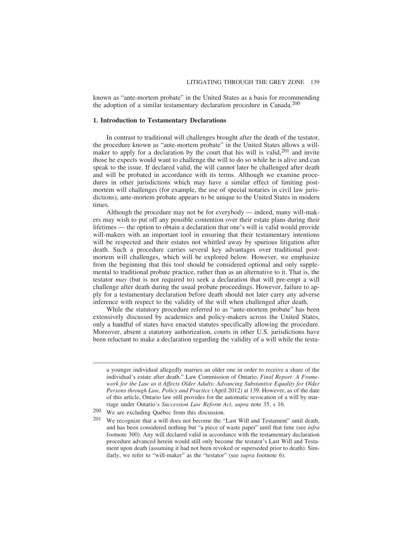known as "ante-mortem probate" in the United States as a basis for recommending the adoption of a similar testamentary declaration procedure in Canada.<sup>200</sup>

#### **1. Introduction to Testamentary Declarations**

In contrast to traditional will challenges brought after the death of the testator, the procedure known as "ante-mortem probate" in the United States allows a willmaker to apply for a declaration by the court that his will is valid,<sup>201</sup> and invite those he expects would want to challenge the will to do so while he is alive and can speak to the issue. If declared valid, the will cannot later be challenged after death and will be probated in accordance with its terms. Although we examine procedures in other jurisdictions which may have a similar effect of limiting postmortem will challenges (for example, the use of special notaries in civil law jurisdictions), ante-mortem probate appears to be unique to the United States in modern times.

Although the procedure may not be for everybody — indeed, many will-makers may wish to put off any possible contention over their estate plans during their lifetimes — the option to obtain a declaration that one's will is valid would provide will-makers with an important tool in ensuring that their testamentary intentions will be respected and their estates not whittled away by spurious litigation after death. Such a procedure carries several key advantages over traditional postmortem will challenges, which will be explored below. However, we emphasize from the beginning that this tool should be considered optional and only supplemental to traditional probate practice, rather than as an alternative to it. That is, the testator *may* (but is not required to) seek a declaration that will pre-empt a will challenge after death during the usual probate proceedings. However, failure to apply for a testamentary declaration before death should not later carry any adverse inference with respect to the validity of the will when challenged after death.

While the statutory procedure referred to as "ante-mortem probate" has been extensively discussed by academics and policy-makers across the United States, only a handful of states have enacted statutes specifically allowing the procedure. Moreover, absent a statutory authorization, courts in other U.S. jurisdictions have been reluctant to make a declaration regarding the validity of a will while the testa-

a younger individual allegedly marries an older one in order to receive a share of the individual's estate after death." Law Commission of Ontario, *Final Report: A Framework for the Law as it Affects Older Adults: Advancing Substantive Equality for Older Persons through Law, Policy and Practice* (April 2012) at 139. However, as of the date of this article, Ontario law still provides for the automatic revocation of a will by marriage under Ontario's *Succession Law Reform Act*, *supra* note 35, s 16.

 $200$  We are excluding Québec from this discussion.

<sup>201</sup> We recognize that a will does not become the "Last Will and Testament" until death, and has been considered nothing but "a piece of waste paper" until that time (see *infra* footnote 300). Any will declared valid in accordance with the testamentary declaration procedure advanced herein would still only become the testator's Last Will and Testament upon death (assuming it had not been revoked or superseded prior to death). Similarly, we refer to "will-maker" as the "testator" (see *supra* footnote 6).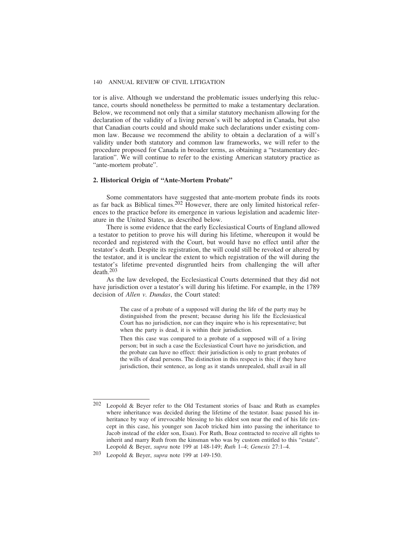tor is alive. Although we understand the problematic issues underlying this reluctance, courts should nonetheless be permitted to make a testamentary declaration. Below, we recommend not only that a similar statutory mechanism allowing for the declaration of the validity of a living person's will be adopted in Canada, but also that Canadian courts could and should make such declarations under existing common law. Because we recommend the ability to obtain a declaration of a will's validity under both statutory and common law frameworks, we will refer to the procedure proposed for Canada in broader terms, as obtaining a "testamentary declaration". We will continue to refer to the existing American statutory practice as "ante-mortem probate".

## **2. Historical Origin of "Ante-Mortem Probate"**

Some commentators have suggested that ante-mortem probate finds its roots as far back as Biblical times.202 However, there are only limited historical references to the practice before its emergence in various legislation and academic literature in the United States, as described below.

There is some evidence that the early Ecclesiastical Courts of England allowed a testator to petition to prove his will during his lifetime, whereupon it would be recorded and registered with the Court, but would have no effect until after the testator's death. Despite its registration, the will could still be revoked or altered by the testator, and it is unclear the extent to which registration of the will during the testator's lifetime prevented disgruntled heirs from challenging the will after death.203

As the law developed, the Ecclesiastical Courts determined that they did not have jurisdiction over a testator's will during his lifetime. For example, in the 1789 decision of *Allen v. Dundas*, the Court stated:

> The case of a probate of a supposed will during the life of the party may be distinguished from the present; because during his life the Ecclesiastical Court has no jurisdiction, nor can they inquire who is his representative; but when the party is dead, it is within their jurisdiction.

> Then this case was compared to a probate of a supposed will of a living person; but in such a case the Ecclesiastical Court have no jurisdiction, and the probate can have no effect: their jurisdiction is only to grant probates of the wills of dead persons. The distinction in this respect is this; if they have jurisdiction, their sentence, as long as it stands unrepealed, shall avail in all

<sup>202</sup> Leopold & Beyer refer to the Old Testament stories of Isaac and Ruth as examples where inheritance was decided during the lifetime of the testator. Isaac passed his inheritance by way of irrevocable blessing to his eldest son near the end of his life (except in this case, his younger son Jacob tricked him into passing the inheritance to Jacob instead of the elder son, Esau). For Ruth, Boaz contracted to receive all rights to inherit and marry Ruth from the kinsman who was by custom entitled to this "estate". Leopold & Beyer, *supra* note 199 at 148-149; *Ruth* 1–4; *Genesis* 27:1–4.

<sup>203</sup> Leopold & Beyer, *supra* note 199 at 149-150.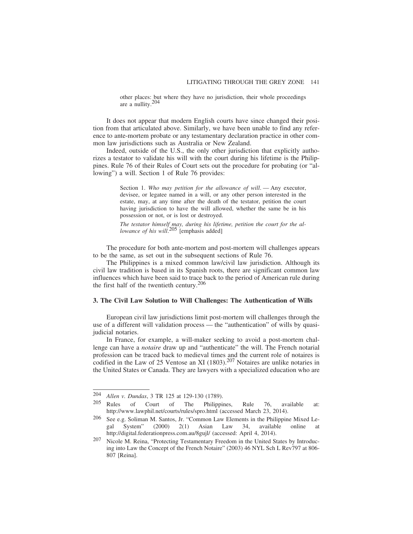other places: but where they have no jurisdiction, their whole proceedings are a nullity.204

It does not appear that modern English courts have since changed their position from that articulated above. Similarly, we have been unable to find any reference to ante-mortem probate or any testamentary declaration practice in other common law jurisdictions such as Australia or New Zealand.

Indeed, outside of the U.S., the only other jurisdiction that explicitly authorizes a testator to validate his will with the court during his lifetime is the Philippines. Rule 76 of their Rules of Court sets out the procedure for probating (or "allowing") a will. Section 1 of Rule 76 provides:

> Section 1. Who may petition for the allowance of will. — Any executor, devisee, or legatee named in a will, or any other person interested in the estate, may, at any time after the death of the testator, petition the court having jurisdiction to have the will allowed, whether the same be in his possession or not, or is lost or destroyed.

> *The testator himself may, during his lifetime, petition the court for the allowance of his will*. 205 [emphasis added]

The procedure for both ante-mortem and post-mortem will challenges appears to be the same, as set out in the subsequent sections of Rule 76.

The Philippines is a mixed common law/civil law jurisdiction. Although its civil law tradition is based in its Spanish roots, there are significant common law influences which have been said to trace back to the period of American rule during the first half of the twentieth century. $206$ 

## **3. The Civil Law Solution to Will Challenges: The Authentication of Wills**

European civil law jurisdictions limit post-mortem will challenges through the use of a different will validation process — the "authentication" of wills by quasijudicial notaries.

In France, for example, a will-maker seeking to avoid a post-mortem challenge can have a *notaire* draw up and "authenticate" the will. The French notarial profession can be traced back to medieval times and the current role of notaires is codified in the Law of 25 Ventose an XI  $(1803)$ .<sup>207</sup> Notaires are unlike notaries in the United States or Canada. They are lawyers with a specialized education who are

<sup>204</sup> *Allen v. Dundas*, 3 TR 125 at 129-130 (1789).

Rules of Court of The Philippines, Rule 76, available at: http://www.lawphil.net/courts/rules/spro.html (accessed March 23, 2014).

<sup>&</sup>lt;sup>206</sup> See e.g. Soliman M. Santos, Jr. "Common Law Elements in the Philippine Mixed Legal System" (2000)  $2(1)$  Asian Law 34, available online at gal System" (2000) 2(1) Asian Law 34, available online at http://digital.federationpress.com.au/8gujl/ (accessed: April 4, 2014).

<sup>207</sup> Nicole M. Reina, "Protecting Testamentary Freedom in the United States by Introducing into Law the Concept of the French Notaire" (2003) 46 NYL Sch L Rev797 at 806- 807 [Reina].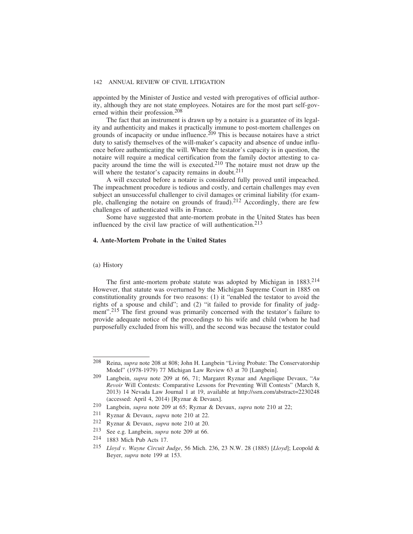appointed by the Minister of Justice and vested with prerogatives of official authority, although they are not state employees. Notaires are for the most part self-governed within their profession.208

The fact that an instrument is drawn up by a notaire is a guarantee of its legality and authenticity and makes it practically immune to post-mortem challenges on grounds of incapacity or undue influence.<sup>209</sup> This is because notaires have a strict duty to satisfy themselves of the will-maker's capacity and absence of undue influence before authenticating the will. Where the testator's capacity is in question, the notaire will require a medical certification from the family doctor attesting to capacity around the time the will is executed.210 The notaire must not draw up the will where the testator's capacity remains in doubt.<sup>211</sup>

A will executed before a notaire is considered fully proved until impeached. The impeachment procedure is tedious and costly, and certain challenges may even subject an unsuccessful challenger to civil damages or criminal liability (for example, challenging the notaire on grounds of fraud).212 Accordingly, there are few challenges of authenticated wills in France.

Some have suggested that ante-mortem probate in the United States has been influenced by the civil law practice of will authentication.<sup>213</sup>

#### **4. Ante-Mortem Probate in the United States**

#### (a) History

The first ante-mortem probate statute was adopted by Michigan in 1883.<sup>214</sup> However, that statute was overturned by the Michigan Supreme Court in 1885 on constitutionality grounds for two reasons: (1) it "enabled the testator to avoid the rights of a spouse and child"; and (2) "it failed to provide for finality of judgment".<sup>215</sup> The first ground was primarily concerned with the testator's failure to provide adequate notice of the proceedings to his wife and child (whom he had purposefully excluded from his will), and the second was because the testator could

<sup>208</sup> Reina, *supra* note 208 at 808; John H. Langbein "Living Probate: The Conservatorship Model" (1978-1979) 77 Michigan Law Review 63 at 70 [Langbein].

<sup>209</sup> Langbein, *supra* note 209 at 66, 71; Margaret Ryznar and Angelique Devaux, "*Au Revoir* Will Contests: Comparative Lessons for Preventing Will Contests" (March 8, 2013) 14 Nevada Law Journal 1 at 19, available at http://ssrn.com/abstract=2230248 (accessed: April 4, 2014) [Ryznar & Devaux].

<sup>210</sup> Langbein, *supra* note 209 at 65; Ryznar & Devaux, *supra* note 210 at 22;

<sup>211</sup> Ryznar & Devaux, *supra* note 210 at 22.

<sup>212</sup> Ryznar & Devaux, *supra* note 210 at 20.

<sup>213</sup> See e.g. Langbein, *supra* note 209 at 66.

<sup>214</sup> 1883 Mich Pub Acts 17.

<sup>215</sup> *Lloyd v. Wayne Circuit Judge*, 56 Mich. 236, 23 N.W. 28 (1885) [*Lloyd*]; Leopold & Beyer, *supra* note 199 at 153.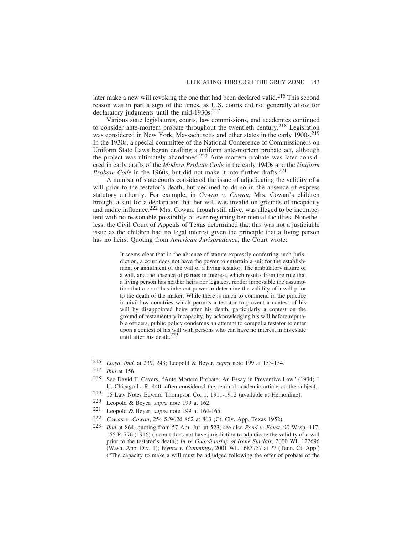later make a new will revoking the one that had been declared valid.<sup>216</sup> This second reason was in part a sign of the times, as U.S. courts did not generally allow for declaratory judgments until the mid-1930s. $217$ 

Various state legislatures, courts, law commissions, and academics continued to consider ante-mortem probate throughout the twentieth century.218 Legislation was considered in New York, Massachusetts and other states in the early 1900s.<sup>219</sup> In the 1930s, a special committee of the National Conference of Commissioners on Uniform State Laws began drafting a uniform ante-mortem probate act, although the project was ultimately abandoned.<sup>220</sup> Ante-mortem probate was later considered in early drafts of the *Modern Probate Code* in the early 1940s and the *Uniform Probate Code* in the 1960s, but did not make it into further drafts.<sup>221</sup>

A number of state courts considered the issue of adjudicating the validity of a will prior to the testator's death, but declined to do so in the absence of express statutory authority. For example, in *Cowan v. Cowan*, Mrs. Cowan's children brought a suit for a declaration that her will was invalid on grounds of incapacity and undue influence.<sup>222</sup> Mrs. Cowan, though still alive, was alleged to be incompetent with no reasonable possibility of ever regaining her mental faculties. Nonetheless, the Civil Court of Appeals of Texas determined that this was not a justiciable issue as the children had no legal interest given the principle that a living person has no heirs. Quoting from *American Jurisprudence*, the Court wrote:

> It seems clear that in the absence of statute expressly conferring such jurisdiction, a court does not have the power to entertain a suit for the establishment or annulment of the will of a living testator. The ambulatory nature of a will, and the absence of parties in interest, which results from the rule that a living person has neither heirs nor legatees, render impossible the assumption that a court has inherent power to determine the validity of a will prior to the death of the maker. While there is much to commend in the practice in civil-law countries which permits a testator to prevent a contest of his will by disappointed heirs after his death, particularly a contest on the ground of testamentary incapacity, by acknowledging his will before reputable officers, public policy condemns an attempt to compel a testator to enter upon a contest of his will with persons who can have no interest in his estate until after his death.<sup>223</sup>

- 219 15 Law Notes Edward Thompson Co. 1, 1911-1912 (available at Heinonline).<br>220 I eonold & Bever, *supra* note 199 at 162.
- Leopold & Beyer, *supra* note 199 at 162.
- 221 Leopold & Beyer, *supra* note 199 at 164-165.
- 222 *Cowan v. Cowan*, 254 S.W.2d 862 at 863 (Ct. Civ. App. Texas 1952).
- 223 *Ibid* at 864, quoting from 57 Am. Jur. at 523; see also *Pond v. Faust*, 90 Wash. 117, 155 P. 776 (1916) (a court does not have jurisdiction to adjudicate the validity of a will prior to the testator's death); *In re Guardianship of Irene Sinclair*, 2000 WL 122696 (Wash. App. Div. 1); *Wynns v. Cummings*, 2001 WL 1683757 at \*7 (Tenn. Ct. App.) ("The capacity to make a will must be adjudged following the offer of probate of the

<sup>216</sup> *Lloyd*, *ibid.* at 239, 243; Leopold & Beyer, *supra* note 199 at 153-154.

*Ibid* at 156.

<sup>218</sup> See David F. Cavers, "Ante Mortem Probate: An Essay in Preventive Law" (1934) 1 U. Chicago L. R. 440, often considered the seminal academic article on the subject.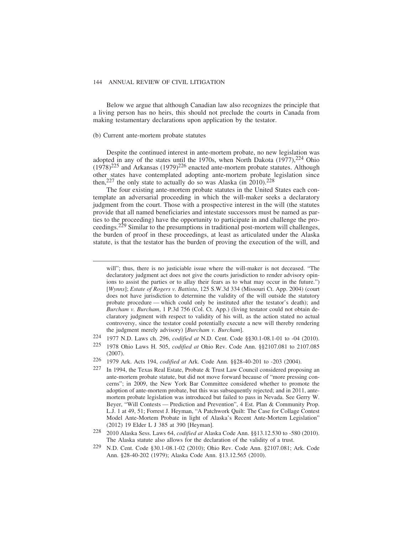Below we argue that although Canadian law also recognizes the principle that a living person has no heirs, this should not preclude the courts in Canada from making testamentary declarations upon application by the testator.

## (b) Current ante-mortem probate statutes

Despite the continued interest in ante-mortem probate, no new legislation was adopted in any of the states until the 1970s, when North Dakota  $(1977)$ ,  $^{224}$  Ohio  $(1978)^{225}$  and Arkansas  $(1979)^{226}$  enacted ante-mortem probate statutes. Although other states have contemplated adopting ante-mortem probate legislation since then,<sup>227</sup> the only state to actually do so was Alaska (in 2010).<sup>228</sup>

The four existing ante-mortem probate statutes in the United States each contemplate an adversarial proceeding in which the will-maker seeks a declaratory judgment from the court. Those with a prospective interest in the will (the statutes provide that all named beneficiaries and intestate successors must be named as parties to the proceeding) have the opportunity to participate in and challenge the proceedings.229 Similar to the presumptions in traditional post-mortem will challenges, the burden of proof in these proceedings, at least as articulated under the Alaska statute, is that the testator has the burden of proving the execution of the will, and

will"; thus, there is no justiciable issue where the will-maker is not deceased. "The declaratory judgment act does not give the courts jurisdiction to render advisory opinions to assist the parties or to allay their fears as to what may occur in the future.") [*Wynns*]; *Estate of Rogers v. Battista*, 125 S.W.3d 334 (Missouri Ct. App. 2004) (court does not have jurisdiction to determine the validity of the will outside the statutory probate procedure — which could only be instituted after the testator's death); and *Burcham v. Burcham*, 1 P.3d 756 (Col. Ct. App.) (living testator could not obtain declaratory judgment with respect to validity of his will, as the action stated no actual controversy, since the testator could potentially execute a new will thereby rendering the judgment merely advisory) [*Burcham v. Burcham*].

<sup>224</sup> 1977 N.D. Laws ch. 296, *codified at* N.D. Cent. Code §§30.1-08.1-01 to -04 (2010).

<sup>225</sup> 1978 Ohio Laws H. 505, *codified at* Ohio Rev. Code Ann. §§2107.081 to 2107.085 (2007).

<sup>226</sup> 1979 Ark. Acts 194, *codified at* Ark. Code Ann. §§28-40-201 to -203 (2004).

In 1994, the Texas Real Estate, Probate & Trust Law Council considered proposing an ante-mortem probate statute, but did not move forward because of "more pressing concerns"; in 2009, the New York Bar Committee considered whether to promote the adoption of ante-mortem probate, but this was subsequently rejected; and in 2011, antemortem probate legislation was introduced but failed to pass in Nevada. See Gerry W. Beyer, "Will Contests — Prediction and Prevention", 4 Est. Plan & Community Prop. L.J. 1 at 49, 51; Forrest J. Heyman, "A Patchwork Quilt: The Case for Collage Contest Model Ante-Mortem Probate in light of Alaska's Recent Ante-Mortem Legislation" (2012) 19 Elder L J 385 at 390 [Heyman].

<sup>228</sup> 2010 Alaska Sess. Laws 64, *codified at* Alaska Code Ann. §§13.12.530 to -580 (2010). The Alaska statute also allows for the declaration of the validity of a trust.

<sup>229</sup> N.D. Cent. Code §30.1-08.1-02 (2010); Ohio Rev. Code Ann. §2107.081; Ark. Code Ann. §28-40-202 (1979); Alaska Code Ann. §13.12.565 (2010).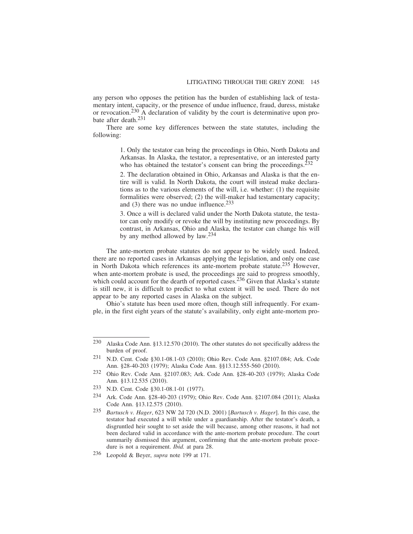any person who opposes the petition has the burden of establishing lack of testamentary intent, capacity, or the presence of undue influence, fraud, duress, mistake or revocation.230 A declaration of validity by the court is determinative upon probate after death.231

There are some key differences between the state statutes, including the following:

> 1. Only the testator can bring the proceedings in Ohio, North Dakota and Arkansas. In Alaska, the testator, a representative, or an interested party who has obtained the testator's consent can bring the proceedings.<sup>232</sup>

> 2. The declaration obtained in Ohio, Arkansas and Alaska is that the entire will is valid. In North Dakota, the court will instead make declarations as to the various elements of the will, i.e. whether: (1) the requisite formalities were observed; (2) the will-maker had testamentary capacity; and  $(3)$  there was no undue influence.<sup>233</sup>

> 3. Once a will is declared valid under the North Dakota statute, the testator can only modify or revoke the will by instituting new proceedings. By contrast, in Arkansas, Ohio and Alaska, the testator can change his will by any method allowed by law.234

The ante-mortem probate statutes do not appear to be widely used. Indeed, there are no reported cases in Arkansas applying the legislation, and only one case in North Dakota which references its ante-mortem probate statute.<sup>235</sup> However, when ante-mortem probate is used, the proceedings are said to progress smoothly, which could account for the dearth of reported cases.<sup>236</sup> Given that Alaska's statute is still new, it is difficult to predict to what extent it will be used. There do not appear to be any reported cases in Alaska on the subject.

Ohio's statute has been used more often, though still infrequently. For example, in the first eight years of the statute's availability, only eight ante-mortem pro-

<sup>230</sup> Alaska Code Ann. §13.12.570 (2010). The other statutes do not specifically address the burden of proof.

<sup>231</sup> N.D. Cent. Code §30.1-08.1-03 (2010); Ohio Rev. Code Ann. §2107.084; Ark. Code Ann. §28-40-203 (1979); Alaska Code Ann. §§13.12.555-560 (2010).

<sup>232</sup> Ohio Rev. Code Ann. §2107.083; Ark. Code Ann. §28-40-203 (1979); Alaska Code Ann. §13.12.535 (2010).

<sup>233</sup> N.D. Cent. Code §30.1-08.1-01 (1977).<br>234 Ark Code Ann §28.40.203 (1979): Ob

<sup>234</sup> Ark. Code Ann. §28-40-203 (1979); Ohio Rev. Code Ann. §2107.084 (2011); Alaska Code Ann. §13.12.575 (2010).

<sup>235</sup> *Bartusch v. Hager*, 623 NW 2d 720 (N.D. 2001) [*Bartusch v. Hager*]. In this case, the testator had executed a will while under a guardianship. After the testator's death, a disgruntled heir sought to set aside the will because, among other reasons, it had not been declared valid in accordance with the ante-mortem probate procedure. The court summarily dismissed this argument, confirming that the ante-mortem probate procedure is not a requirement. *Ibid.* at para 28.

<sup>236</sup> Leopold & Beyer, *supra* note 199 at 171.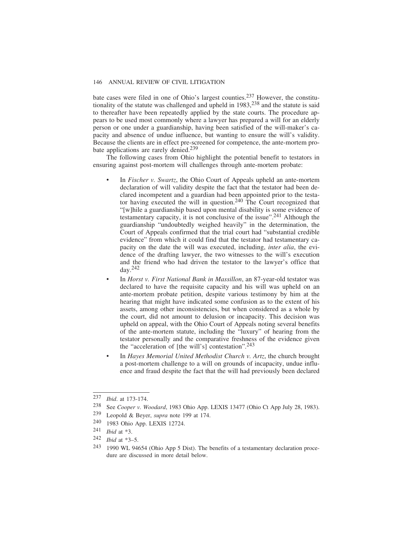bate cases were filed in one of Ohio's largest counties.237 However, the constitutionality of the statute was challenged and upheld in  $1983$ ,  $238$  and the statute is said to thereafter have been repeatedly applied by the state courts. The procedure appears to be used most commonly where a lawyer has prepared a will for an elderly person or one under a guardianship, having been satisfied of the will-maker's capacity and absence of undue influence, but wanting to ensure the will's validity. Because the clients are in effect pre-screened for competence, the ante-mortem probate applications are rarely denied.<sup>239</sup>

The following cases from Ohio highlight the potential benefit to testators in ensuring against post-mortem will challenges through ante-mortem probate:

- In *Fischer v. Swartz*, the Ohio Court of Appeals upheld an ante-mortem declaration of will validity despite the fact that the testator had been declared incompetent and a guardian had been appointed prior to the testator having executed the will in question.<sup>240</sup> The Court recognized that "[w]hile a guardianship based upon mental disability is some evidence of testamentary capacity, it is not conclusive of the issue".241 Although the guardianship "undoubtedly weighed heavily" in the determination, the Court of Appeals confirmed that the trial court had "substantial credible evidence" from which it could find that the testator had testamentary capacity on the date the will was executed, including, *inter alia*, the evidence of the drafting lawyer, the two witnesses to the will's execution and the friend who had driven the testator to the lawyer's office that day.242
- In *Horst v. First National Bank in Massillon*, an 87-year-old testator was declared to have the requisite capacity and his will was upheld on an ante-mortem probate petition, despite various testimony by him at the hearing that might have indicated some confusion as to the extent of his assets, among other inconsistencies, but when considered as a whole by the court, did not amount to delusion or incapacity. This decision was upheld on appeal, with the Ohio Court of Appeals noting several benefits of the ante-mortem statute, including the "luxury" of hearing from the testator personally and the comparative freshness of the evidence given the "acceleration of [the will's] contestation".243
- In *Hayes Memorial United Methodist Church v. Artz*, the church brought a post-mortem challenge to a will on grounds of incapacity, undue influence and fraud despite the fact that the will had previously been declared

<sup>237</sup> *Ibid*. at 173-174.

<sup>238</sup> See *Cooper v. Woodard*, 1983 Ohio App. LEXIS 13477 (Ohio Ct App July 28, 1983).

<sup>239</sup> Leopold & Beyer, *supra* note 199 at 174.

<sup>240 1983</sup> Ohio App. LEXIS 12724.<br>241 *Ihid* at \*3

 $\frac{241}{242}$  *Ibid* at \*3.

*Ibid* at \*3–5.

<sup>243</sup> 1990 WL 94654 (Ohio App 5 Dist). The benefits of a testamentary declaration procedure are discussed in more detail below.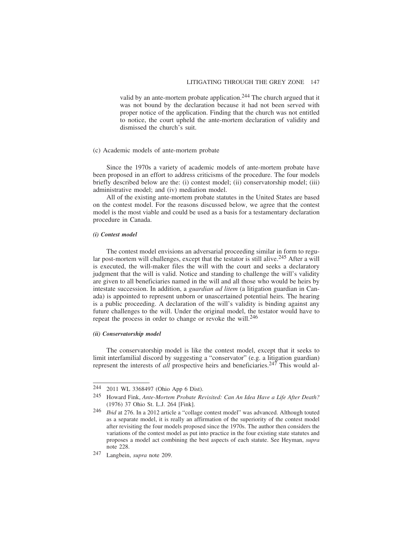valid by an ante-mortem probate application.<sup>244</sup> The church argued that it was not bound by the declaration because it had not been served with proper notice of the application. Finding that the church was not entitled to notice, the court upheld the ante-mortem declaration of validity and dismissed the church's suit.

#### (c) Academic models of ante-mortem probate

Since the 1970s a variety of academic models of ante-mortem probate have been proposed in an effort to address criticisms of the procedure. The four models briefly described below are the: (i) contest model; (ii) conservatorship model; (iii) administrative model; and (iv) mediation model.

All of the existing ante-mortem probate statutes in the United States are based on the contest model. For the reasons discussed below, we agree that the contest model is the most viable and could be used as a basis for a testamentary declaration procedure in Canada.

## *(i) Contest model*

The contest model envisions an adversarial proceeding similar in form to regular post-mortem will challenges, except that the testator is still alive.<sup>245</sup> After a will is executed, the will-maker files the will with the court and seeks a declaratory judgment that the will is valid. Notice and standing to challenge the will's validity are given to all beneficiaries named in the will and all those who would be heirs by intestate succession. In addition, a *guardian ad litem* (a litigation guardian in Canada) is appointed to represent unborn or unascertained potential heirs. The hearing is a public proceeding. A declaration of the will's validity is binding against any future challenges to the will. Under the original model, the testator would have to repeat the process in order to change or revoke the will.<sup>246</sup>

# *(ii) Conservatorship model*

The conservatorship model is like the contest model, except that it seeks to limit interfamilial discord by suggesting a "conservator" (e.g. a litigation guardian) represent the interests of *all* prospective heirs and beneficiaries.247 This would al-

<sup>244</sup> 2011 WL 3368497 (Ohio App 6 Dist).

<sup>245</sup> Howard Fink, *Ante-Mortem Probate Revisited: Can An Idea Have a Life After Death?* (1976) 37 Ohio St. L.J. 264 [Fink].

<sup>246</sup> *Ibid* at 276. In a 2012 article a "collage contest model" was advanced. Although touted as a separate model, it is really an affirmation of the superiority of the contest model after revisiting the four models proposed since the 1970s. The author then considers the variations of the contest model as put into practice in the four existing state statutes and proposes a model act combining the best aspects of each statute. See Heyman, *supra* note 228.

<sup>247</sup> Langbein, *supra* note 209.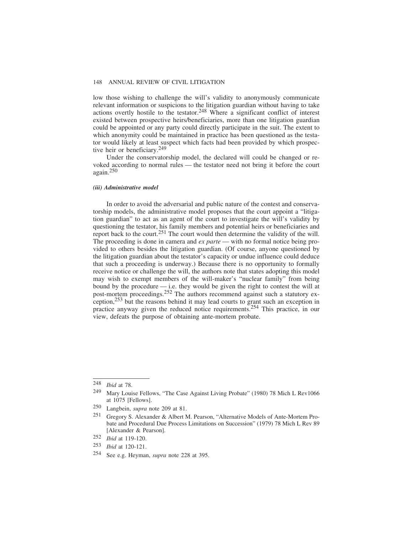low those wishing to challenge the will's validity to anonymously communicate relevant information or suspicions to the litigation guardian without having to take actions overtly hostile to the testator.<sup>248</sup> Where a significant conflict of interest existed between prospective heirs/beneficiaries, more than one litigation guardian could be appointed or any party could directly participate in the suit. The extent to which anonymity could be maintained in practice has been questioned as the testator would likely at least suspect which facts had been provided by which prospective heir or beneficiary.<sup>249</sup>

Under the conservatorship model, the declared will could be changed or revoked according to normal rules — the testator need not bring it before the court again.250

#### *(iii) Administrative model*

In order to avoid the adversarial and public nature of the contest and conservatorship models, the administrative model proposes that the court appoint a "litigation guardian" to act as an agent of the court to investigate the will's validity by questioning the testator, his family members and potential heirs or beneficiaries and report back to the court.251 The court would then determine the validity of the will. The proceeding is done in camera and *ex parte* — with no formal notice being provided to others besides the litigation guardian. (Of course, anyone questioned by the litigation guardian about the testator's capacity or undue influence could deduce that such a proceeding is underway.) Because there is no opportunity to formally receive notice or challenge the will, the authors note that states adopting this model may wish to exempt members of the will-maker's "nuclear family" from being bound by the procedure — i.e. they would be given the right to contest the will at post-mortem proceedings.<sup>252</sup> The authors recommend against such a statutory exception,253 but the reasons behind it may lead courts to grant such an exception in practice anyway given the reduced notice requirements.254 This practice, in our view, defeats the purpose of obtaining ante-mortem probate.

<sup>248</sup> *Ibid* at 78.

<sup>249</sup> Mary Louise Fellows, "The Case Against Living Probate" (1980) 78 Mich L Rev1066 at 1075 [Fellows].

<sup>250</sup> Langbein, *supra* note 209 at 81.

<sup>251</sup> Gregory S. Alexander & Albert M. Pearson, "Alternative Models of Ante-Mortem Probate and Procedural Due Process Limitations on Succession" (1979) 78 Mich L Rev 89 [Alexander & Pearson].

<sup>252</sup> *Ibid* at 119-120.

<sup>253</sup> *Ibid* at 120-121.

<sup>254</sup> See e.g. Heyman, *supra* note 228 at 395.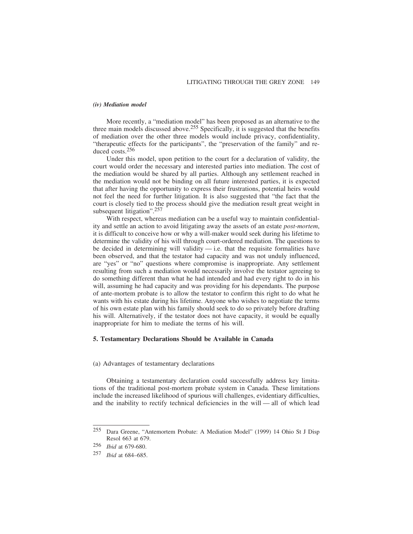#### *(iv) Mediation model*

More recently, a "mediation model" has been proposed as an alternative to the three main models discussed above.<sup>255</sup> Specifically, it is suggested that the benefits of mediation over the other three models would include privacy, confidentiality, "therapeutic effects for the participants", the "preservation of the family" and reduced costs.256

Under this model, upon petition to the court for a declaration of validity, the court would order the necessary and interested parties into mediation. The cost of the mediation would be shared by all parties. Although any settlement reached in the mediation would not be binding on all future interested parties, it is expected that after having the opportunity to express their frustrations, potential heirs would not feel the need for further litigation. It is also suggested that "the fact that the court is closely tied to the process should give the mediation result great weight in subsequent litigation".<sup>257</sup>

With respect, whereas mediation can be a useful way to maintain confidentiality and settle an action to avoid litigating away the assets of an estate *post-mortem*, it is difficult to conceive how or why a will-maker would seek during his lifetime to determine the validity of his will through court-ordered mediation. The questions to be decided in determining will validity  $-$  i.e. that the requisite formalities have been observed, and that the testator had capacity and was not unduly influenced, are "yes" or "no" questions where compromise is inappropriate. Any settlement resulting from such a mediation would necessarily involve the testator agreeing to do something different than what he had intended and had every right to do in his will, assuming he had capacity and was providing for his dependants. The purpose of ante-mortem probate is to allow the testator to confirm this right to do what he wants with his estate during his lifetime. Anyone who wishes to negotiate the terms of his own estate plan with his family should seek to do so privately before drafting his will. Alternatively, if the testator does not have capacity, it would be equally inappropriate for him to mediate the terms of his will.

#### **5. Testamentary Declarations Should be Available in Canada**

#### (a) Advantages of testamentary declarations

Obtaining a testamentary declaration could successfully address key limitations of the traditional post-mortem probate system in Canada. These limitations include the increased likelihood of spurious will challenges, evidentiary difficulties, and the inability to rectify technical deficiencies in the will — all of which lead

<sup>255</sup> Dara Greene, "Antemortem Probate: A Mediation Model" (1999) 14 Ohio St J Disp Resol 663 at 679.

<sup>256</sup> *Ibid* at 679-680.

<sup>257</sup> *Ibid* at 684–685.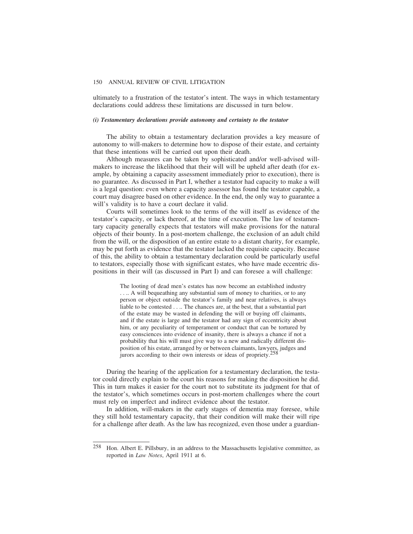ultimately to a frustration of the testator's intent. The ways in which testamentary declarations could address these limitations are discussed in turn below.

#### *(i) Testamentary declarations provide autonomy and certainty to the testator*

The ability to obtain a testamentary declaration provides a key measure of autonomy to will-makers to determine how to dispose of their estate, and certainty that these intentions will be carried out upon their death.

Although measures can be taken by sophisticated and/or well-advised willmakers to increase the likelihood that their will will be upheld after death (for example, by obtaining a capacity assessment immediately prior to execution), there is no guarantee. As discussed in Part I, whether a testator had capacity to make a will is a legal question: even where a capacity assessor has found the testator capable, a court may disagree based on other evidence. In the end, the only way to guarantee a will's validity is to have a court declare it valid.

Courts will sometimes look to the terms of the will itself as evidence of the testator's capacity, or lack thereof, at the time of execution. The law of testamentary capacity generally expects that testators will make provisions for the natural objects of their bounty. In a post-mortem challenge, the exclusion of an adult child from the will, or the disposition of an entire estate to a distant charity, for example, may be put forth as evidence that the testator lacked the requisite capacity. Because of this, the ability to obtain a testamentary declaration could be particularly useful to testators, especially those with significant estates, who have made eccentric dispositions in their will (as discussed in Part I) and can foresee a will challenge:

> The looting of dead men's estates has now become an established industry . . .. A will bequeathing any substantial sum of money to charities, or to any person or object outside the testator's family and near relatives, is always liable to be contested . . .. The chances are, at the best, that a substantial part of the estate may be wasted in defending the will or buying off claimants, and if the estate is large and the testator had any sign of eccentricity about him, or any peculiarity of temperament or conduct that can be tortured by easy consciences into evidence of insanity, there is always a chance if not a probability that his will must give way to a new and radically different disposition of his estate, arranged by or between claimants, lawyers, judges and jurors according to their own interests or ideas of propriety.258

During the hearing of the application for a testamentary declaration, the testator could directly explain to the court his reasons for making the disposition he did. This in turn makes it easier for the court not to substitute its judgment for that of the testator's, which sometimes occurs in post-mortem challenges where the court must rely on imperfect and indirect evidence about the testator.

In addition, will-makers in the early stages of dementia may foresee, while they still hold testamentary capacity, that their condition will make their will ripe for a challenge after death. As the law has recognized, even those under a guardian-

<sup>258</sup> Hon. Albert E. Pillsbury, in an address to the Massachusetts legislative committee, as reported in *Law Notes*, April 1911 at 6.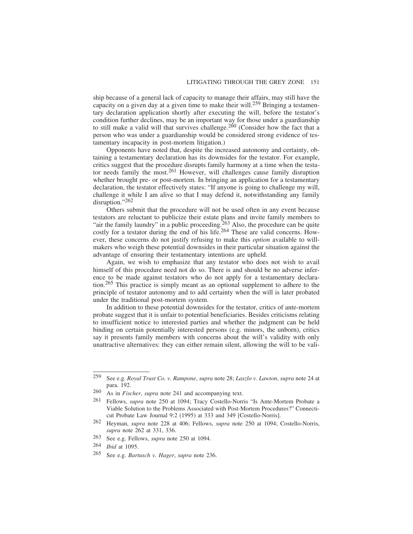ship because of a general lack of capacity to manage their affairs, may still have the capacity on a given day at a given time to make their will.259 Bringing a testamentary declaration application shortly after executing the will, before the testator's condition further declines, may be an important way for those under a guardianship to still make a valid will that survives challenge.<sup>260</sup> (Consider how the fact that a person who was under a guardianship would be considered strong evidence of testamentary incapacity in post-mortem litigation.)

Opponents have noted that, despite the increased autonomy and certainty, obtaining a testamentary declaration has its downsides for the testator. For example, critics suggest that the procedure disrupts family harmony at a time when the testator needs family the most.<sup>261</sup> However, will challenges cause family disruption whether brought pre- or post-mortem. In bringing an application for a testamentary declaration, the testator effectively states: "If anyone is going to challenge my will, challenge it while I am alive so that I may defend it, notwithstanding any family disruption."262

Others submit that the procedure will not be used often in any event because testators are reluctant to publicize their estate plans and invite family members to "air the family laundry" in a public proceeding.<sup>263</sup> Also, the procedure can be quite costly for a testator during the end of his life.<sup>264</sup> These are valid concerns. However, these concerns do not justify refusing to make this *option* available to willmakers who weigh these potential downsides in their particular situation against the advantage of ensuring their testamentary intentions are upheld.

Again, we wish to emphasize that any testator who does not wish to avail himself of this procedure need not do so. There is and should be no adverse inference to be made against testators who do not apply for a testamentary declaration.265 This practice is simply meant as an optional supplement to adhere to the principle of testator autonomy and to add certainty when the will is later probated under the traditional post-mortem system.

In addition to these potential downsides for the testator, critics of ante-mortem probate suggest that it is unfair to potential beneficiaries. Besides criticisms relating to insufficient notice to interested parties and whether the judgment can be held binding on certain potentially interested persons (e.g. minors, the unborn), critics say it presents family members with concerns about the will's validity with only unattractive alternatives: they can either remain silent, allowing the will to be vali-

<sup>259</sup> See e.g. *Royal Trust Co. v. Rampone*, *supra* note 28; *Laszlo v. Lawton*, *supra* note 24 at para. 192.

<sup>260</sup> As in *Fischer*, *supra* note 241 and accompanying text.

<sup>261</sup> Fellows, *supra* note 250 at 1094; Tracy Costello-Norris "Is Ante-Mortem Probate a Viable Solution to the Problems Associated with Post-Mortem Procedures?" Connecticut Probate Law Journal 9:2 (1995) at 333 and 349 [Costello-Norris].

<sup>262</sup> Heyman, *supra* note 228 at 406; Fellows, *supra* note 250 at 1094; Costello-Norris, *supra* note 262 at 331, 336.

<sup>263</sup> See e.g. Fellows, *supra* note 250 at 1094.

<sup>264</sup> *Ibid* at 1095.

<sup>265</sup> See e.g. *Bartusch v. Hager*, *supra* note 236.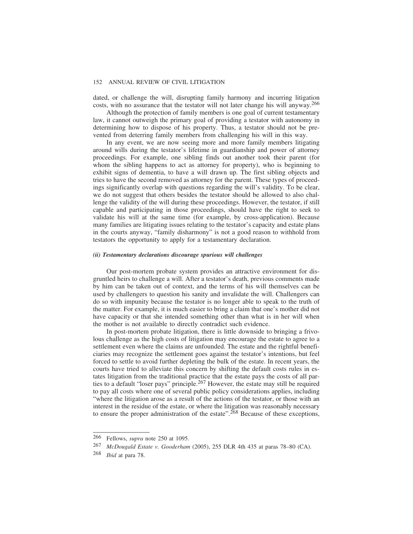dated, or challenge the will, disrupting family harmony and incurring litigation costs, with no assurance that the testator will not later change his will anyway.266

Although the protection of family members is one goal of current testamentary law, it cannot outweigh the primary goal of providing a testator with autonomy in determining how to dispose of his property. Thus, a testator should not be prevented from deterring family members from challenging his will in this way.

In any event, we are now seeing more and more family members litigating around wills during the testator's lifetime in guardianship and power of attorney proceedings. For example, one sibling finds out another took their parent (for whom the sibling happens to act as attorney for property), who is beginning to exhibit signs of dementia, to have a will drawn up. The first sibling objects and tries to have the second removed as attorney for the parent. These types of proceedings significantly overlap with questions regarding the will's validity. To be clear, we do not suggest that others besides the testator should be allowed to also challenge the validity of the will during these proceedings. However, the testator, if still capable and participating in those proceedings, should have the right to seek to validate his will at the same time (for example, by cross-application). Because many families are litigating issues relating to the testator's capacity and estate plans in the courts anyway, "family disharmony" is not a good reason to withhold from testators the opportunity to apply for a testamentary declaration.

#### *(ii) Testamentary declarations discourage spurious will challenges*

Our post-mortem probate system provides an attractive environment for disgruntled heirs to challenge a will. After a testator's death, previous comments made by him can be taken out of context, and the terms of his will themselves can be used by challengers to question his sanity and invalidate the will. Challengers can do so with impunity because the testator is no longer able to speak to the truth of the matter. For example, it is much easier to bring a claim that one's mother did not have capacity or that she intended something other than what is in her will when the mother is not available to directly contradict such evidence.

In post-mortem probate litigation, there is little downside to bringing a frivolous challenge as the high costs of litigation may encourage the estate to agree to a settlement even where the claims are unfounded. The estate and the rightful beneficiaries may recognize the settlement goes against the testator's intentions, but feel forced to settle to avoid further depleting the bulk of the estate. In recent years, the courts have tried to alleviate this concern by shifting the default costs rules in estates litigation from the traditional practice that the estate pays the costs of all parties to a default "loser pays" principle.267 However, the estate may still be required to pay all costs where one of several public policy considerations applies, including "where the litigation arose as a result of the actions of the testator, or those with an interest in the residue of the estate, or where the litigation was reasonably necessary to ensure the proper administration of the estate".<sup>268</sup> Because of these exceptions,

<sup>266</sup> Fellows, *supra* note 250 at 1095.

<sup>267</sup> *McDougald Estate v. Gooderham* (2005), 255 DLR 4th 435 at paras 78–80 (CA).

<sup>268</sup> *Ibid* at para 78.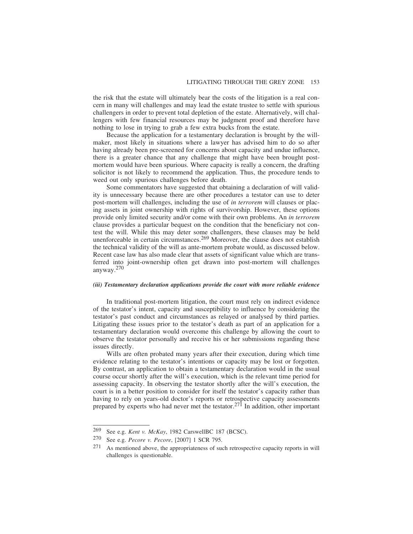the risk that the estate will ultimately bear the costs of the litigation is a real concern in many will challenges and may lead the estate trustee to settle with spurious challengers in order to prevent total depletion of the estate. Alternatively, will challengers with few financial resources may be judgment proof and therefore have nothing to lose in trying to grab a few extra bucks from the estate.

Because the application for a testamentary declaration is brought by the willmaker, most likely in situations where a lawyer has advised him to do so after having already been pre-screened for concerns about capacity and undue influence, there is a greater chance that any challenge that might have been brought postmortem would have been spurious. Where capacity is really a concern, the drafting solicitor is not likely to recommend the application. Thus, the procedure tends to weed out only spurious challenges before death.

Some commentators have suggested that obtaining a declaration of will validity is unnecessary because there are other procedures a testator can use to deter post-mortem will challenges, including the use of *in terrorem* will clauses or placing assets in joint ownership with rights of survivorship. However, these options provide only limited security and/or come with their own problems. An *in terrorem* clause provides a particular bequest on the condition that the beneficiary not contest the will. While this may deter some challengers, these clauses may be held unenforceable in certain circumstances.<sup>269</sup> Moreover, the clause does not establish the technical validity of the will as ante-mortem probate would, as discussed below. Recent case law has also made clear that assets of significant value which are transferred into joint-ownership often get drawn into post-mortem will challenges anyway.<sup>270</sup>

## *(iii) Testamentary declaration applications provide the court with more reliable evidence*

In traditional post-mortem litigation, the court must rely on indirect evidence of the testator's intent, capacity and susceptibility to influence by considering the testator's past conduct and circumstances as relayed or analysed by third parties. Litigating these issues prior to the testator's death as part of an application for a testamentary declaration would overcome this challenge by allowing the court to observe the testator personally and receive his or her submissions regarding these issues directly.

Wills are often probated many years after their execution, during which time evidence relating to the testator's intentions or capacity may be lost or forgotten. By contrast, an application to obtain a testamentary declaration would in the usual course occur shortly after the will's execution, which is the relevant time period for assessing capacity. In observing the testator shortly after the will's execution, the court is in a better position to consider for itself the testator's capacity rather than having to rely on years-old doctor's reports or retrospective capacity assessments prepared by experts who had never met the testator.271 In addition, other important

<sup>269</sup> See e.g. *Kent v. McKay*, 1982 CarswellBC 187 (BCSC).

<sup>270</sup> See e.g. *Pecore v. Pecore*, [2007] 1 SCR 795.

<sup>271</sup> As mentioned above, the appropriateness of such retrospective capacity reports in will challenges is questionable.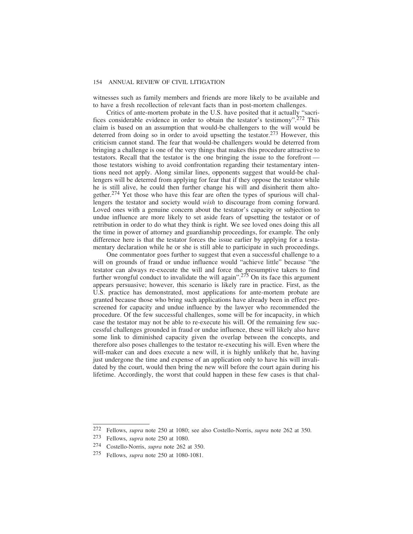witnesses such as family members and friends are more likely to be available and to have a fresh recollection of relevant facts than in post-mortem challenges.

Critics of ante-mortem probate in the U.S. have posited that it actually "sacrifices considerable evidence in order to obtain the testator's testimony".<sup>272</sup> This claim is based on an assumption that would-be challengers to the will would be deterred from doing so in order to avoid upsetting the testator.<sup>273</sup> However, this criticism cannot stand. The fear that would-be challengers would be deterred from bringing a challenge is one of the very things that makes this procedure attractive to testators. Recall that the testator is the one bringing the issue to the forefront those testators wishing to avoid confrontation regarding their testamentary intentions need not apply. Along similar lines, opponents suggest that would-be challengers will be deterred from applying for fear that if they oppose the testator while he is still alive, he could then further change his will and disinherit them altogether.274 Yet those who have this fear are often the types of spurious will challengers the testator and society would *wish* to discourage from coming forward. Loved ones with a genuine concern about the testator's capacity or subjection to undue influence are more likely to set aside fears of upsetting the testator or of retribution in order to do what they think is right. We see loved ones doing this all the time in power of attorney and guardianship proceedings, for example. The only difference here is that the testator forces the issue earlier by applying for a testamentary declaration while he or she is still able to participate in such proceedings.

One commentator goes further to suggest that even a successful challenge to a will on grounds of fraud or undue influence would "achieve little" because "the testator can always re-execute the will and force the presumptive takers to find further wrongful conduct to invalidate the will again".275 On its face this argument appears persuasive; however, this scenario is likely rare in practice. First, as the U.S. practice has demonstrated, most applications for ante-mortem probate are granted because those who bring such applications have already been in effect prescreened for capacity and undue influence by the lawyer who recommended the procedure. Of the few successful challenges, some will be for incapacity, in which case the testator may not be able to re-execute his will. Of the remaining few successful challenges grounded in fraud or undue influence, these will likely also have some link to diminished capacity given the overlap between the concepts, and therefore also poses challenges to the testator re-executing his will. Even where the will-maker can and does execute a new will, it is highly unlikely that he, having just undergone the time and expense of an application only to have his will invalidated by the court, would then bring the new will before the court again during his lifetime. Accordingly, the worst that could happen in these few cases is that chal-

<sup>272</sup> Fellows, *supra* note 250 at 1080; see also Costello-Norris, *supra* note 262 at 350.

<sup>273</sup> Fellows, *supra* note 250 at 1080.

<sup>274</sup> Costello-Norris, *supra* note 262 at 350.

<sup>275</sup> Fellows, *supra* note 250 at 1080-1081.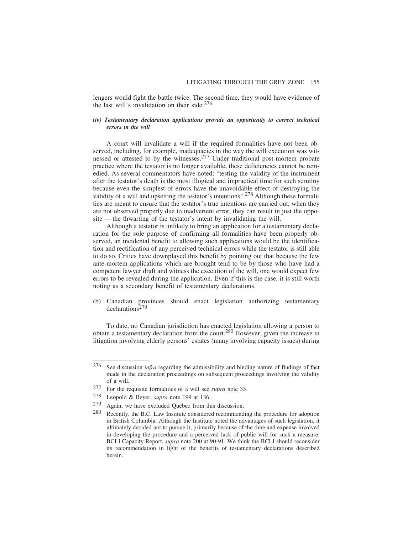lengers would fight the battle twice. The second time, they would have evidence of the last will's invalidation on their side. $276$ 

#### *(iv) Testamentary declaration applications provide an opportunity to correct technical errors in the will*

A court will invalidate a will if the required formalities have not been observed, including, for example, inadequacies in the way the will execution was witnessed or attested to by the witnesses.<sup>277</sup> Under traditional post-mortem probate practice where the testator is no longer available, these deficiencies cannot be remedied. As several commentators have noted: "testing the validity of the instrument after the testator's death is the most illogical and impractical time for such scrutiny because even the simplest of errors have the unavoidable effect of destroying the validity of a will and upsetting the testator's intentions".<sup>278</sup> Although these formalities are meant to ensure that the testator's true intentions are carried out, when they are not observed properly due to inadvertent error, they can result in just the opposite — the thwarting of the testator's intent by invalidating the will.

Although a testator is unlikely to bring an application for a testamentary declaration for the sole purpose of confirming all formalities have been properly observed, an incidental benefit to allowing such applications would be the identification and rectification of any perceived technical errors while the testator is still able to do so. Critics have downplayed this benefit by pointing out that because the few ante-mortem applications which are brought tend to be by those who have had a competent lawyer draft and witness the execution of the will, one would expect few errors to be revealed during the application. Even if this is the case, it is still worth noting as a secondary benefit of testamentary declarations.

(b) Canadian provinces should enact legislation authorizing testamentary declarations<sup>279</sup>

To date, no Canadian jurisdiction has enacted legislation allowing a person to obtain a testamentary declaration from the court.280 However, given the increase in litigation involving elderly persons' estates (many involving capacity issues) during

<sup>276</sup> See discussion *infra* regarding the admissibility and binding nature of findings of fact made in the declaration proceedings on subsequent proceedings involving the validity of a will.

<sup>277</sup> For the requisite formalities of a will see *supra* note 35.

<sup>278</sup> Leopold & Beyer, *supra* note 199 at 136.

 $279$  Again, we have excluded Québec from this discussion.

<sup>280</sup> Recently, the B.C. Law Institute considered recommending the procedure for adoption in British Columbia. Although the Institute noted the advantages of such legislation, it ultimately decided not to pursue it, primarily because of the time and expense involved in developing the procedure and a perceived lack of public will for such a measure. BCLI Capacity Report, *supra* note 200 at 90-91. We think the BCLI should reconsider its recommendation in light of the benefits of testamentary declarations described herein.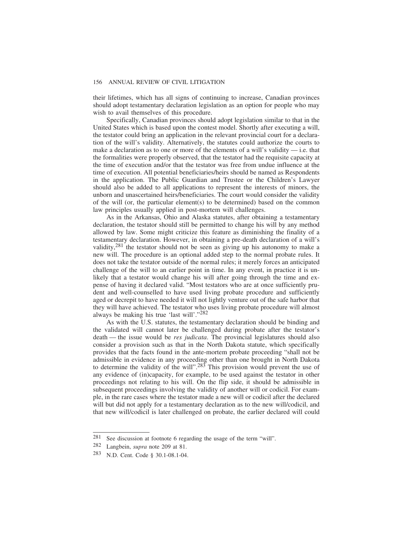their lifetimes, which has all signs of continuing to increase, Canadian provinces should adopt testamentary declaration legislation as an option for people who may wish to avail themselves of this procedure.

Specifically, Canadian provinces should adopt legislation similar to that in the United States which is based upon the contest model. Shortly after executing a will, the testator could bring an application in the relevant provincial court for a declaration of the will's validity. Alternatively, the statutes could authorize the courts to make a declaration as to one or more of the elements of a will's validity  $-$  i.e. that the formalities were properly observed, that the testator had the requisite capacity at the time of execution and/or that the testator was free from undue influence at the time of execution. All potential beneficiaries/heirs should be named as Respondents in the application. The Public Guardian and Trustee or the Children's Lawyer should also be added to all applications to represent the interests of minors, the unborn and unascertained heirs/beneficiaries. The court would consider the validity of the will (or, the particular element(s) to be determined) based on the common law principles usually applied in post-mortem will challenges.

As in the Arkansas, Ohio and Alaska statutes, after obtaining a testamentary declaration, the testator should still be permitted to change his will by any method allowed by law. Some might criticize this feature as diminishing the finality of a testamentary declaration. However, in obtaining a pre-death declaration of a will's validity,  $281$  the testator should not be seen as giving up his autonomy to make a new will. The procedure is an optional added step to the normal probate rules. It does not take the testator outside of the normal rules; it merely forces an anticipated challenge of the will to an earlier point in time. In any event, in practice it is unlikely that a testator would change his will after going through the time and expense of having it declared valid. "Most testators who are at once sufficiently prudent and well-counselled to have used living probate procedure and sufficiently aged or decrepit to have needed it will not lightly venture out of the safe harbor that they will have achieved. The testator who uses living probate procedure will almost always be making his true 'last will'."282

As with the U.S. statutes, the testamentary declaration should be binding and the validated will cannot later be challenged during probate after the testator's death — the issue would be *res judicata*. The provincial legislatures should also consider a provision such as that in the North Dakota statute, which specifically provides that the facts found in the ante-mortem probate proceeding "shall not be admissible in evidence in any proceeding other than one brought in North Dakota to determine the validity of the will".<sup>283</sup> This provision would prevent the use of any evidence of (in)capacity, for example, to be used against the testator in other proceedings not relating to his will. On the flip side, it should be admissible in subsequent proceedings involving the validity of another will or codicil. For example, in the rare cases where the testator made a new will or codicil after the declared will but did not apply for a testamentary declaration as to the new will/codicil, and that new will/codicil is later challenged on probate, the earlier declared will could

<sup>281</sup> See discussion at footnote 6 regarding the usage of the term "will".

<sup>282</sup> Langbein, *supra* note 209 at 81.

<sup>283</sup> N.D. Cent. Code § 30.1-08.1-04.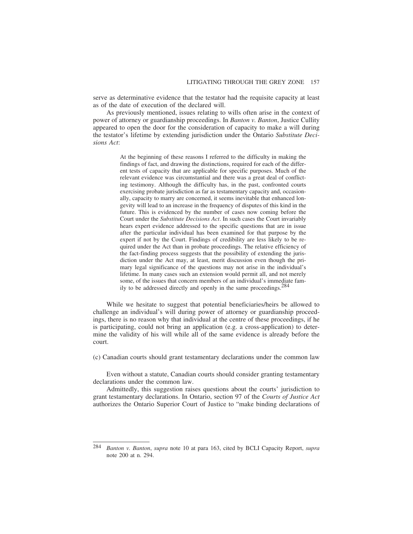serve as determinative evidence that the testator had the requisite capacity at least as of the date of execution of the declared will.

As previously mentioned, issues relating to wills often arise in the context of power of attorney or guardianship proceedings. In *Banton v. Banton*, Justice Cullity appeared to open the door for the consideration of capacity to make a will during the testator's lifetime by extending jurisdiction under the Ontario *Substitute Decisions Act*:

> At the beginning of these reasons I referred to the difficulty in making the findings of fact, and drawing the distinctions, required for each of the different tests of capacity that are applicable for specific purposes. Much of the relevant evidence was circumstantial and there was a great deal of conflicting testimony. Although the difficulty has, in the past, confronted courts exercising probate jurisdiction as far as testamentary capacity and, occasionally, capacity to marry are concerned, it seems inevitable that enhanced longevity will lead to an increase in the frequency of disputes of this kind in the future. This is evidenced by the number of cases now coming before the Court under the *Substitute Decisions Act*. In such cases the Court invariably hears expert evidence addressed to the specific questions that are in issue after the particular individual has been examined for that purpose by the expert if not by the Court. Findings of credibility are less likely to be required under the Act than in probate proceedings. The relative efficiency of the fact-finding process suggests that the possibility of extending the jurisdiction under the Act may, at least, merit discussion even though the primary legal significance of the questions may not arise in the individual's lifetime. In many cases such an extension would permit all, and not merely some, of the issues that concern members of an individual's immediate family to be addressed directly and openly in the same proceedings.284

While we hesitate to suggest that potential beneficiaries/heirs be allowed to challenge an individual's will during power of attorney or guardianship proceedings, there is no reason why that individual at the centre of these proceedings, if he is participating, could not bring an application (e.g. a cross-application) to determine the validity of his will while all of the same evidence is already before the court.

(c) Canadian courts should grant testamentary declarations under the common law

Even without a statute, Canadian courts should consider granting testamentary declarations under the common law.

Admittedly, this suggestion raises questions about the courts' jurisdiction to grant testamentary declarations. In Ontario, section 97 of the *Courts of Justice Act* authorizes the Ontario Superior Court of Justice to "make binding declarations of

<sup>284</sup> *Banton v. Banton*, *supra* note 10 at para 163, cited by BCLI Capacity Report, *supra* note 200 at n. 294.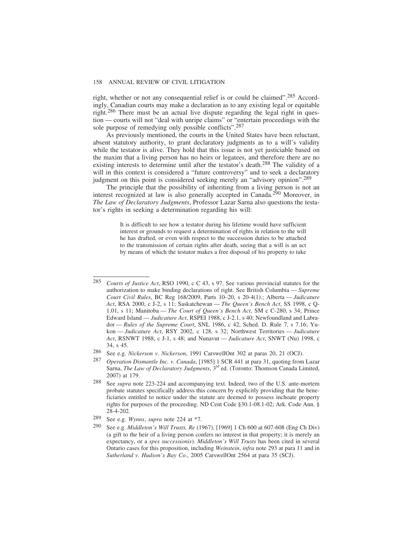right, whether or not any consequential relief is or could be claimed".285 Accordingly, Canadian courts may make a declaration as to any existing legal or equitable right.286 There must be an actual live dispute regarding the legal right in question — courts will not "deal with unripe claims" or "entertain proceedings with the sole purpose of remedying only possible conflicts".287

As previously mentioned, the courts in the United States have been reluctant, absent statutory authority, to grant declaratory judgments as to a will's validity while the testator is alive. They hold that this issue is not yet justiciable based on the maxim that a living person has no heirs or legatees, and therefore there are no existing interests to determine until after the testator's death.288 The validity of a will in this context is considered a "future controversy" and to seek a declaratory judgment on this point is considered seeking merely an "advisory opinion".289

The principle that the possibility of inheriting from a living person is not an interest recognized at law is also generally accepted in Canada.290 Moreover, in *The Law of Declaratory Judgments*, Professor Lazar Sarna also questions the testator's rights in seeking a determination regarding his will:

> It is difficult to see how a testator during his lifetime would have sufficient interest or grounds to request a determination of rights in relation to the will he has drafted, or even with respect to the succession duties to be attached to the transmission of certain rights after death, seeing that a will is an act by means of which the testator makes a free disposal of his property to take

<sup>285</sup> *Courts of Justice Act*, RSO 1990, c C 43, s 97. See various provincial statutes for the authorization to make binding declarations of right. See British Columbia — *Supreme Court Civil Rules*, BC Reg 168/2009, Parts 10–20, s 20-4(1).; Alberta — *Judicature Act*, RSA 2000, c J-2, s 11; Saskatchewan — *The Queen's Bench Act*, SS 1998, c Q-1.01, s 11; Manitoba — *The Court of Queen's Bench Act*, SM c C-280, s 34; Prince Edward Island — *Judicature Act*, RSPEI 1988, c J-2.1, s 40; Newfoundland and Labrador — *Rules of the Supreme Court*, SNL 1986, c 42, Sched. D. Rule 7, s 7.16; Yukon — *Judicature Act*, RSY 2002, c 128, s 32; Northwest Territories — *Judicature Act*, RSNWT 1988, c J-1, s 48; and Nunavut — *Judicature Act*, SNWT (Nu) 1998, c 34, s 45.

<sup>286</sup> See e.g. *Nickerson v. Nickerson*, 1991 CarswellOnt 302 at paras 20, 21 (OCJ).

<sup>287</sup> *Operation Dismantle Inc. v. Canada*, [1985] 1 SCR 441 at para 31, quoting from Lazar Sarna, *The Law of Declaratory Judgments*, 3<sup>rd</sup> ed. (Toronto: Thomson Canada Limited, 2007) at 179.

<sup>288</sup> See *supra* note 223-224 and accompanying text. Indeed, two of the U.S. ante-mortem probate statutes specifically address this concern by explicitly providing that the beneficiaries entitled to notice under the statute are deemed to possess inchoate property rights for purposes of the proceeding. ND Cent Code §30.1-08.1-02; Ark. Code Ann. § 28-4-202.

<sup>289</sup> See e.g. *Wynns*, *supra* note 224 at \*7.

<sup>290</sup> See e.g. *Middleton's Will Trusts, Re* (1967), [1969] 1 Ch 600 at 607-608 (Eng Ch Div) (a gift to the heir of a living person confers no interest in that property; it is merely an expectancy, or a *spes successionis*). *Middleton's Will Trusts* has been cited in several Ontario cases for this proposition, including *Weinstein*, *infra* note 293 at para 11 and in *Sutherland v. Hudson's Bay Co.*, 2005 CarswellOnt 2564 at para 35 (SCJ).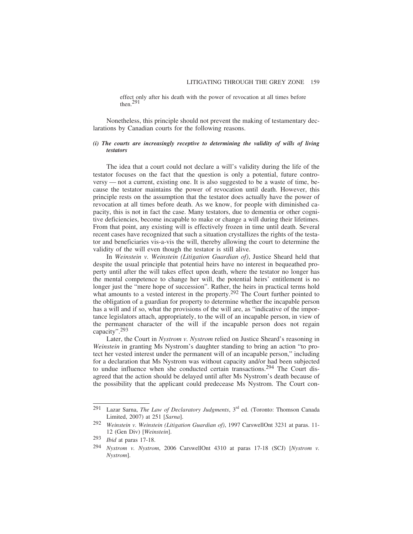effect only after his death with the power of revocation at all times before then.291

Nonetheless, this principle should not prevent the making of testamentary declarations by Canadian courts for the following reasons.

#### *(i) The courts are increasingly receptive to determining the validity of wills of living testators*

The idea that a court could not declare a will's validity during the life of the testator focuses on the fact that the question is only a potential, future controversy — not a current, existing one. It is also suggested to be a waste of time, because the testator maintains the power of revocation until death. However, this principle rests on the assumption that the testator does actually have the power of revocation at all times before death. As we know, for people with diminished capacity, this is not in fact the case. Many testators, due to dementia or other cognitive deficiencies, become incapable to make or change a will during their lifetimes. From that point, any existing will is effectively frozen in time until death. Several recent cases have recognized that such a situation crystallizes the rights of the testator and beneficiaries vis-a-vis the will, thereby allowing the court to determine the validity of the will even though the testator is still alive.

In *Weinstein v. Weinstein (Litigation Guardian of)*, Justice Sheard held that despite the usual principle that potential heirs have no interest in bequeathed property until after the will takes effect upon death, where the testator no longer has the mental competence to change her will, the potential heirs' entitlement is no longer just the "mere hope of succession". Rather, the heirs in practical terms hold what amounts to a vested interest in the property.<sup>292</sup> The Court further pointed to the obligation of a guardian for property to determine whether the incapable person has a will and if so, what the provisions of the will are, as "indicative of the importance legislators attach, appropriately, to the will of an incapable person, in view of the permanent character of the will if the incapable person does not regain capacity".293

Later, the Court in *Nystrom v. Nystrom* relied on Justice Sheard's reasoning in *Weinstein* in granting Ms Nystrom's daughter standing to bring an action "to protect her vested interest under the permanent will of an incapable person," including for a declaration that Ms Nystrom was without capacity and/or had been subjected to undue influence when she conducted certain transactions.<sup>294</sup> The Court disagreed that the action should be delayed until after Ms Nystrom's death because of the possibility that the applicant could predecease Ms Nystrom. The Court con-

<sup>291</sup> Lazar Sarna, *The Law of Declaratory Judgments*, 3rd ed. (Toronto: Thomson Canada Limited, 2007) at 251 [*Sarna*].

<sup>292</sup> *Weinstein v. Weinstein (Litigation Guardian of)*, 1997 CarswellOnt 3231 at paras. 11- 12 (Gen Div) [*Weinstein*].

<sup>293</sup> *Ibid* at paras 17-18.

<sup>294</sup> *Nystrom v. Nystrom*, 2006 CarswellOnt 4310 at paras 17-18 (SCJ) [*Nystrom v. Nystrom*].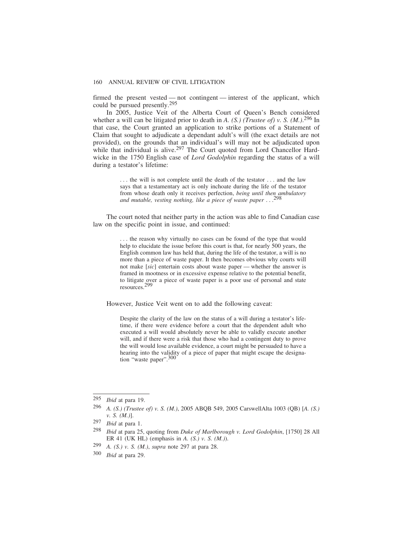firmed the present vested — not contingent — interest of the applicant, which could be pursued presently.295

In 2005, Justice Veit of the Alberta Court of Queen's Bench considered whether a will can be litigated prior to death in *A. (S.) (Trustee of) v. S. (M.)*. 296 In that case, the Court granted an application to strike portions of a Statement of Claim that sought to adjudicate a dependant adult's will (the exact details are not provided), on the grounds that an individual's will may not be adjudicated upon while that individual is alive.<sup>297</sup> The Court quoted from Lord Chancellor Hardwicke in the 1750 English case of *Lord Godolphin* regarding the status of a will during a testator's lifetime:

> . . . the will is not complete until the death of the testator . . . and the law says that a testamentary act is only inchoate during the life of the testator from whose death only it receives perfection, *being until then ambulatory and mutable, vesting nothing, like a piece of waste paper* ...

The court noted that neither party in the action was able to find Canadian case law on the specific point in issue, and continued:

> ... the reason why virtually no cases can be found of the type that would help to elucidate the issue before this court is that, for nearly 500 years, the English common law has held that, during the life of the testator, a will is no more than a piece of waste paper. It then becomes obvious why courts will not make [*sic*] entertain costs about waste paper — whether the answer is framed in mootness or in excessive expense relative to the potential benefit, to litigate over a piece of waste paper is a poor use of personal and state resources.299

However, Justice Veit went on to add the following caveat:

Despite the clarity of the law on the status of a will during a testator's lifetime, if there were evidence before a court that the dependent adult who executed a will would absolutely never be able to validly execute another will, and if there were a risk that those who had a contingent duty to prove the will would lose available evidence, a court might be persuaded to have a hearing into the validity of a piece of paper that might escape the designation "waste paper".<sup>300</sup>

- 299 *A. (S.) v. S. (M.)*, *supra* note 297 at para 28.
- 300 *Ibid* at para 29.

<sup>295</sup> *Ibid* at para 19.

<sup>296</sup> *A. (S.) (Trustee of) v. S. (M.)*, 2005 ABQB 549, 2005 CarswellAlta 1003 (QB) [*A. (S.) v. S. (M.)*].

<sup>297</sup> *Ibid* at para 1.

<sup>298</sup> *Ibid* at para 25, quoting from *Duke of Marlborough v. Lord Godolphin*, [1750] 28 All ER 41 (UK HL) (emphasis in *A. (S.) v. S. (M.)*).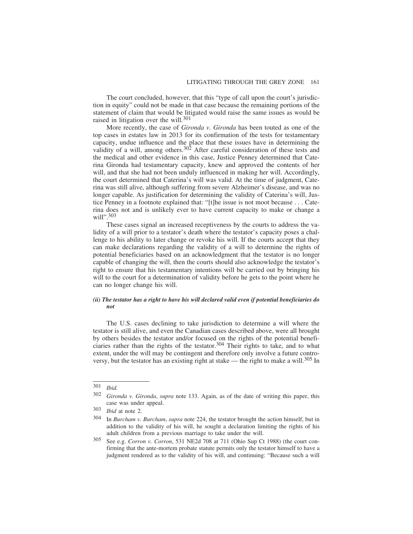The court concluded, however, that this "type of call upon the court's jurisdiction in equity" could not be made in that case because the remaining portions of the statement of claim that would be litigated would raise the same issues as would be raised in litigation over the will.<sup>301</sup>

More recently, the case of *Gironda v. Gironda* has been touted as one of the top cases in estates law in 2013 for its confirmation of the tests for testamentary capacity, undue influence and the place that these issues have in determining the validity of a will, among others.<sup>302</sup> After careful consideration of these tests and the medical and other evidence in this case, Justice Penney determined that Caterina Gironda had testamentary capacity, knew and approved the contents of her will, and that she had not been unduly influenced in making her will. Accordingly, the court determined that Caterina's will was valid. At the time of judgment, Caterina was still alive, although suffering from severe Alzheimer's disease, and was no longer capable. As justification for determining the validity of Caterina's will, Justice Penney in a footnote explained that: "[t]he issue is not moot because . . . Caterina does not and is unlikely ever to have current capacity to make or change a will".<sup>303</sup>

These cases signal an increased receptiveness by the courts to address the validity of a will prior to a testator's death where the testator's capacity poses a challenge to his ability to later change or revoke his will. If the courts accept that they can make declarations regarding the validity of a will to determine the rights of potential beneficiaries based on an acknowledgment that the testator is no longer capable of changing the will, then the courts should also acknowledge the testator's right to ensure that his testamentary intentions will be carried out by bringing his will to the court for a determination of validity before he gets to the point where he can no longer change his will.

## *(ii) The testator has a right to have his will declared valid even if potential beneficiaries do not*

The U.S. cases declining to take jurisdiction to determine a will where the testator is still alive, and even the Canadian cases described above, were all brought by others besides the testator and/or focused on the rights of the potential beneficiaries rather than the rights of the testator.<sup>304</sup> Their rights to take, and to what extent, under the will may be contingent and therefore only involve a future controversy, but the testator has an existing right at stake — the right to make a will.<sup>305</sup> In

<sup>301</sup> *Ibid.*

<sup>302</sup> *Gironda v. Gironda*, *supra* note 133. Again, as of the date of writing this paper, this case was under appeal.

<sup>303</sup> *Ibid* at note 2.

<sup>304</sup> In *Burcham v. Burcham*, *supra* note 224, the testator brought the action himself, but in addition to the validity of his will, he sought a declaration limiting the rights of his adult children from a previous marriage to take under the will.

<sup>305</sup> See e.g. *Corron v. Corron*, 531 NE2d 708 at 711 (Ohio Sup Ct 1988) (the court confirming that the ante-mortem probate statute permits only the testator himself to have a judgment rendered as to the validity of his will, and continuing: "Because such a will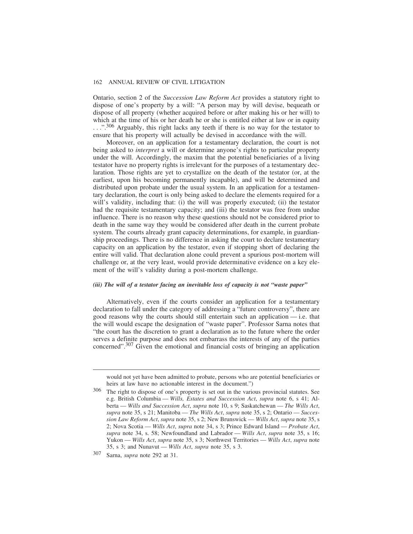Ontario, section 2 of the *Succession Law Reform Act* provides a statutory right to dispose of one's property by a will: "A person may by will devise, bequeath or dispose of all property (whether acquired before or after making his or her will) to which at the time of his or her death he or she is entitled either at law or in equity ...".<sup>306</sup> Arguably, this right lacks any teeth if there is no way for the testator to ensure that his property will actually be devised in accordance with the will.

Moreover, on an application for a testamentary declaration, the court is not being asked to *interpret* a will or determine anyone's rights to particular property under the will. Accordingly, the maxim that the potential beneficiaries of a living testator have no property rights is irrelevant for the purposes of a testamentary declaration. Those rights are yet to crystallize on the death of the testator (or, at the earliest, upon his becoming permanently incapable), and will be determined and distributed upon probate under the usual system. In an application for a testamentary declaration, the court is only being asked to declare the elements required for a will's validity, including that: (i) the will was properly executed; (ii) the testator had the requisite testamentary capacity; and (iii) the testator was free from undue influence. There is no reason why these questions should not be considered prior to death in the same way they would be considered after death in the current probate system. The courts already grant capacity determinations, for example, in guardianship proceedings. There is no difference in asking the court to declare testamentary capacity on an application by the testator, even if stopping short of declaring the entire will valid. That declaration alone could prevent a spurious post-mortem will challenge or, at the very least, would provide determinative evidence on a key element of the will's validity during a post-mortem challenge.

## *(iii) The will of a testator facing an inevitable loss of capacity is not "waste paper"*

Alternatively, even if the courts consider an application for a testamentary declaration to fall under the category of addressing a "future controversy", there are good reasons why the courts should still entertain such an application — i.e. that the will would escape the designation of "waste paper". Professor Sarna notes that "the court has the discretion to grant a declaration as to the future where the order serves a definite purpose and does not embarrass the interests of any of the parties concerned".307 Given the emotional and financial costs of bringing an application

would not yet have been admitted to probate, persons who are potential beneficiaries or heirs at law have no actionable interest in the document.")

<sup>306</sup> The right to dispose of one's property is set out in the various provincial statutes. See e.g. British Columbia — *Wills, Estates and Succession Act*, *supra* note 6, s 41; Alberta — *Wills and Succession Act*, *supra* note 10, s 9; Saskatchewan — *The Wills Act*, *supra* note 35, s 21; Manitoba — *The Wills Act*, *supra* note 35, s 2; Ontario — *Succession Law Reform Act*, *supra* note 35, s 2; New Brunswick — *Wills Act*, *supra* note 35, s 2; Nova Scotia — *Wills Act*, *supra* note 34, s 3; Prince Edward Island — *Probate Act*, *supra* note 34, s. 58; Newfoundland and Labrador — *Wills Act*, *supra* note 35, s 16; Yukon — *Wills Act*, *supra* note 35, s 3; Northwest Territories — *Wills Act*, *supra* note 35, s 3; and Nunavut — *Wills Act*, *supra* note 35, s 3.

<sup>307</sup> Sarna, *supra* note 292 at 31.